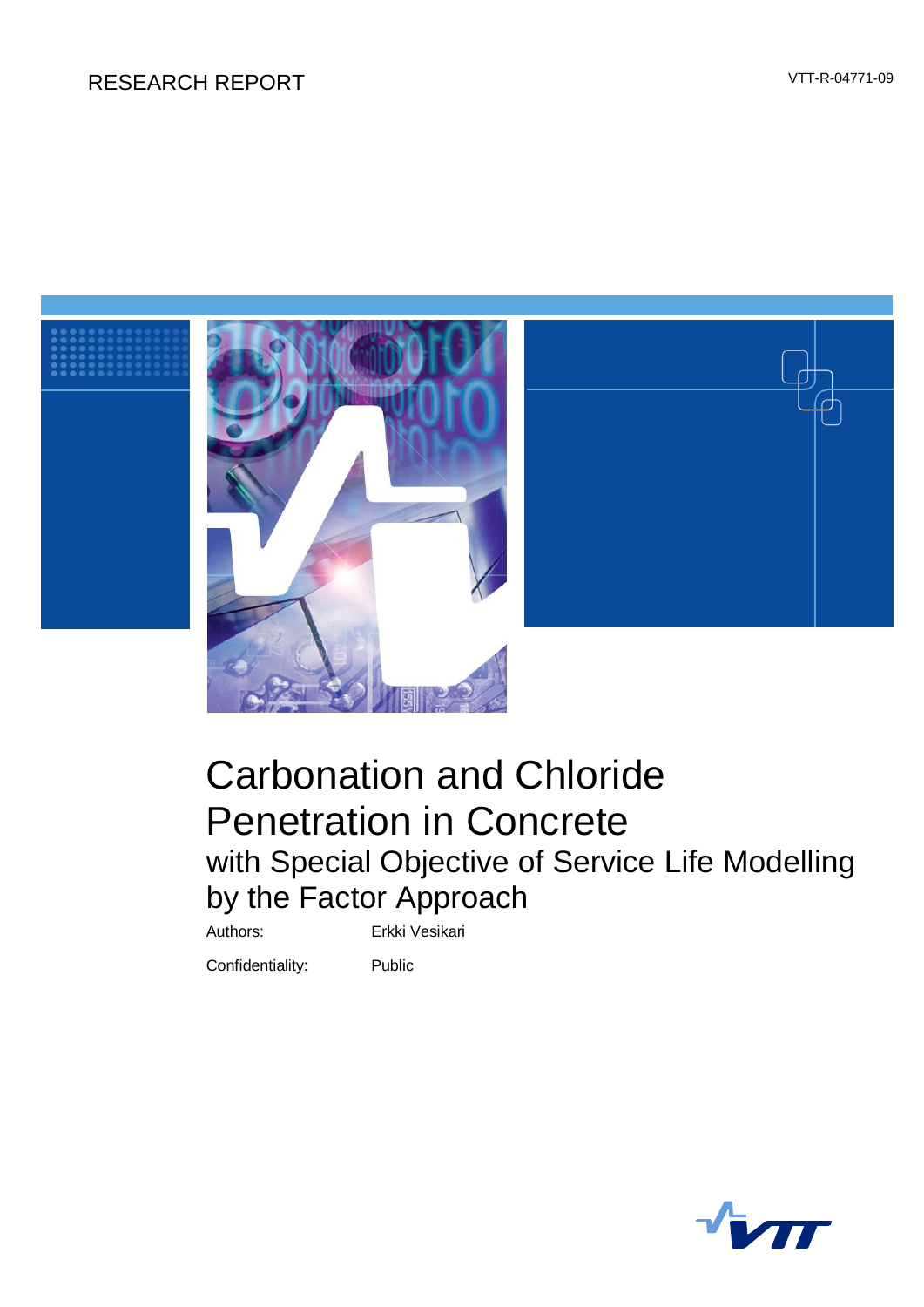# RESEARCH REPORT VTT-R-04771-09



# Carbonation and Chloride Penetration in Concrete with Special Objective of Service Life Modelling by the Factor Approach

Authors: Erkki Vesikari

Confidentiality: Public

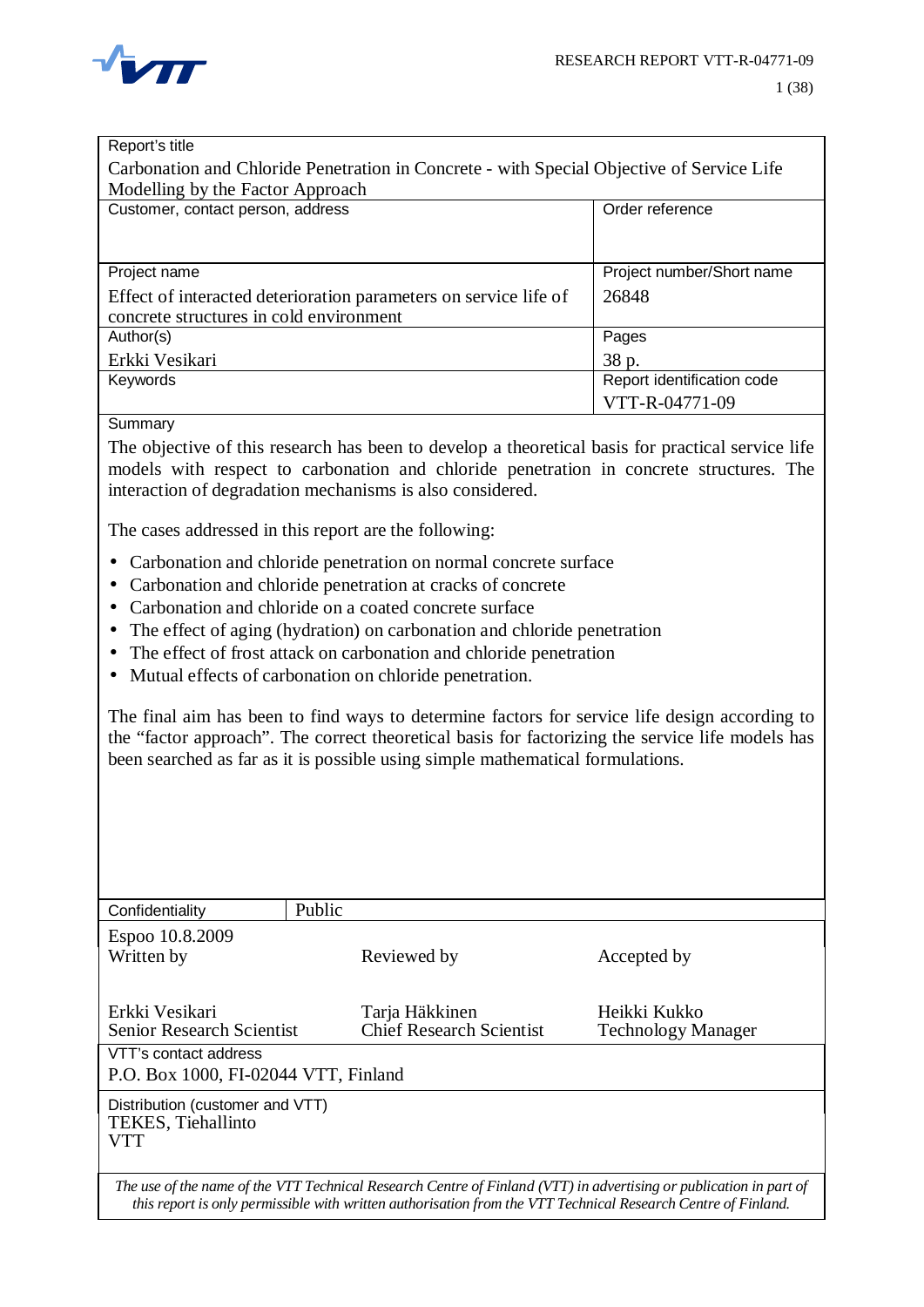

| Report's title                                                                            |                            |  |  |  |  |  |  |  |  |
|-------------------------------------------------------------------------------------------|----------------------------|--|--|--|--|--|--|--|--|
| Carbonation and Chloride Penetration in Concrete - with Special Objective of Service Life |                            |  |  |  |  |  |  |  |  |
| Modelling by the Factor Approach                                                          |                            |  |  |  |  |  |  |  |  |
| Customer, contact person, address                                                         | Order reference            |  |  |  |  |  |  |  |  |
|                                                                                           |                            |  |  |  |  |  |  |  |  |
|                                                                                           |                            |  |  |  |  |  |  |  |  |
| Project name                                                                              | Project number/Short name  |  |  |  |  |  |  |  |  |
| Effect of interacted deterioration parameters on service life of                          | 26848                      |  |  |  |  |  |  |  |  |
| concrete structures in cold environment                                                   |                            |  |  |  |  |  |  |  |  |
| Author(s)                                                                                 | Pages                      |  |  |  |  |  |  |  |  |
| Erkki Vesikari                                                                            | 38 p.                      |  |  |  |  |  |  |  |  |
| Keywords                                                                                  | Report identification code |  |  |  |  |  |  |  |  |
|                                                                                           | VTT-R-04771-09             |  |  |  |  |  |  |  |  |
|                                                                                           |                            |  |  |  |  |  |  |  |  |

Summary

The objective of this research has been to develop a theoretical basis for practical service life models with respect to carbonation and chloride penetration in concrete structures. The interaction of degradation mechanisms is also considered.

The cases addressed in this report are the following:

- Carbonation and chloride penetration on normal concrete surface
- Carbonation and chloride penetration at cracks of concrete
- Carbonation and chloride on a coated concrete surface
- The effect of aging (hydration) on carbonation and chloride penetration
- The effect of frost attack on carbonation and chloride penetration
- Mutual effects of carbonation on chloride penetration.

The final aim has been to find ways to determine factors for service life design according to the "factor approach". The correct theoretical basis for factorizing the service life models has been searched as far as it is possible using simple mathematical formulations.

| Confidentiality                                               | Public |                                                                                                                                                                                                                                     |                                           |
|---------------------------------------------------------------|--------|-------------------------------------------------------------------------------------------------------------------------------------------------------------------------------------------------------------------------------------|-------------------------------------------|
| Espoo 10.8.2009<br>Written by                                 |        | Reviewed by                                                                                                                                                                                                                         | Accepted by                               |
| Erkki Vesikari<br><b>Senior Research Scientist</b>            |        | Tarja Häkkinen<br><b>Chief Research Scientist</b>                                                                                                                                                                                   | Heikki Kukko<br><b>Technology Manager</b> |
| VTT's contact address<br>P.O. Box 1000, FI-02044 VTT, Finland |        |                                                                                                                                                                                                                                     |                                           |
| Distribution (customer and VTT)<br>TEKES, Tiehallinto<br>VTT  |        |                                                                                                                                                                                                                                     |                                           |
|                                                               |        | The use of the name of the VTT Technical Research Centre of Finland (VTT) in advertising or publication in part of<br>this report is only permissible with written authorisation from the VTT Technical Research Centre of Finland. |                                           |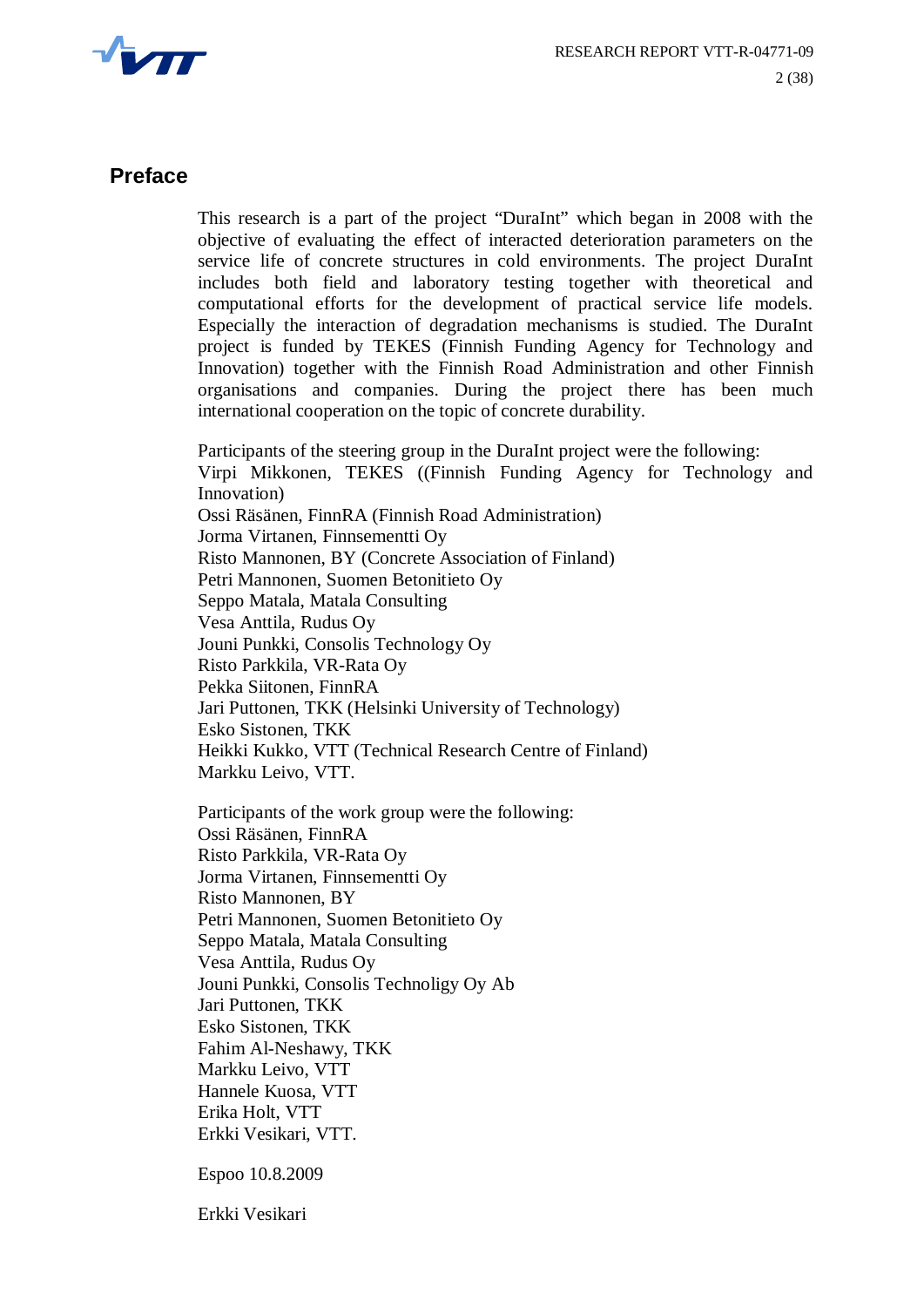

#### **Preface**

This research is a part of the project "DuraInt" which began in 2008 with the objective of evaluating the effect of interacted deterioration parameters on the service life of concrete structures in cold environments. The project DuraInt includes both field and laboratory testing together with theoretical and computational efforts for the development of practical service life models. Especially the interaction of degradation mechanisms is studied. The DuraInt project is funded by TEKES (Finnish Funding Agency for Technology and Innovation) together with the Finnish Road Administration and other Finnish organisations and companies. During the project there has been much international cooperation on the topic of concrete durability.

Participants of the steering group in the DuraInt project were the following: Virpi Mikkonen, TEKES ((Finnish Funding Agency for Technology and Innovation) Ossi Räsänen, FinnRA (Finnish Road Administration) Jorma Virtanen, Finnsementti Oy Risto Mannonen, BY (Concrete Association of Finland) Petri Mannonen, Suomen Betonitieto Oy Seppo Matala, Matala Consulting Vesa Anttila, Rudus Oy Jouni Punkki, Consolis Technology Oy Risto Parkkila, VR-Rata Oy Pekka Siitonen, FinnRA Jari Puttonen, TKK (Helsinki University of Technology) Esko Sistonen, TKK Heikki Kukko, VTT (Technical Research Centre of Finland) Markku Leivo, VTT.

Participants of the work group were the following: Ossi Räsänen, FinnRA Risto Parkkila, VR-Rata Oy Jorma Virtanen, Finnsementti Oy Risto Mannonen, BY Petri Mannonen, Suomen Betonitieto Oy Seppo Matala, Matala Consulting Vesa Anttila, Rudus Oy Jouni Punkki, Consolis Technoligy Oy Ab Jari Puttonen, TKK Esko Sistonen, TKK Fahim Al-Neshawy, TKK Markku Leivo, VTT Hannele Kuosa, VTT Erika Holt, VTT Erkki Vesikari, VTT.

Espoo 10.8.2009

Erkki Vesikari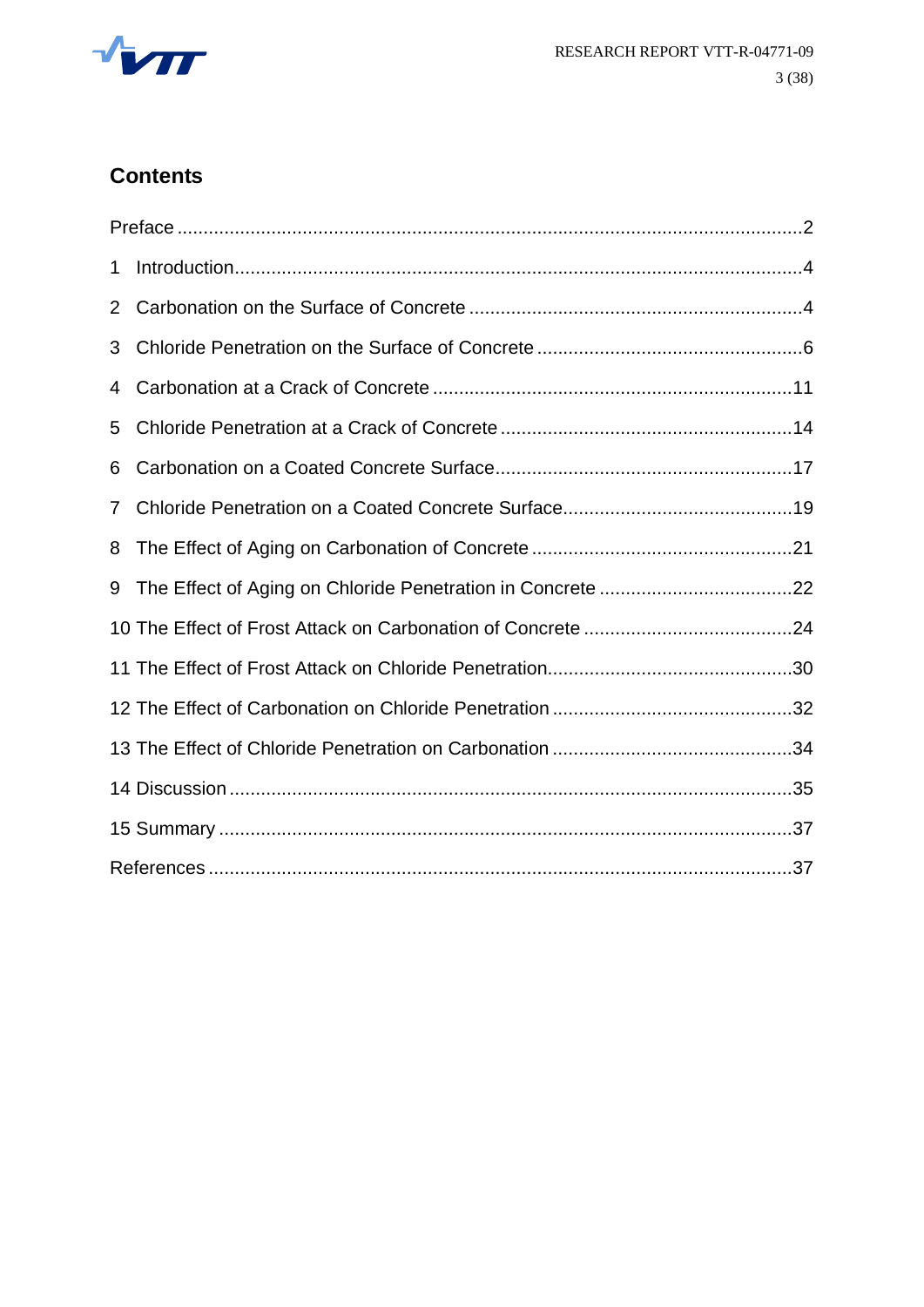

# **Contents**

| 1              |  |
|----------------|--|
| $\overline{2}$ |  |
| 3              |  |
| 4              |  |
| 5              |  |
| 6              |  |
| 7              |  |
| 8              |  |
| 9              |  |
|                |  |
|                |  |
|                |  |
|                |  |
|                |  |
|                |  |
|                |  |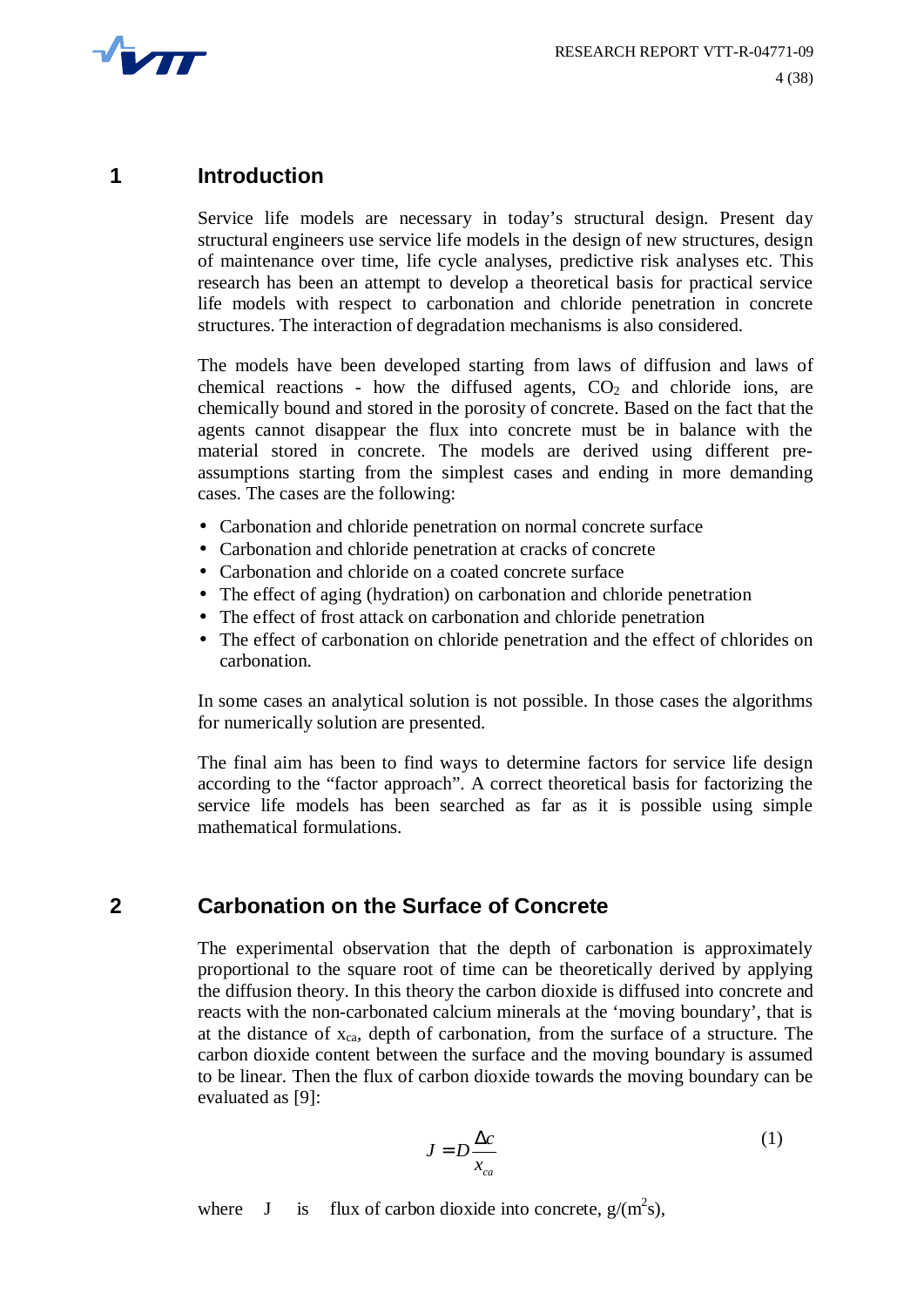

#### **1 Introduction**

Service life models are necessary in today's structural design. Present day structural engineers use service life models in the design of new structures, design of maintenance over time, life cycle analyses, predictive risk analyses etc. This research has been an attempt to develop a theoretical basis for practical service life models with respect to carbonation and chloride penetration in concrete structures. The interaction of degradation mechanisms is also considered.

The models have been developed starting from laws of diffusion and laws of chemical reactions - how the diffused agents,  $CO<sub>2</sub>$  and chloride ions, are chemically bound and stored in the porosity of concrete. Based on the fact that the agents cannot disappear the flux into concrete must be in balance with the material stored in concrete. The models are derived using different preassumptions starting from the simplest cases and ending in more demanding cases. The cases are the following:

- Carbonation and chloride penetration on normal concrete surface
- Carbonation and chloride penetration at cracks of concrete
- Carbonation and chloride on a coated concrete surface
- The effect of aging (hydration) on carbonation and chloride penetration
- The effect of frost attack on carbonation and chloride penetration
- The effect of carbonation on chloride penetration and the effect of chlorides on carbonation.

In some cases an analytical solution is not possible. In those cases the algorithms for numerically solution are presented.

The final aim has been to find ways to determine factors for service life design according to the "factor approach". A correct theoretical basis for factorizing the service life models has been searched as far as it is possible using simple mathematical formulations.

# **2 Carbonation on the Surface of Concrete**

The experimental observation that the depth of carbonation is approximately proportional to the square root of time can be theoretically derived by applying the diffusion theory. In this theory the carbon dioxide is diffused into concrete and reacts with the non-carbonated calcium minerals at the 'moving boundary', that is at the distance of  $x_{ca}$ , depth of carbonation, from the surface of a structure. The carbon dioxide content between the surface and the moving boundary is assumed to be linear. Then the flux of carbon dioxide towards the moving boundary can be evaluated as [9]:

$$
J = D \frac{\Delta c}{x_{ca}} \tag{1}
$$

where J is flux of carbon dioxide into concrete,  $g/(m^2s)$ ,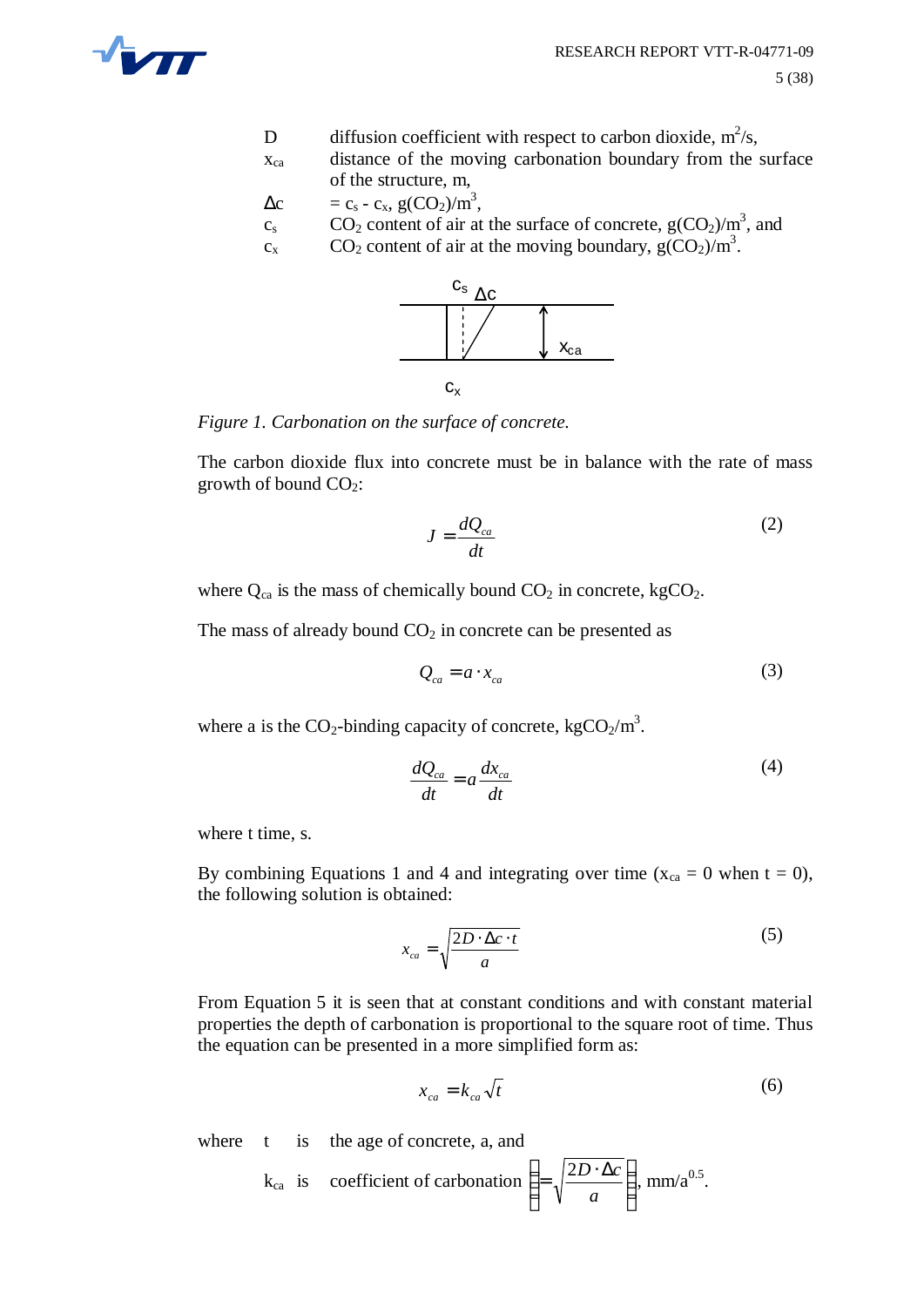

- D diffusion coefficient with respect to carbon dioxide,  $m^2/s$ ,
- xca distance of the moving carbonation boundary from the surface of the structure, m,
- $\Delta c = c_s c_x$ , g(CO<sub>2</sub>)/m<sup>3</sup>,
- $c_s$  CO<sub>2</sub> content of air at the surface of concrete,  $g(CO_2)/m^3$ , and
- $c_x$  CO<sub>2</sub> content of air at the moving boundary,  $g(CO_2)/m^3$ .



*Figure 1. Carbonation on the surface of concrete.*

The carbon dioxide flux into concrete must be in balance with the rate of mass growth of bound  $CO<sub>2</sub>$ :

$$
J = \frac{dQ_{ca}}{dt} \tag{2}
$$

where  $Q_{ca}$  is the mass of chemically bound  $CO_2$  in concrete, kgCO<sub>2</sub>.

The mass of already bound  $CO<sub>2</sub>$  in concrete can be presented as

$$
Q_{ca} = a \cdot x_{ca} \tag{3}
$$

where a is the  $CO_2$ -binding capacity of concrete, kg $CO_2/m^3$ .

$$
\frac{dQ_{ca}}{dt} = a\frac{dx_{ca}}{dt}
$$
 (4)

where t time, s.

By combining Equations 1 and 4 and integrating over time ( $x_{ca} = 0$  when  $t = 0$ ), the following solution is obtained:

$$
x_{ca} = \sqrt{\frac{2D \cdot \Delta c \cdot t}{a}} \tag{5}
$$

From Equation 5 it is seen that at constant conditions and with constant material properties the depth of carbonation is proportional to the square root of time. Thus the equation can be presented in a more simplified form as:

$$
x_{ca} = k_{ca} \sqrt{t} \tag{6}
$$

where t is the age of concrete, a, and

$$
k_{ca}
$$
 is coefficient of carbonation  $\left( = \sqrt{\frac{2D \cdot \Delta c}{a}} \right)$ , mm/a<sup>0.5</sup>.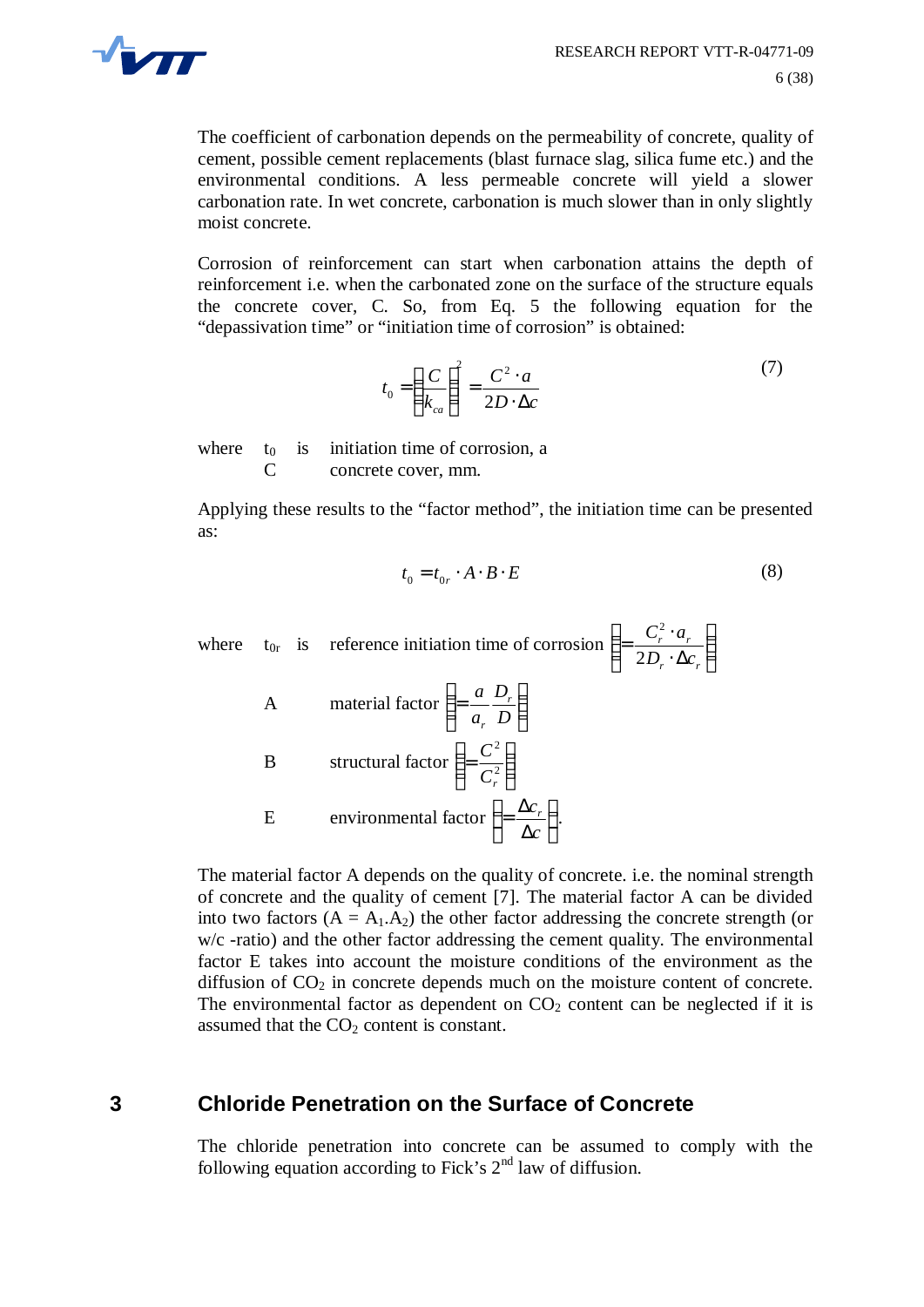

The coefficient of carbonation depends on the permeability of concrete, quality of cement, possible cement replacements (blast furnace slag, silica fume etc.) and the environmental conditions. A less permeable concrete will yield a slower carbonation rate. In wet concrete, carbonation is much slower than in only slightly moist concrete.

Corrosion of reinforcement can start when carbonation attains the depth of reinforcement i.e. when the carbonated zone on the surface of the structure equals the concrete cover, C. So, from Eq. 5 the following equation for the "depassivation time" or "initiation time of corrosion" is obtained:

$$
t_0 = \left(\frac{C}{k_{ca}}\right)^2 = \frac{C^2 \cdot a}{2D \cdot \Delta c} \tag{7}
$$

where  $t_0$  is initiation time of corrosion, a C concrete cover, mm.

Applying these results to the "factor method", the initiation time can be presented as:

$$
t_0 = t_{0r} \cdot A \cdot B \cdot E \tag{8}
$$

where 
$$
t_{0r}
$$
 is reference initiation time of corrosion  $\left( = \frac{C_r^2 \cdot a_r}{2D_r \cdot \Delta c_r} \right)$   
\nA material factor  $\left( = \frac{a}{a_r} \frac{D_r}{D} \right)$   
\nB structural factor  $\left( = \frac{C^2}{C_r^2} \right)$   
\nE environmental factor  $\left( = \frac{\Delta c_r}{\Delta c} \right)$ .

The material factor A depends on the quality of concrete. i.e. the nominal strength of concrete and the quality of cement [7]. The material factor A can be divided into two factors  $(A = A_1.A_2)$  the other factor addressing the concrete strength (or w/c -ratio) and the other factor addressing the cement quality. The environmental factor E takes into account the moisture conditions of the environment as the diffusion of  $CO<sub>2</sub>$  in concrete depends much on the moisture content of concrete. The environmental factor as dependent on  $CO<sub>2</sub>$  content can be neglected if it is assumed that the  $CO<sub>2</sub>$  content is constant.

# **3 Chloride Penetration on the Surface of Concrete**

The chloride penetration into concrete can be assumed to comply with the following equation according to Fick's  $2<sup>nd</sup>$  law of diffusion.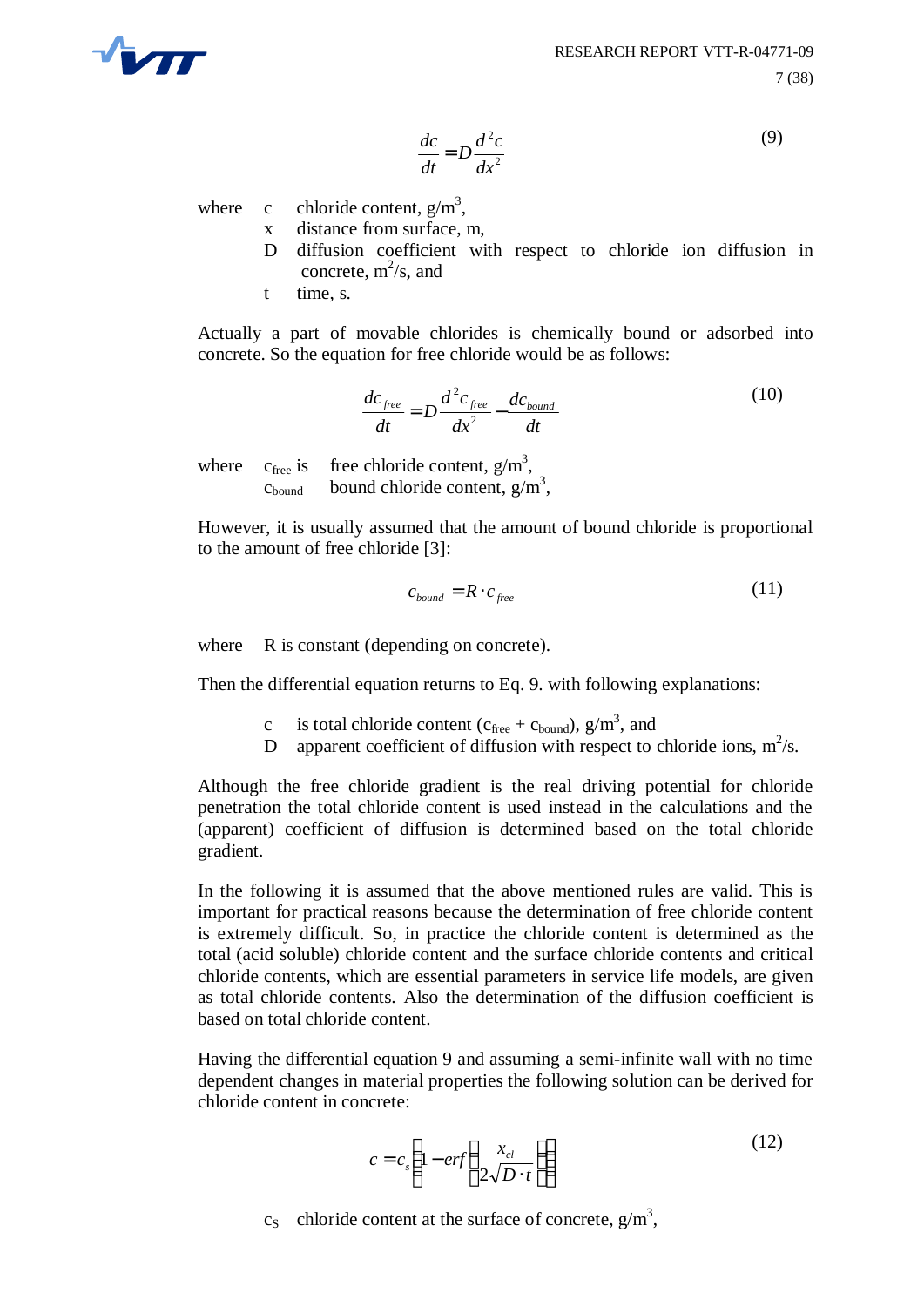

$$
\frac{dc}{dt} = D\frac{d^2c}{dx^2} \tag{9}
$$

where c chloride content,  $g/m^3$ ,

- x distance from surface, m,
- D diffusion coefficient with respect to chloride ion diffusion in concrete,  $m^2/s$ , and
- t time, s.

Actually a part of movable chlorides is chemically bound or adsorbed into concrete. So the equation for free chloride would be as follows:

$$
\frac{dc_{free}}{dt} = D \frac{d^2 c_{free}}{dx^2} - \frac{dc_{bound}}{dt}
$$
 (10)

where  $c_{\text{free}}$  is free chloride content,  $g/m^3$ ,  $c_{\text{bound}}$  bound chloride content,  $g/m^3$ ,

However, it is usually assumed that the amount of bound chloride is proportional to the amount of free chloride [3]:

$$
c_{bound} = R \cdot c_{free} \tag{11}
$$

where R is constant (depending on concrete).

Then the differential equation returns to Eq. 9. with following explanations:

- c is total chloride content ( $c_{\text{free}} + c_{\text{bound}}$ ),  $g/m^3$ , and
- D apparent coefficient of diffusion with respect to chloride ions,  $m^2/s$ .

Although the free chloride gradient is the real driving potential for chloride penetration the total chloride content is used instead in the calculations and the (apparent) coefficient of diffusion is determined based on the total chloride gradient.

In the following it is assumed that the above mentioned rules are valid. This is important for practical reasons because the determination of free chloride content is extremely difficult. So, in practice the chloride content is determined as the total (acid soluble) chloride content and the surface chloride contents and critical chloride contents, which are essential parameters in service life models, are given as total chloride contents. Also the determination of the diffusion coefficient is based on total chloride content.

Having the differential equation 9 and assuming a semi-infinite wall with no time dependent changes in material properties the following solution can be derived for chloride content in concrete:

$$
c = c_s \left( 1 - erf \left( \frac{x_{cl}}{2\sqrt{D \cdot t}} \right) \right)
$$
 (12)

 $c_S$  chloride content at the surface of concrete,  $g/m^3$ ,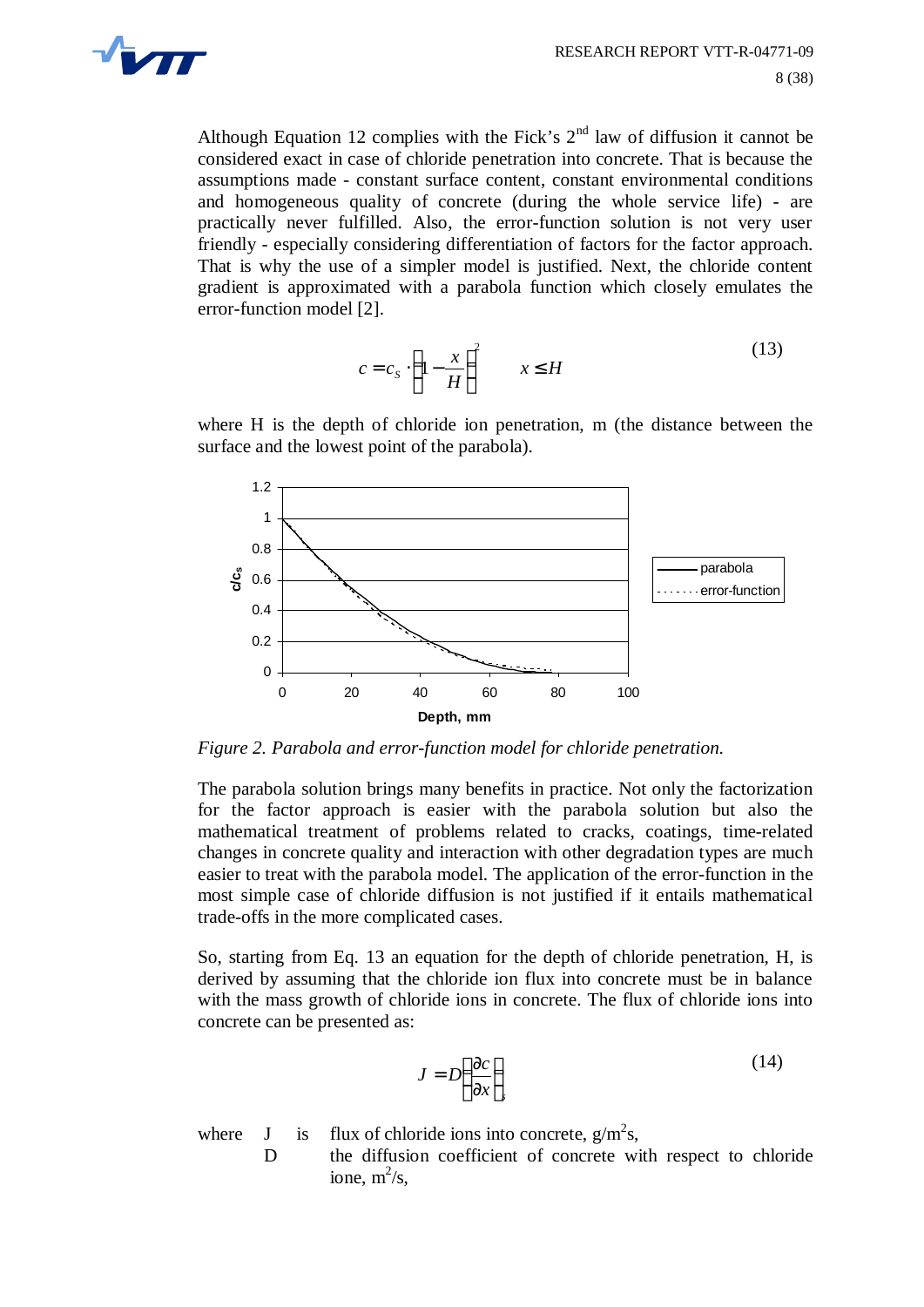

Although Equation 12 complies with the Fick's  $2<sup>nd</sup>$  law of diffusion it cannot be considered exact in case of chloride penetration into concrete. That is because the assumptions made - constant surface content, constant environmental conditions and homogeneous quality of concrete (during the whole service life) - are practically never fulfilled. Also, the error-function solution is not very user friendly - especially considering differentiation of factors for the factor approach. That is why the use of a simpler model is justified. Next, the chloride content gradient is approximated with a parabola function which closely emulates the error-function model [2].

$$
c = c_S \cdot \left(1 - \frac{x}{H}\right)^2 \qquad x \le H \tag{13}
$$

where H is the depth of chloride ion penetration, m (the distance between the surface and the lowest point of the parabola).



*Figure 2. Parabola and error-function model for chloride penetration.*

The parabola solution brings many benefits in practice. Not only the factorization for the factor approach is easier with the parabola solution but also the mathematical treatment of problems related to cracks, coatings, time-related changes in concrete quality and interaction with other degradation types are much easier to treat with the parabola model. The application of the error-function in the most simple case of chloride diffusion is not justified if it entails mathematical trade-offs in the more complicated cases.

So, starting from Eq. 13 an equation for the depth of chloride penetration, H, is derived by assuming that the chloride ion flux into concrete must be in balance with the mass growth of chloride ions in concrete. The flux of chloride ions into concrete can be presented as:

$$
J = D\left(\frac{\partial c}{\partial x}\right)_{s} \tag{14}
$$

where  $J$  is flux of chloride ions into concrete,  $g/m^2s$ ,

D the diffusion coefficient of concrete with respect to chloride ione,  $m^2/s$ ,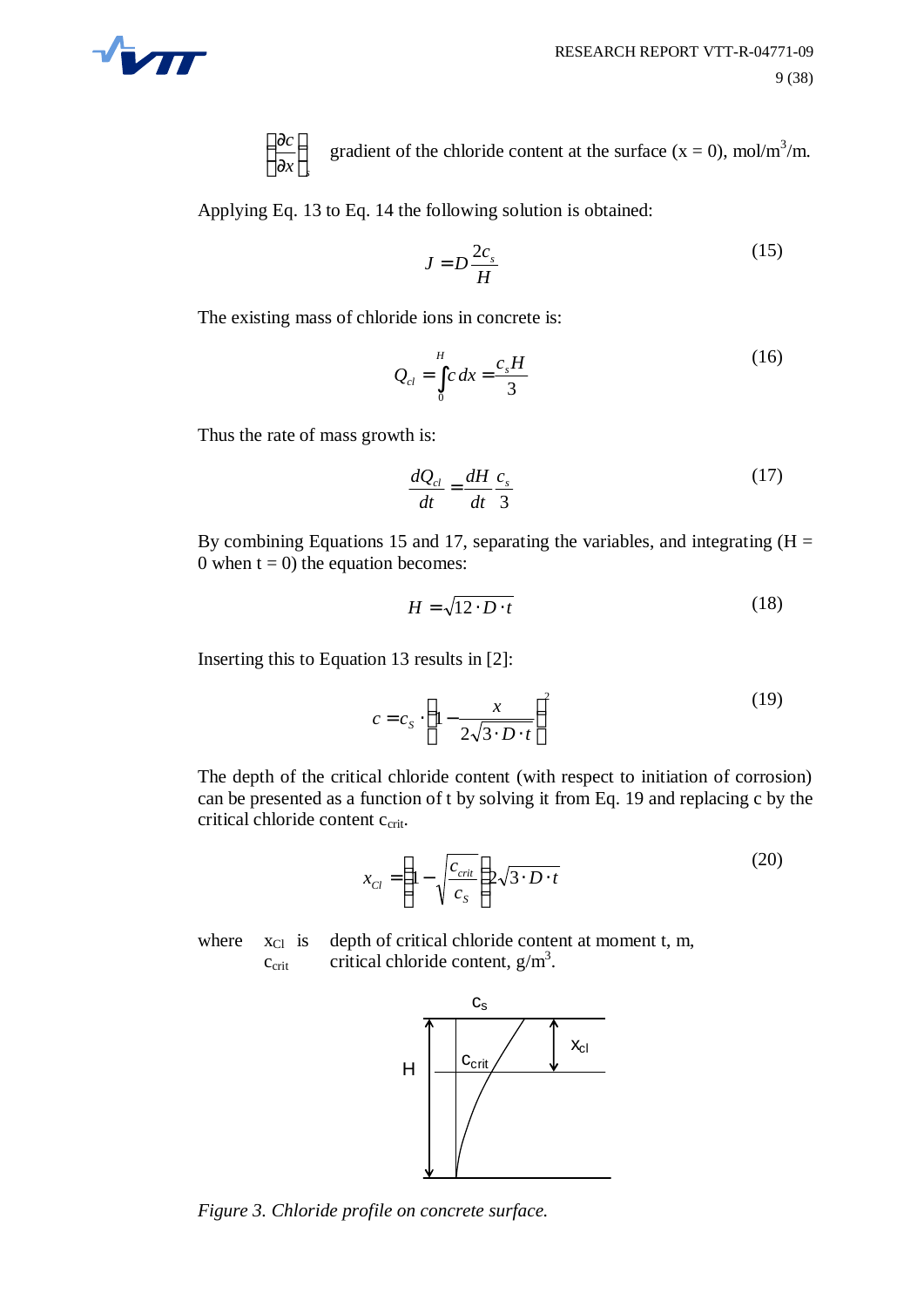

*s x c*  $\overline{1}$  $\left(\frac{\partial c}{\partial t}\right)^{n}$ l ſ ∂ ∂ gradient of the chloride content at the surface  $(x = 0)$ , mol/m<sup>3</sup>/m.

Applying Eq. 13 to Eq. 14 the following solution is obtained:

$$
J = D \frac{2c_s}{H}
$$
 (15)

The existing mass of chloride ions in concrete is:

$$
Q_{cl} = \int_{0}^{H} c \, dx = \frac{c_s H}{3} \tag{16}
$$

Thus the rate of mass growth is:

$$
\frac{dQ_{cl}}{dt} = \frac{dH}{dt}\frac{c_s}{3}
$$
 (17)

By combining Equations 15 and 17, separating the variables, and integrating  $(H =$ 0 when  $t = 0$ ) the equation becomes:

$$
H = \sqrt{12 \cdot D \cdot t} \tag{18}
$$

Inserting this to Equation 13 results in [2]:

$$
c = c_s \cdot \left(1 - \frac{x}{2\sqrt{3 \cdot D \cdot t}}\right)^2 \tag{19}
$$

The depth of the critical chloride content (with respect to initiation of corrosion) can be presented as a function of t by solving it from Eq. 19 and replacing c by the critical chloride content c<sub>crit</sub>.

$$
x_{Cl} = \left(1 - \sqrt{\frac{c_{crit}}{c_S}}\right) 2\sqrt{3 \cdot D \cdot t}
$$
 (20)

where  $x_{\text{Cl}}$  is depth of critical chloride content at moment t, m,  $c_{\text{crit}}$  critical chloride content,  $g/m<sup>3</sup>$ .



*Figure 3. Chloride profile on concrete surface.*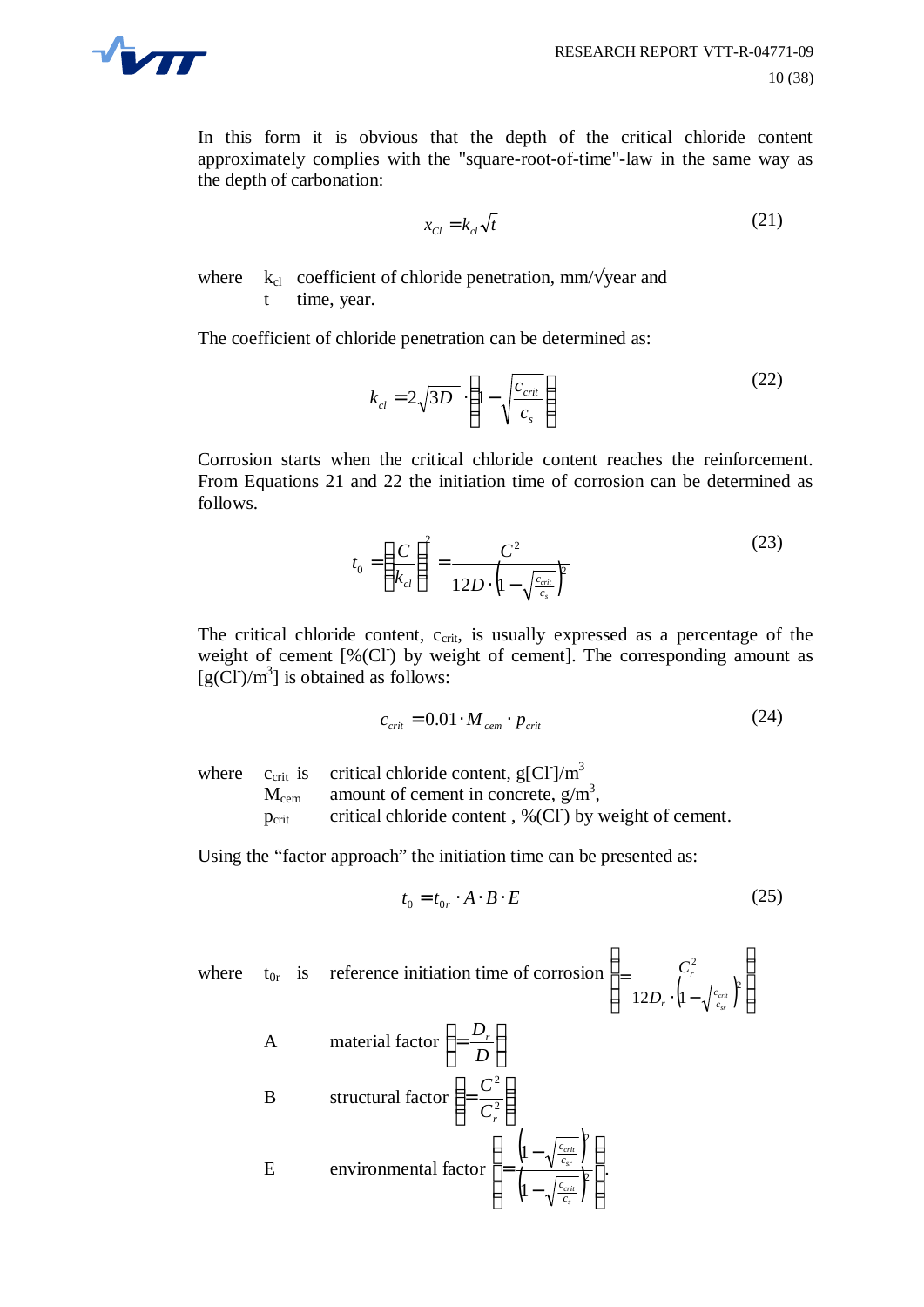

In this form it is obvious that the depth of the critical chloride content approximately complies with the "square-root-of-time"-law in the same way as the depth of carbonation:

$$
x_{Cl} = k_{cl} \sqrt{t} \tag{21}
$$

where  $k_{cl}$  coefficient of chloride penetration, mm/ $\sqrt{year}$  and t time, year.

The coefficient of chloride penetration can be determined as:

$$
k_{cl} = 2\sqrt{3D} \cdot \left(1 - \sqrt{\frac{c_{crit}}{c_s}}\right)
$$
 (22)

Corrosion starts when the critical chloride content reaches the reinforcement. From Equations 21 and 22 the initiation time of corrosion can be determined as follows.

$$
t_0 = \left(\frac{C}{k_{cl}}\right)^2 = \frac{C^2}{12D \cdot \left(1 - \sqrt{\frac{c_{crit}}{c_s}}\right)^2}
$$
 (23)

The critical chloride content, c<sub>crit</sub>, is usually expressed as a percentage of the weight of cement  $[% (CI)$  by weight of cement]. The corresponding amount as  $[g(CI)/m^3]$  is obtained as follows:

$$
c_{\text{crit}} = 0.01 \cdot M_{\text{cem}} \cdot p_{\text{crit}} \tag{24}
$$

where  $c_{\text{crit}}$  is critical chloride content,  $g[\text{CI}]/\text{m}^3$  $M_{\text{cem}}$  amount of cement in concrete,  $g/m^3$ ,  $p_{\text{crit}}$  critical chloride content, %(Cl<sup>-</sup>) by weight of cement.

Using the "factor approach" the initiation time can be presented as:

$$
t_0 = t_{0r} \cdot A \cdot B \cdot E \tag{25}
$$

where 
$$
t_{0r}
$$
 is reference initiation time of corrosion  $\left( = \frac{C_r^2}{12D_r \cdot \left(1 - \sqrt{\frac{c_{\text{crit}}}{c_s}}\right)^2} \right)$   
\nA material factor  $\left( = \frac{D_r}{D} \right)$   
\nB structural factor  $\left( = \frac{C^2}{C_r^2} \right)$   
\nE environmental factor  $\left( = \frac{\left(1 - \sqrt{\frac{c_{\text{crit}}}{c_s}}\right)^2}{\left(1 - \sqrt{\frac{c_{\text{crit}}}{c_s}}\right)^2} \right)$ .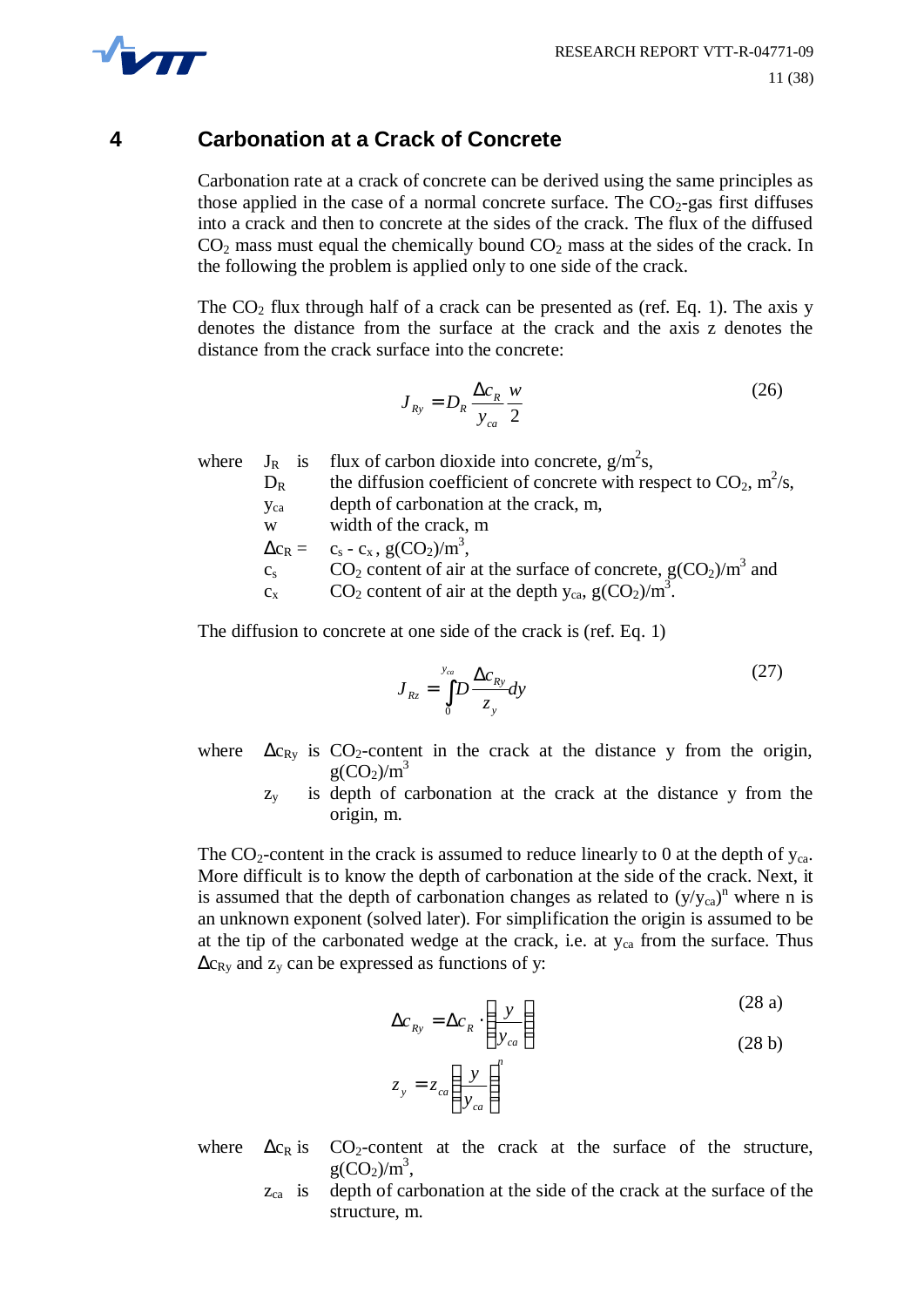

# **4 Carbonation at a Crack of Concrete**

Carbonation rate at a crack of concrete can be derived using the same principles as those applied in the case of a normal concrete surface. The  $CO<sub>2</sub>$ -gas first diffuses into a crack and then to concrete at the sides of the crack. The flux of the diffused  $CO<sub>2</sub>$  mass must equal the chemically bound  $CO<sub>2</sub>$  mass at the sides of the crack. In the following the problem is applied only to one side of the crack.

The  $CO<sub>2</sub>$  flux through half of a crack can be presented as (ref. Eq. 1). The axis y denotes the distance from the surface at the crack and the axis z denotes the distance from the crack surface into the concrete:

$$
J_{Ry} = D_R \frac{\Delta c_R}{y_{ca}} \frac{w}{2}
$$
 (26)

|             | where $J_R$ is flux of carbon dioxide into concrete, $g/m^2 s$ ,         |
|-------------|--------------------------------------------------------------------------|
| $D_R$       | the diffusion coefficient of concrete with respect to $CO_2$ , $m^2/s$ , |
| <b>Y</b> ca | depth of carbonation at the crack, m,                                    |
| W           | width of the crack, m                                                    |
|             | $\Delta c_R = c_s - c_x, g(CO_2)/m^3,$                                   |
| $C_{S}$     | $CO2$ content of air at the surface of concrete, $g(CO2)/m3$ and         |
| $C_{\rm x}$ | $CO_2$ content of air at the depth $y_{ca}$ , $g(CO_2)/m^3$ .            |
|             |                                                                          |

The diffusion to concrete at one side of the crack is (ref. Eq. 1)

$$
J_{Rz} = \int_{0}^{y_{cg}} D \frac{\Delta c_{Ry}}{z_y} dy
$$
 (27)

where  $\Delta c_{\text{Ry}}$  is CO<sub>2</sub>-content in the crack at the distance y from the origin,  $g(CO_2)/m^3$ 

> $z<sub>y</sub>$  is depth of carbonation at the crack at the distance y from the origin, m.

The  $CO_2$ -content in the crack is assumed to reduce linearly to 0 at the depth of  $y_{ca}$ . More difficult is to know the depth of carbonation at the side of the crack. Next, it is assumed that the depth of carbonation changes as related to  $(y/y_{ca})^n$  where n is an unknown exponent (solved later). For simplification the origin is assumed to be at the tip of the carbonated wedge at the crack, i.e. at  $y_{ca}$  from the surface. Thus  $\Delta c_{\text{Ry}}$  and  $z_y$  can be expressed as functions of y:

$$
\Delta c_{Ry} = \Delta c_R \cdot \left(\frac{y}{y_{ca}}\right)
$$
\n(28 a)  
\n
$$
z_y = z_{ca} \left(\frac{y}{y_{ca}}\right)^n
$$
\n(28 b)

- where  $\Delta c_R$  is CO<sub>2</sub>-content at the crack at the surface of the structure,  $g(CO_2)/m^3$ ,
	- $z_{ca}$  is depth of carbonation at the side of the crack at the surface of the structure, m.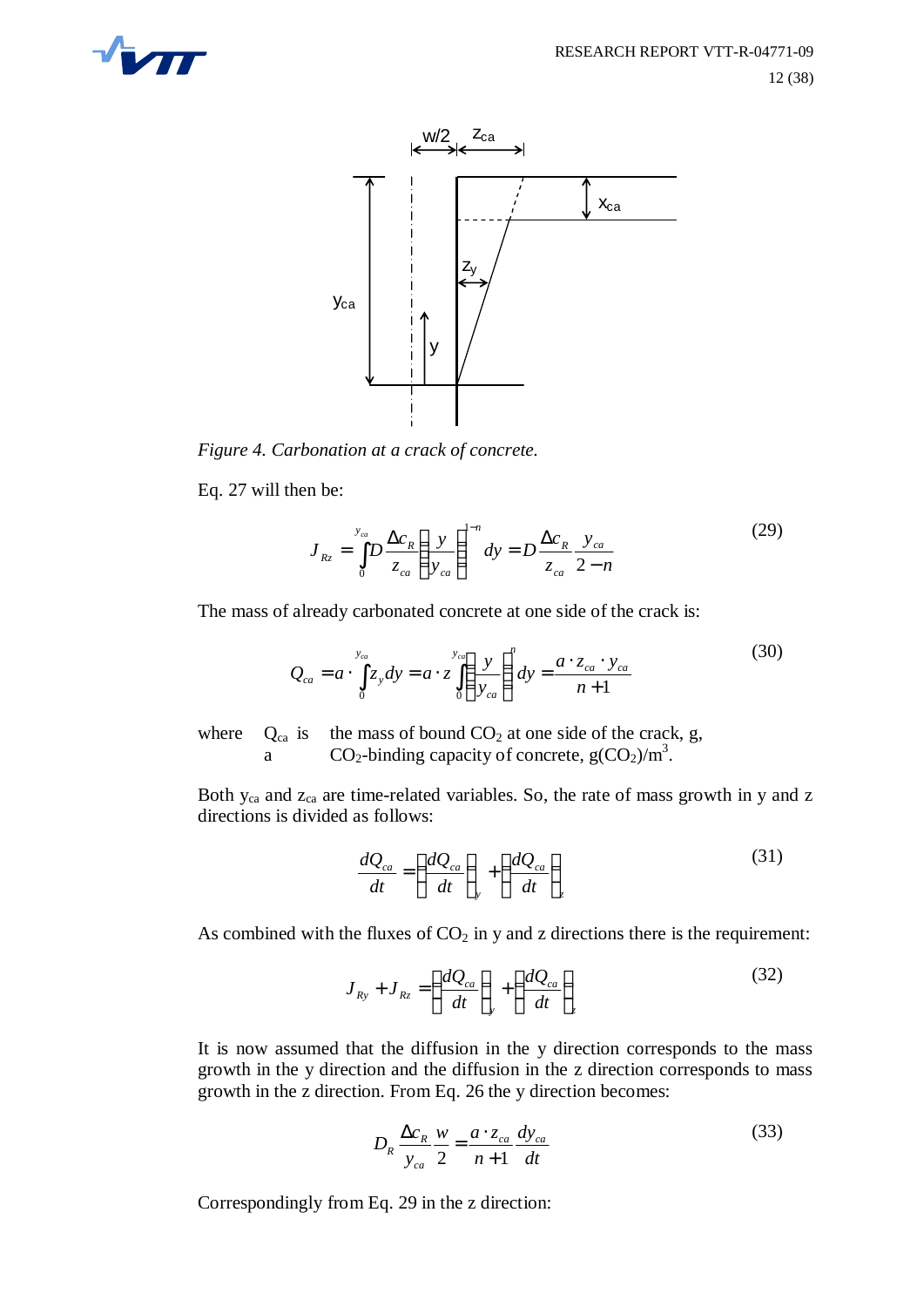



*Figure 4. Carbonation at a crack of concrete.*

Eq. 27 will then be:

$$
J_{Rz} = \int_{0}^{y_{ca}} D \frac{\Delta c_R}{z_{ca}} \left( \frac{y}{y_{ca}} \right)^{1-n} dy = D \frac{\Delta c_R}{z_{ca}} \frac{y_{ca}}{2-n}
$$
(29)

The mass of already carbonated concrete at one side of the crack is:

$$
Q_{ca} = a \cdot \int_{0}^{y_{ca}} z_y dy = a \cdot z \int_{0}^{y_{ca}} \left(\frac{y}{y_{ca}}\right)^n dy = \frac{a \cdot z_{ca} \cdot y_{ca}}{n+1}
$$
(30)

where  $Q_{ca}$  is the mass of bound  $CO<sub>2</sub>$  at one side of the crack, g, a  $CO_2$ -binding capacity of concrete,  $g(CO_2)/m^3$ .

Both y<sub>ca</sub> and z<sub>ca</sub> are time-related variables. So, the rate of mass growth in y and z directions is divided as follows:

$$
\frac{dQ_{ca}}{dt} = \left(\frac{dQ_{ca}}{dt}\right)_y + \left(\frac{dQ_{ca}}{dt}\right)_z
$$
\n(31)

As combined with the fluxes of  $CO<sub>2</sub>$  in y and z directions there is the requirement:

$$
J_{Ry} + J_{Rz} = \left(\frac{dQ_{ca}}{dt}\right)_y + \left(\frac{dQ_{ca}}{dt}\right)_z \tag{32}
$$

It is now assumed that the diffusion in the y direction corresponds to the mass growth in the y direction and the diffusion in the z direction corresponds to mass growth in the z direction. From Eq. 26 the y direction becomes:

$$
D_R \frac{\Delta c_R}{y_{ca}} \frac{w}{2} = \frac{a \cdot z_{ca}}{n+1} \frac{dy_{ca}}{dt}
$$
 (33)

Correspondingly from Eq. 29 in the z direction: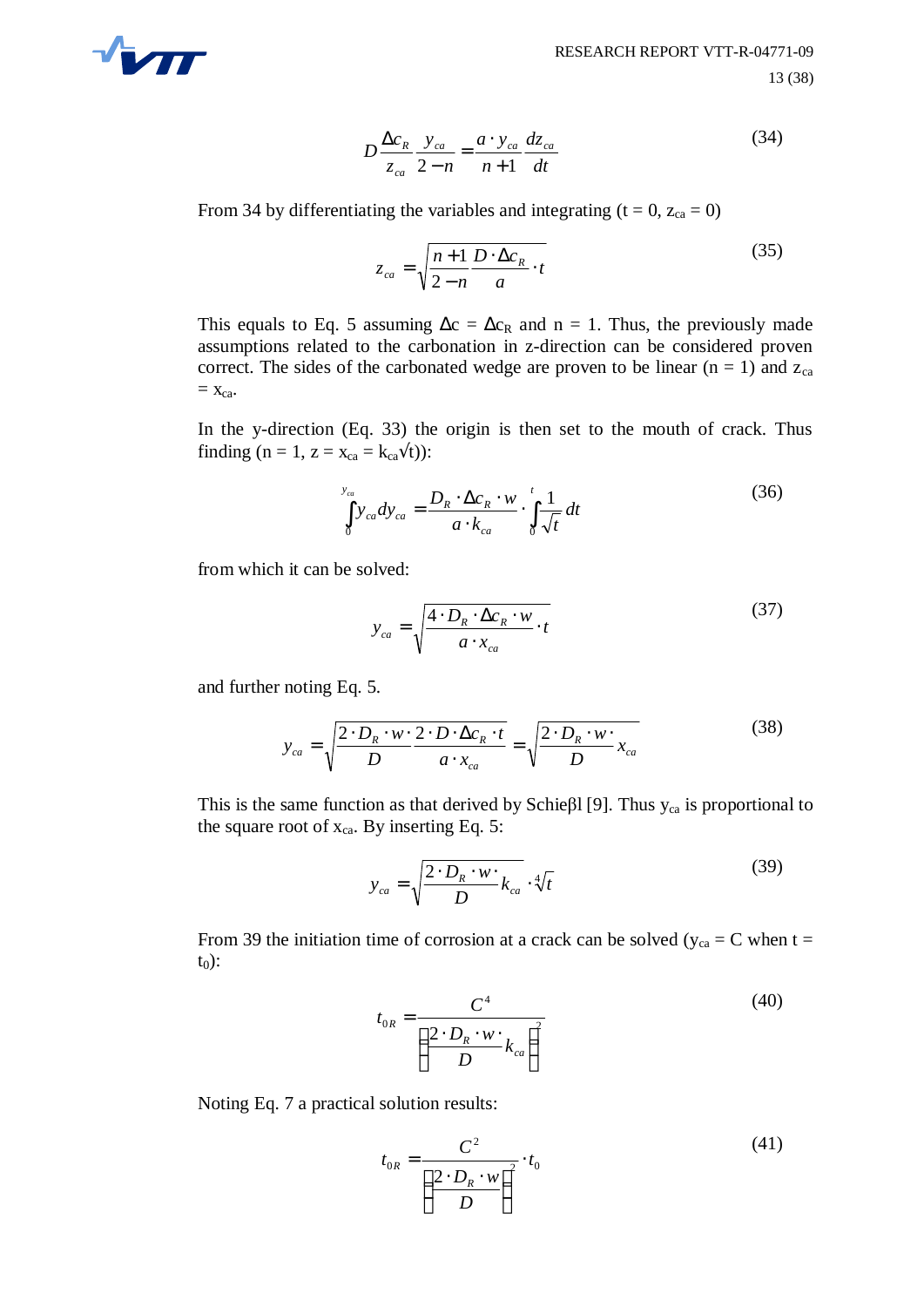

$$
D\frac{\Delta c_R}{z_{ca}}\frac{y_{ca}}{2-n} = \frac{a \cdot y_{ca}}{n+1}\frac{dz_{ca}}{dt}
$$
(34)

From 34 by differentiating the variables and integrating ( $t = 0$ ,  $z_{ca} = 0$ )

$$
z_{ca} = \sqrt{\frac{n+1}{2-n} \frac{D \cdot \Delta c_R}{a} \cdot t}
$$
 (35)

This equals to Eq. 5 assuming  $\Delta c = \Delta c_R$  and n = 1. Thus, the previously made assumptions related to the carbonation in z-direction can be considered proven correct. The sides of the carbonated wedge are proven to be linear  $(n = 1)$  and  $z_{ca}$  $=$   $X_{ca}$ .

In the y-direction (Eq. 33) the origin is then set to the mouth of crack. Thus finding (n = 1, z =  $x_{ca} = k_{ca} \dot{\vee} t$ ):

$$
\int_{0}^{y_{ca}} y_{ca} dy_{ca} = \frac{D_R \cdot \Delta c_R \cdot w}{a \cdot k_{ca}} \cdot \int_{0}^{t} \frac{1}{\sqrt{t}} dt
$$
\n(36)

from which it can be solved:

$$
y_{ca} = \sqrt{\frac{4 \cdot D_R \cdot \Delta c_R \cdot w}{a \cdot x_{ca}} \cdot t} \tag{37}
$$

and further noting Eq. 5.

$$
y_{ca} = \sqrt{\frac{2 \cdot D_R \cdot w \cdot 2 \cdot D \cdot \Delta c_R \cdot t}{D} = \sqrt{\frac{2 \cdot D_R \cdot w \cdot}{D} x_{ca}} \tag{38}
$$

This is the same function as that derived by Schießl [9]. Thus  $y_{ca}$  is proportional to the square root of  $x_{ca}$ . By inserting Eq. 5:

$$
y_{ca} = \sqrt{\frac{2 \cdot D_R \cdot w \cdot L_{ca}}{D}} \cdot \sqrt[4]{t}
$$
 (39)

From 39 the initiation time of corrosion at a crack can be solved ( $y_{ca} = C$  when t =  $t_0$ :

$$
t_{0R} = \frac{C^4}{\left(\frac{2 \cdot D_R \cdot w \cdot}{D} k_{ca}\right)^2}
$$
 (40)

Noting Eq. 7 a practical solution results:

$$
t_{0R} = \frac{C^2}{\left(\frac{2 \cdot D_R \cdot w}{D}\right)^2} \cdot t_0
$$
 (41)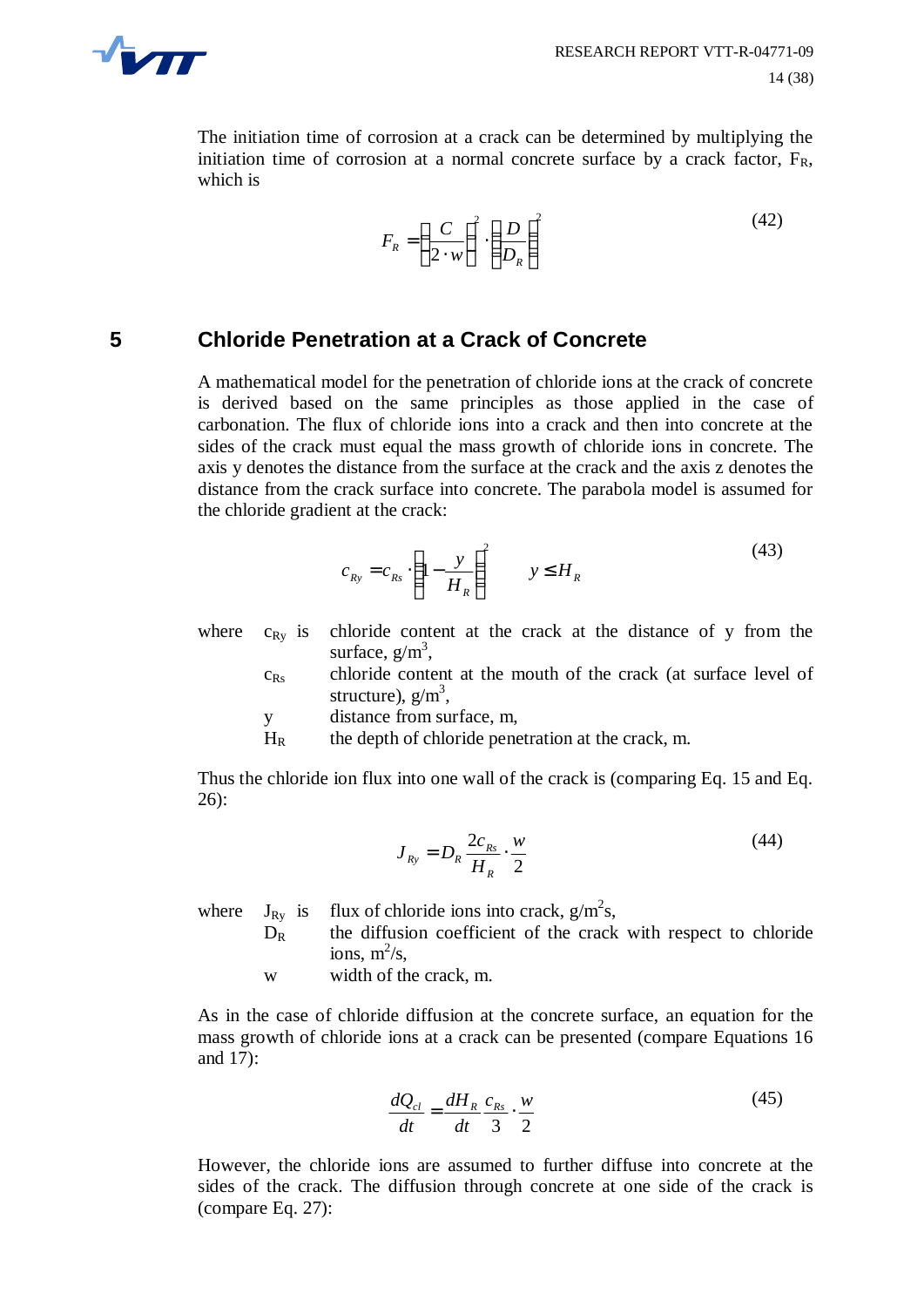

The initiation time of corrosion at a crack can be determined by multiplying the initiation time of corrosion at a normal concrete surface by a crack factor,  $F_R$ , which is

$$
F_R = \left(\frac{C}{2 \cdot w}\right)^2 \cdot \left(\frac{D}{D_R}\right)^2 \tag{42}
$$

### **5 Chloride Penetration at a Crack of Concrete**

A mathematical model for the penetration of chloride ions at the crack of concrete is derived based on the same principles as those applied in the case of carbonation. The flux of chloride ions into a crack and then into concrete at the sides of the crack must equal the mass growth of chloride ions in concrete. The axis y denotes the distance from the surface at the crack and the axis z denotes the distance from the crack surface into concrete. The parabola model is assumed for the chloride gradient at the crack:

$$
c_{Ry} = c_{Rs} \cdot \left(1 - \frac{y}{H_R}\right)^2 \qquad y \le H_R \tag{43}
$$

where  $c_{Ry}$  is chloride content at the crack at the distance of y from the surface,  $g/m^3$ ,

 $c_{\text{Rs}}$  chloride content at the mouth of the crack (at surface level of structure),  $g/m^3$ ,

y distance from surface, m,

 $H_R$  the depth of chloride penetration at the crack, m.

Thus the chloride ion flux into one wall of the crack is (comparing Eq. 15 and Eq. 26):

$$
J_{Ry} = D_R \frac{2c_{Rs}}{H_R} \cdot \frac{w}{2}
$$
 (44)

where  $J_{Ry}$  is flux of chloride ions into crack,  $g/m^2s$ ,

- $D_R$  the diffusion coefficient of the crack with respect to chloride ions,  $m^2/s$ ,
- w width of the crack, m.

As in the case of chloride diffusion at the concrete surface, an equation for the mass growth of chloride ions at a crack can be presented (compare Equations 16 and 17):

$$
\frac{dQ_{cl}}{dt} = \frac{dH_R}{dt} \frac{c_{Rs}}{3} \cdot \frac{w}{2}
$$
(45)

However, the chloride ions are assumed to further diffuse into concrete at the sides of the crack. The diffusion through concrete at one side of the crack is (compare Eq. 27):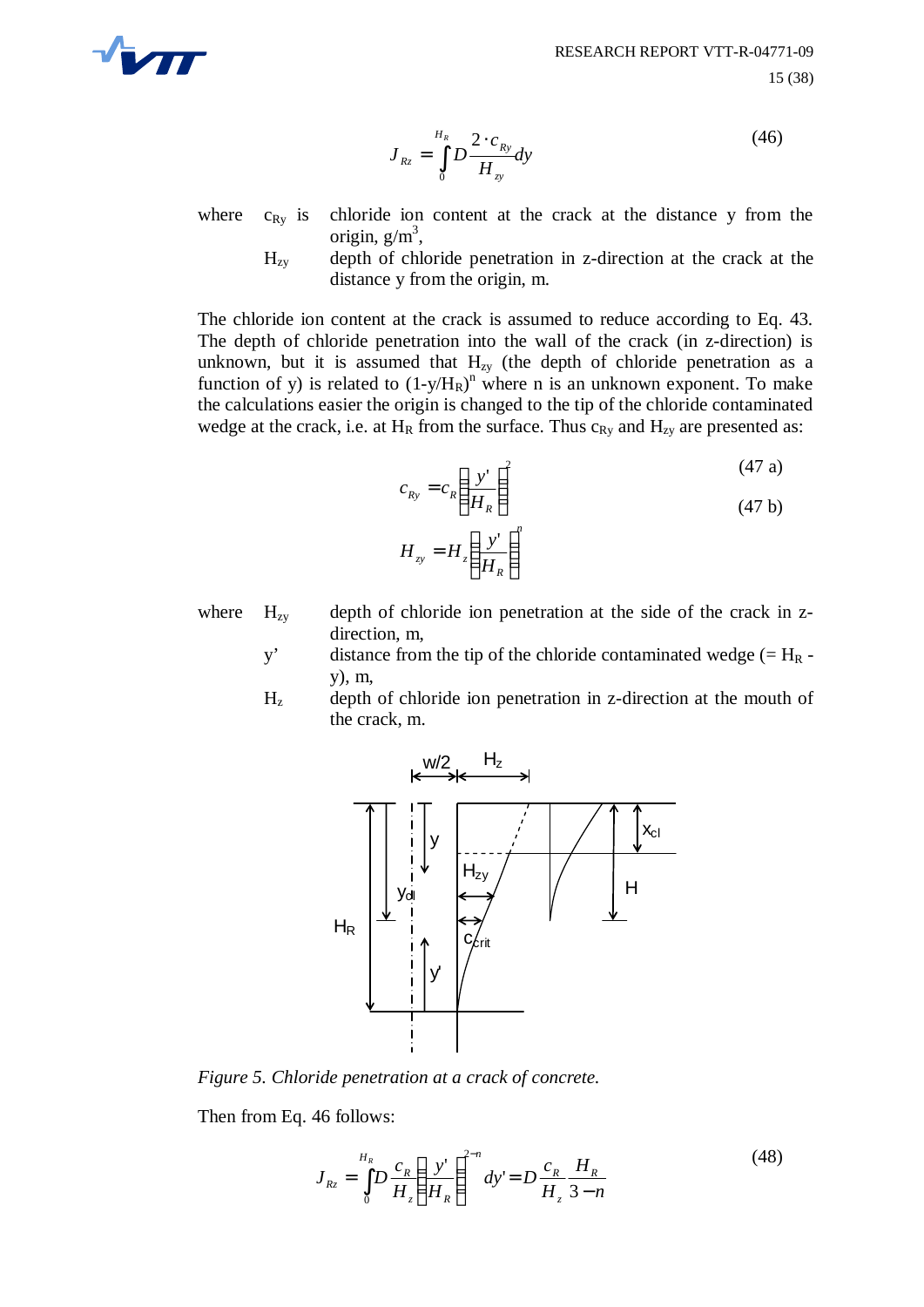

$$
J_{Rz} = \int_{0}^{H_R} D \frac{2 \cdot c_{Ry}}{H_{zy}} dy
$$
 (46)

where  $c_{Rv}$  is chloride ion content at the crack at the distance y from the origin,  $g/m^3$ ,

> $H_{zy}$  depth of chloride penetration in z-direction at the crack at the distance y from the origin, m.

The chloride ion content at the crack is assumed to reduce according to Eq. 43. The depth of chloride penetration into the wall of the crack (in z-direction) is unknown, but it is assumed that  $H_{zy}$  (the depth of chloride penetration as a function of y) is related to  $(1-y/H_R)^n$  where n is an unknown exponent. To make the calculations easier the origin is changed to the tip of the chloride contaminated wedge at the crack, i.e. at  $H_R$  from the surface. Thus  $c_{Ry}$  and  $H_{zy}$  are presented as:

$$
c_{Ry} = c_R \left(\frac{y'}{H_R}\right)^2
$$
(47 a)  

$$
H_{zy} = H_z \left(\frac{y'}{H_R}\right)^n
$$
(47 b)

- where  $H_{zy}$  depth of chloride ion penetration at the side of the crack in zdirection, m,
	- y' distance from the tip of the chloride contaminated wedge  $(= H_R$ y), m,
	- $H<sub>z</sub>$  depth of chloride ion penetration in z-direction at the mouth of the crack, m.



*Figure 5. Chloride penetration at a crack of concrete.*

Then from Eq. 46 follows:

$$
J_{Rz} = \int_{0}^{H_R} D \frac{c_R}{H_z} \left( \frac{y'}{H_R} \right)^{2-n} dy' = D \frac{c_R}{H_z} \frac{H_R}{3-n}
$$
(48)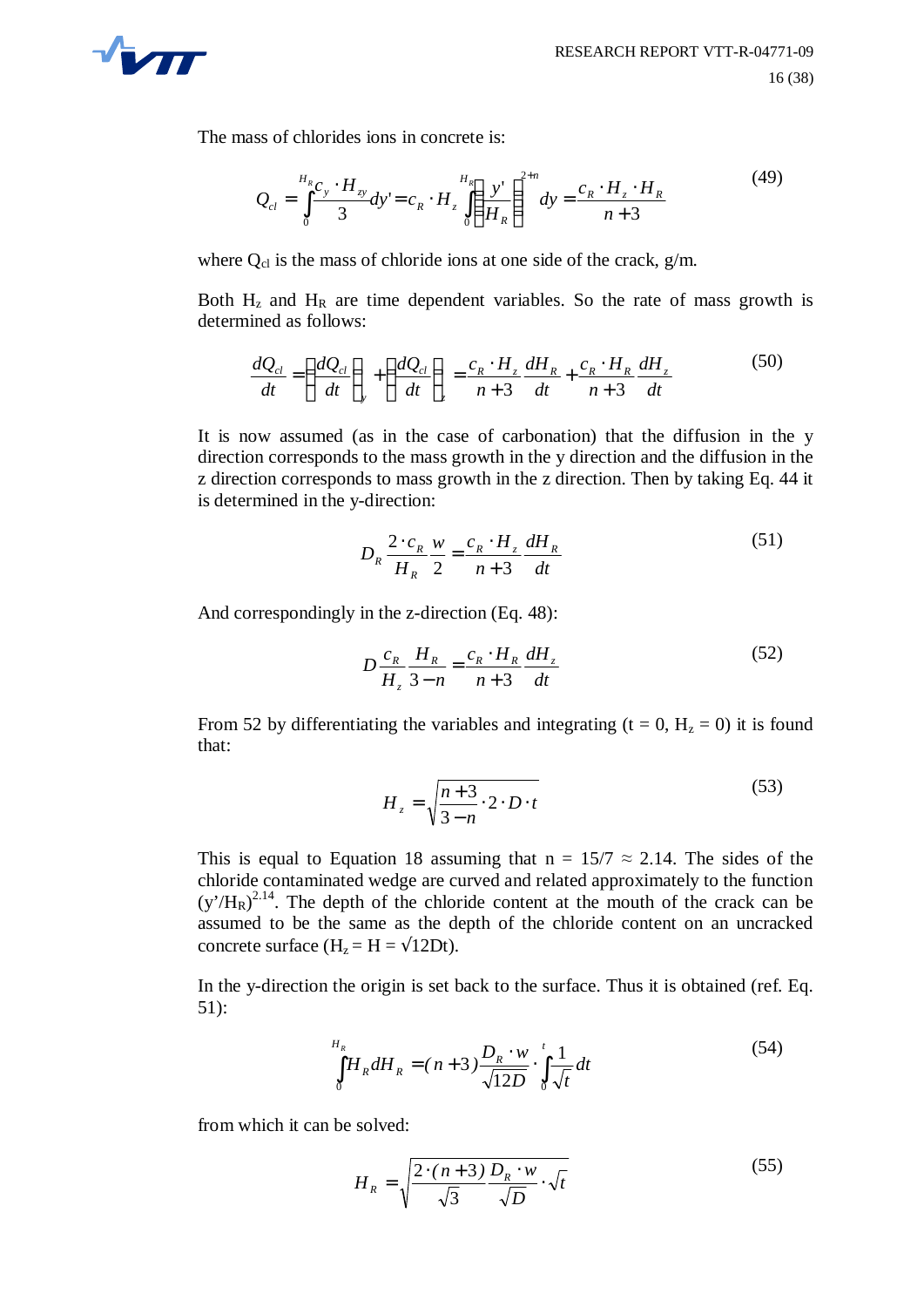

The mass of chlorides ions in concrete is:

$$
Q_{cl} = \int_{0}^{H_R} \frac{c_y \cdot H_{zy}}{3} dy = c_R \cdot H_z \int_{0}^{H_R} \left(\frac{y'}{H_R}\right)^{2+n} dy = \frac{c_R \cdot H_z \cdot H_R}{n+3}
$$
(49)

where  $Q_{cl}$  is the mass of chloride ions at one side of the crack,  $g/m$ .

Both  $H<sub>z</sub>$  and  $H<sub>R</sub>$  are time dependent variables. So the rate of mass growth is determined as follows:

$$
\frac{dQ_{cl}}{dt} = \left(\frac{dQ_{cl}}{dt}\right)_y + \left(\frac{dQ_{cl}}{dt}\right)_z = \frac{c_R \cdot H_z}{n+3} \frac{dH_R}{dt} + \frac{c_R \cdot H_R}{n+3} \frac{dH_z}{dt}
$$
(50)

It is now assumed (as in the case of carbonation) that the diffusion in the y direction corresponds to the mass growth in the y direction and the diffusion in the z direction corresponds to mass growth in the z direction. Then by taking Eq. 44 it is determined in the y-direction:

$$
D_R \frac{2 \cdot c_R}{H_R} \frac{w}{2} = \frac{c_R \cdot H_z}{n+3} \frac{dH_R}{dt}
$$
 (51)

And correspondingly in the z-direction (Eq. 48):

$$
D\frac{c_R}{H_z}\frac{H_R}{3-n} = \frac{c_R \cdot H_R}{n+3}\frac{dH_z}{dt}
$$
 (52)

From 52 by differentiating the variables and integrating ( $t = 0$ ,  $H_z = 0$ ) it is found that:

$$
H_z = \sqrt{\frac{n+3}{3-n} \cdot 2 \cdot D \cdot t}
$$
 (53)

This is equal to Equation 18 assuming that  $n = 15/7 \approx 2.14$ . The sides of the chloride contaminated wedge are curved and related approximately to the function  $(y'/H_R)^{2.14}$ . The depth of the chloride content at the mouth of the crack can be assumed to be the same as the depth of the chloride content on an uncracked concrete surface (H<sub>z</sub> = H =  $\sqrt{12Dt}$ ).

In the y-direction the origin is set back to the surface. Thus it is obtained (ref. Eq. 51):

$$
\int_{0}^{H_R} H_R dH_R = (n+3) \frac{D_R \cdot w}{\sqrt{12D}} \cdot \int_{0}^{t} \frac{1}{\sqrt{t}} dt
$$
\n(54)

from which it can be solved:

$$
H_R = \sqrt{\frac{2 \cdot (n+3)}{\sqrt{3}} \frac{D_R \cdot w}{\sqrt{D}} \cdot \sqrt{t}} \tag{55}
$$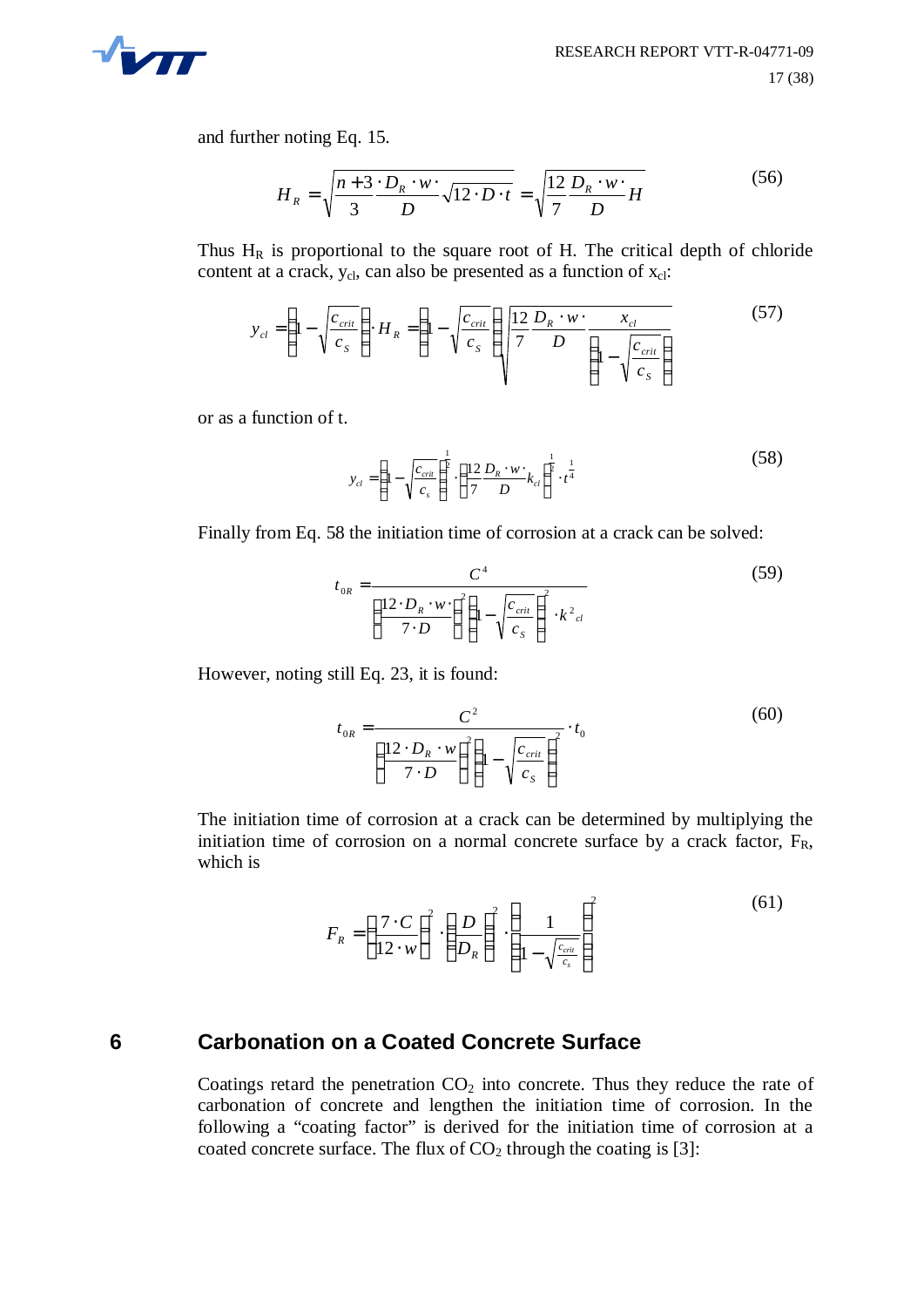

and further noting Eq. 15.

$$
H_R = \sqrt{\frac{n+3}{3} \cdot \frac{D_R \cdot w}{D} \sqrt{12 \cdot D \cdot t}} = \sqrt{\frac{12}{7} \frac{D_R \cdot w}{D} H}
$$
(56)

Thus  $H_R$  is proportional to the square root of H. The critical depth of chloride content at a crack, y<sub>cl</sub>, can also be presented as a function of x<sub>cl</sub>:

$$
y_{cl} = \left(1 - \sqrt{\frac{c_{crit}}{c_s}}\right) \cdot H_R = \left(1 - \sqrt{\frac{c_{crit}}{c_s}}\right) \sqrt{\frac{12}{7} \frac{D_R \cdot w \cdot}{D} \frac{x_{cl}}{\left(1 - \sqrt{\frac{c_{crit}}{c_s}}\right)}}\tag{57}
$$

or as a function of t.

$$
y_{cl} = \left(1 - \sqrt{\frac{c_{crit}}{c_s}}\right)^{\frac{1}{2}} \cdot \left(\frac{12}{7} \frac{D_R \cdot w}{D} k_{cl}\right)^{\frac{1}{2}} \cdot t^{\frac{1}{4}}
$$
(58)

Finally from Eq. 58 the initiation time of corrosion at a crack can be solved:

$$
t_{0R} = \frac{C^4}{\left(\frac{12 \cdot D_R \cdot w \cdot}{7 \cdot D}\right)^2 \left(1 - \sqrt{\frac{c_{crit}}{c_S}}\right)^2 \cdot k^2_{cl}}
$$
(59)

However, noting still Eq. 23, it is found:

$$
t_{0R} = \frac{C^2}{\left(\frac{12 \cdot D_R \cdot w}{7 \cdot D}\right)^2 \left(1 - \sqrt{\frac{c_{crit}}{c_S}}\right)^2} \cdot t_0
$$
\n(60)

The initiation time of corrosion at a crack can be determined by multiplying the initiation time of corrosion on a normal concrete surface by a crack factor,  $F_R$ , which is

$$
F_R = \left(\frac{7 \cdot C}{12 \cdot w}\right)^2 \cdot \left(\frac{D}{D_R}\right)^2 \cdot \left(\frac{1}{1 - \sqrt{\frac{c_{crit}}{c_s}}}\right)^2 \tag{61}
$$

#### **6 Carbonation on a Coated Concrete Surface**

Coatings retard the penetration  $CO<sub>2</sub>$  into concrete. Thus they reduce the rate of carbonation of concrete and lengthen the initiation time of corrosion. In the following a "coating factor" is derived for the initiation time of corrosion at a coated concrete surface. The flux of  $CO<sub>2</sub>$  through the coating is [3]: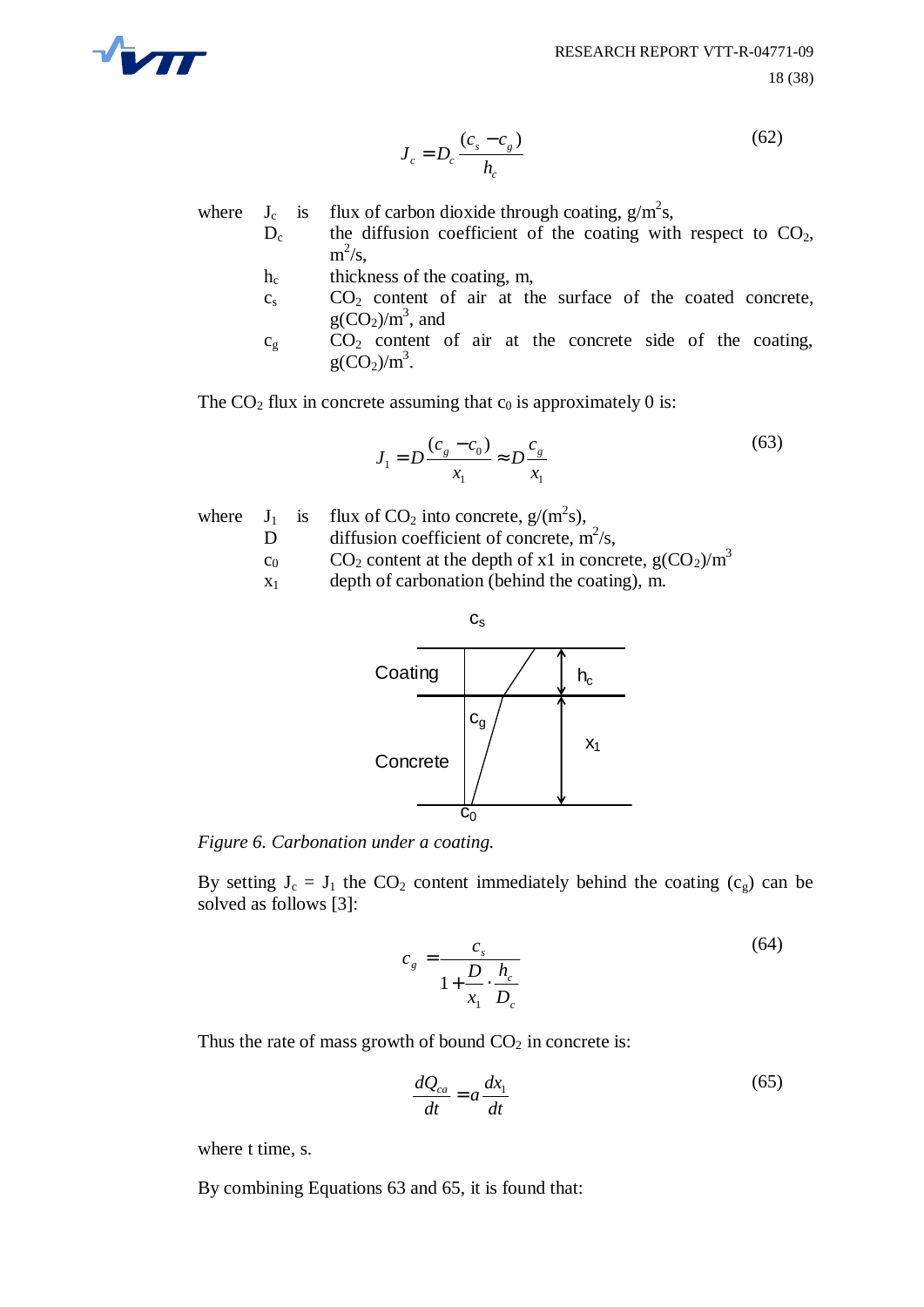

$$
J_c = D_c \frac{(c_s - c_g)}{h_c} \tag{62}
$$

where  $J_c$  is flux of carbon dioxide through coating,  $g/m^2s$ ,

- $D_c$  the diffusion coefficient of the coating with respect to  $CO<sub>2</sub>$ ,  $m^2/s$ ,
- h<sub>c</sub> thickness of the coating, m,
- $c_s$  CO<sub>2</sub> content of air at the surface of the coated concrete,  $g(CO_2)/m^3$ , and
- $c_g$  CO<sub>2</sub> content of air at the concrete side of the coating,  $g(CO_2)/m^3$ .

The  $CO<sub>2</sub>$  flux in concrete assuming that  $c<sub>0</sub>$  is approximately 0 is:

$$
J_1 = D \frac{(c_g - c_0)}{x_1} \approx D \frac{c_g}{x_1}
$$
 (63)

- where  $J_1$  is flux of CO<sub>2</sub> into concrete,  $g/(m^2s)$ ,
	- D diffusion coefficient of concrete,  $m^2/s$ ,
	- $c_0$  CO<sub>2</sub> content at the depth of x1 in concrete,  $g(CO_2)/m^3$
	- $x_1$  depth of carbonation (behind the coating), m.



*Figure 6. Carbonation under a coating.*

By setting  $J_c = J_1$  the  $CO_2$  content immediately behind the coating  $(c_g)$  can be solved as follows [3]:

$$
c_g = \frac{c_s}{1 + \frac{D}{x_1} \cdot \frac{h_c}{D_c}}
$$
(64)

Thus the rate of mass growth of bound  $CO<sub>2</sub>$  in concrete is:

$$
\frac{dQ_{ca}}{dt} = a\frac{dx_1}{dt} \tag{65}
$$

where t time, s.

By combining Equations 63 and 65, it is found that: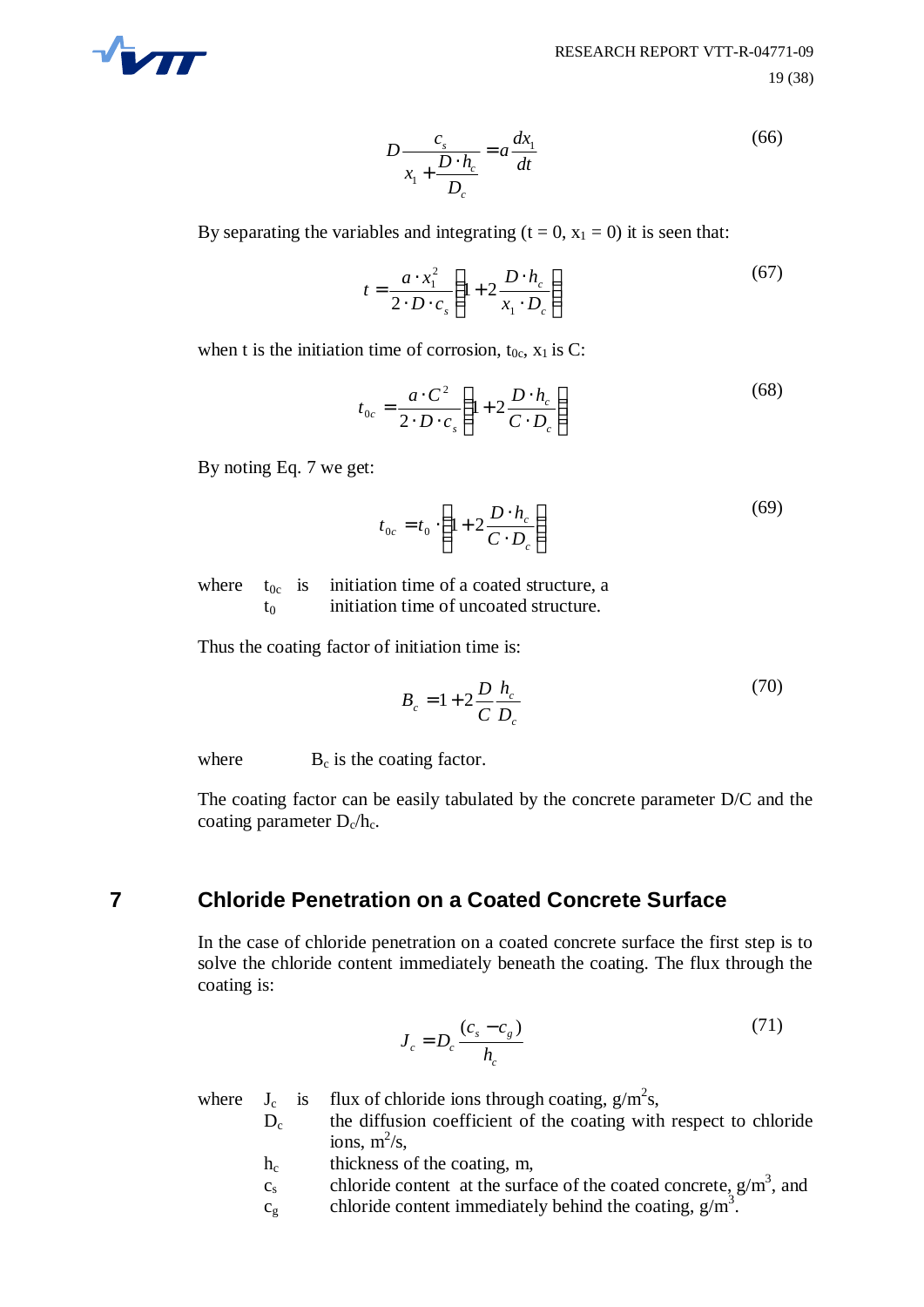

$$
D\frac{c_s}{x_1 + \frac{D \cdot h_c}{D_c}} = a\frac{dx_1}{dt}
$$
\n(66)

By separating the variables and integrating  $(t = 0, x_1 = 0)$  it is seen that:

$$
t = \frac{a \cdot x_1^2}{2 \cdot D \cdot c_s} \left( 1 + 2 \frac{D \cdot h_c}{x_1 \cdot D_c} \right)
$$
 (67)

when t is the initiation time of corrosion,  $t_{0c}$ ,  $x_1$  is C:

$$
t_{0c} = \frac{a \cdot C^2}{2 \cdot D \cdot c_s} \left( 1 + 2 \frac{D \cdot h_c}{C \cdot D_c} \right)
$$
 (68)

By noting Eq. 7 we get:

$$
t_{0c} = t_0 \cdot \left(1 + 2\frac{D \cdot h_c}{C \cdot D_c}\right) \tag{69}
$$

where  $t_{0c}$  is initiation time of a coated structure, a t<sub>0</sub> initiation time of uncoated structure.

Thus the coating factor of initiation time is:

$$
B_c = 1 + 2 \frac{D}{C} \frac{h_c}{D_c}
$$
 (70)

where  $B_c$  is the coating factor.

The coating factor can be easily tabulated by the concrete parameter D/C and the coating parameter  $D_c/h_c$ .

#### **7 Chloride Penetration on a Coated Concrete Surface**

In the case of chloride penetration on a coated concrete surface the first step is to solve the chloride content immediately beneath the coating. The flux through the coating is:

$$
J_c = D_c \frac{(c_s - c_g)}{h_c} \tag{71}
$$

where  $J_c$  is flux of chloride ions through coating,  $g/m^2s$ ,  $D<sub>c</sub>$  the diffusion coefficient of the coating with respect to chloride

- ions,  $m^2/s$ ,
- h<sub>c</sub> thickness of the coating, m,
- c<sub>s</sub> chloride content at the surface of the coated concrete,  $g/m<sup>3</sup>$ , and
- $c_g$  chloride content immediately behind the coating,  $g/m<sup>3</sup>$ .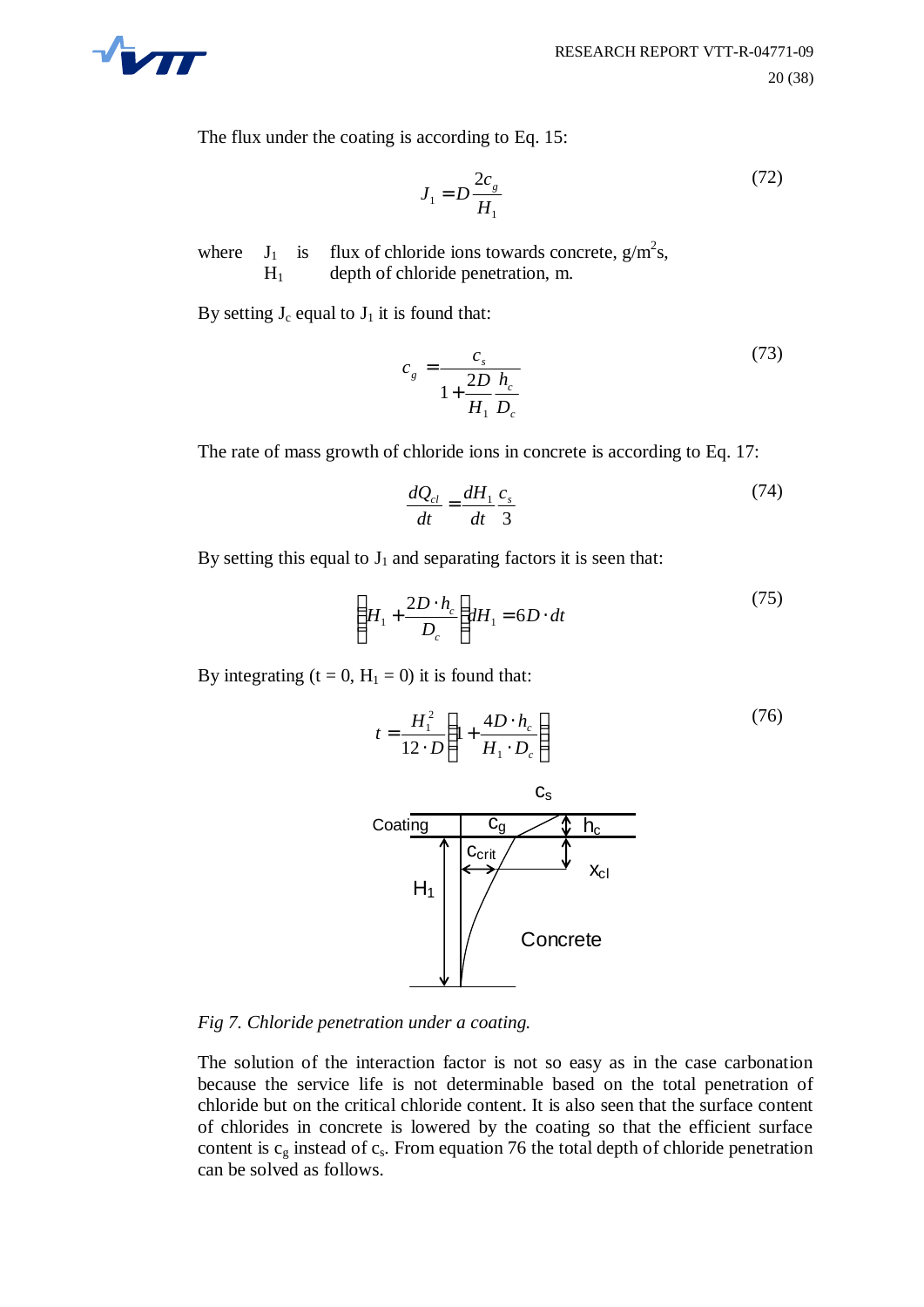

The flux under the coating is according to Eq. 15:

$$
J_1 = D \frac{2c_g}{H_1}
$$
 (72)

where  $J_1$  is flux of chloride ions towards concrete,  $g/m^2s$ , H1 depth of chloride penetration, m.

By setting  $J_c$  equal to  $J_1$  it is found that:

$$
c_{g} = \frac{c_{s}}{1 + \frac{2D}{H_{1}} \frac{h_{c}}{D_{c}}}
$$
(73)

The rate of mass growth of chloride ions in concrete is according to Eq. 17:

$$
\frac{dQ_{cl}}{dt} = \frac{dH_1}{dt} \frac{c_s}{3}
$$
 (74)

By setting this equal to  $J_1$  and separating factors it is seen that:

$$
\left(H_1 + \frac{2D \cdot h_c}{D_c}\right) dH_1 = 6D \cdot dt \tag{75}
$$

By integrating  $(t = 0, H_1 = 0)$  it is found that:

$$
t = \frac{H_1^2}{12 \cdot D} \left( 1 + \frac{4D \cdot h_c}{H_1 \cdot D_c} \right)
$$
 (76)



*Fig 7. Chloride penetration under a coating.*

The solution of the interaction factor is not so easy as in the case carbonation because the service life is not determinable based on the total penetration of chloride but on the critical chloride content. It is also seen that the surface content of chlorides in concrete is lowered by the coating so that the efficient surface content is  $c_g$  instead of  $c_s$ . From equation 76 the total depth of chloride penetration can be solved as follows.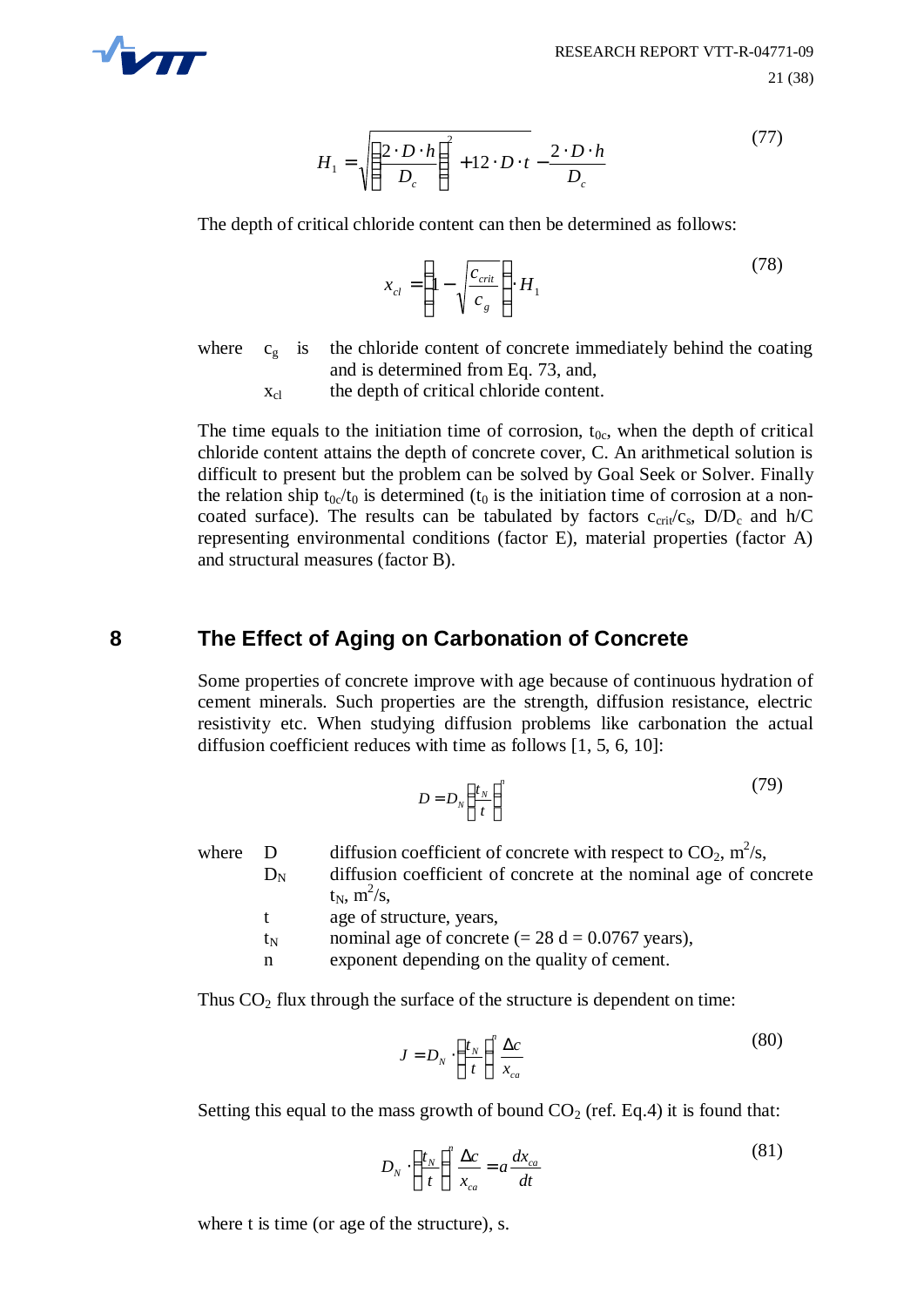

$$
H_1 = \sqrt{\left(\frac{2 \cdot D \cdot h}{D_c}\right)^2 + 12 \cdot D \cdot t} - \frac{2 \cdot D \cdot h}{D_c}
$$
 (77)

The depth of critical chloride content can then be determined as follows:

$$
x_{cl} = \left(1 - \sqrt{\frac{c_{crit}}{c_g}}\right) \cdot H_1 \tag{78}
$$

where  $c_g$  is the chloride content of concrete immediately behind the coating and is determined from Eq. 73, and,

 $x_{\text{cl}}$  the depth of critical chloride content.

The time equals to the initiation time of corrosion,  $t_{0c}$ , when the depth of critical chloride content attains the depth of concrete cover, C. An arithmetical solution is difficult to present but the problem can be solved by Goal Seek or Solver. Finally the relation ship  $t_{0c}/t_0$  is determined ( $t_0$  is the initiation time of corrosion at a noncoated surface). The results can be tabulated by factors  $c_{\rm crit}/c_s$ ,  $D/D_c$  and  $h/C$ representing environmental conditions (factor E), material properties (factor A) and structural measures (factor B).

### **8 The Effect of Aging on Carbonation of Concrete**

Some properties of concrete improve with age because of continuous hydration of cement minerals. Such properties are the strength, diffusion resistance, electric resistivity etc. When studying diffusion problems like carbonation the actual diffusion coefficient reduces with time as follows [1, 5, 6, 10]:

$$
D = D_N \left(\frac{t_N}{t}\right)^n \tag{79}
$$

where D diffusion coefficient of concrete with respect to  $CO_2$ ,  $m^2/s$ ,  $D_N$  diffusion coefficient of concrete at the nominal age of concrete  $t_N$ ,  $m^2/s$ , t age of structure, years,

- $t_N$  nominal age of concrete (= 28 d = 0.0767 years),
- n exponent depending on the quality of cement.

Thus  $CO<sub>2</sub>$  flux through the surface of the structure is dependent on time:

$$
J = D_N \cdot \left(\frac{t_N}{t}\right)^n \frac{\Delta c}{x_{ca}} \tag{80}
$$

Setting this equal to the mass growth of bound  $CO<sub>2</sub>$  (ref. Eq.4) it is found that:

$$
D_N \cdot \left(\frac{t_N}{t}\right)^n \frac{\Delta c}{x_{ca}} = a \frac{dx_{ca}}{dt}
$$
 (81)

where t is time (or age of the structure), s.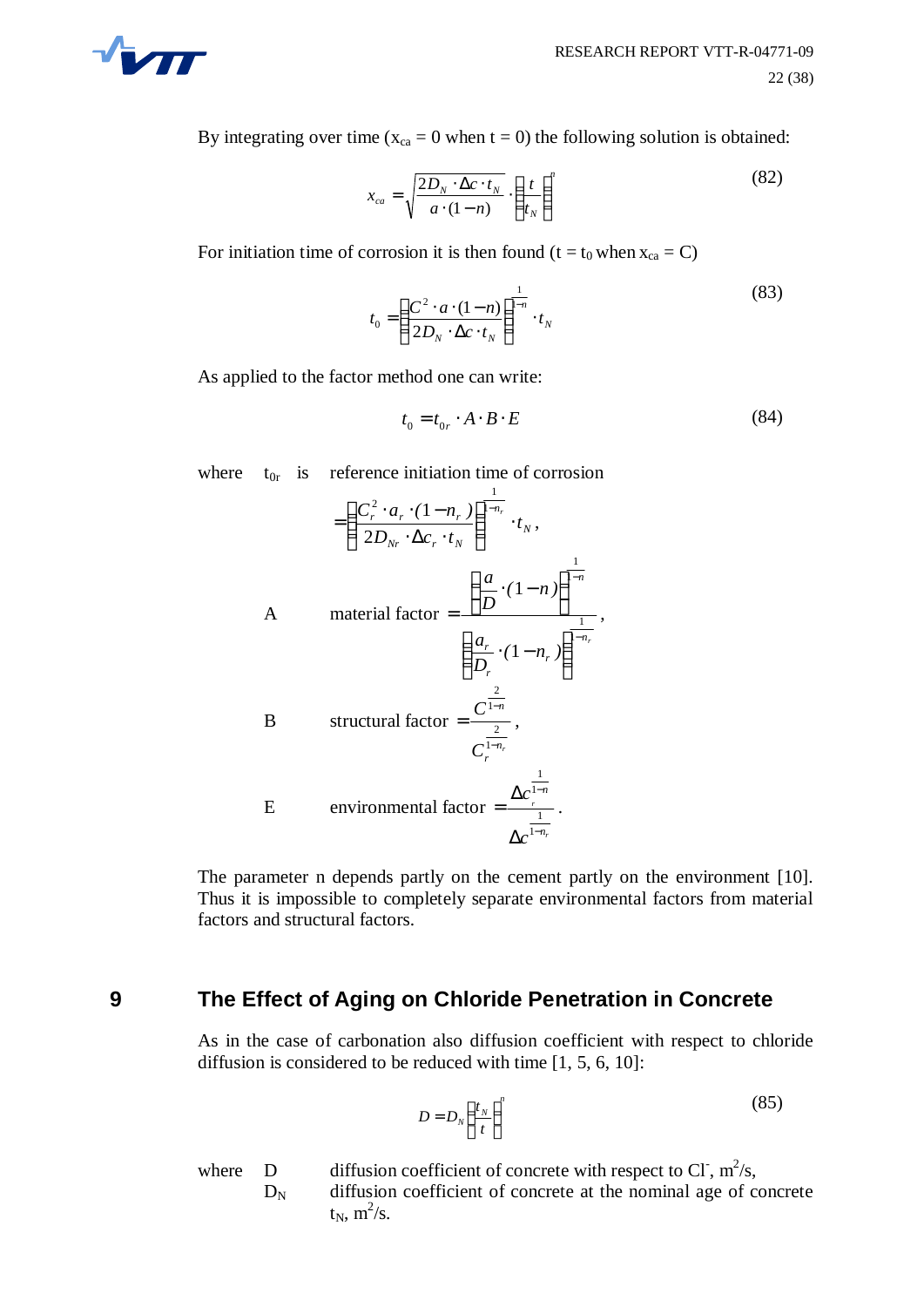

By integrating over time ( $x_{ca} = 0$  when  $t = 0$ ) the following solution is obtained:

$$
x_{ca} = \sqrt{\frac{2D_N \cdot \Delta c \cdot t_N}{a \cdot (1 - n)}} \cdot \left(\frac{t}{t_N}\right)^n \tag{82}
$$

For initiation time of corrosion it is then found (t =  $t_0$  when  $x_{ca} = C$ )

$$
t_0 = \left(\frac{C^2 \cdot a \cdot (1-n)}{2D_N \cdot \Delta c \cdot t_N}\right)^{\frac{1}{1-n}} \cdot t_N \tag{83}
$$

As applied to the factor method one can write:

$$
t_0 = t_{0r} \cdot A \cdot B \cdot E \tag{84}
$$

where  $t_{0r}$  is reference initiation time of corrosion

$$
= \left(\frac{C_r^2 \cdot a_r \cdot (1 - n_r)}{2D_{Nr} \cdot \Delta c_r \cdot t_N}\right)^{\frac{1}{1 - n_r}} \cdot t_N,
$$
  
\nA material factor  $= \frac{\left(\frac{a_r}{D} \cdot (1 - n)\right)^{\frac{1}{1 - n_r}}}{\left(\frac{a_r}{D_r} \cdot (1 - n_r)\right)^{\frac{1}{1 - n_r}}},$   
\nB structural factor  $= \frac{C^{\frac{2}{1 - n_r}}}{C_r^{\frac{2}{1 - n_r}}},$   
\nE environmental factor  $= \frac{\Delta c^{\frac{1}{1 - n_r}}}{\Delta c^{\frac{1}{1 - n_r}}}.$ 

The parameter n depends partly on the cement partly on the environment [10]. Thus it is impossible to completely separate environmental factors from material factors and structural factors.

#### **9 The Effect of Aging on Chloride Penetration in Concrete**

As in the case of carbonation also diffusion coefficient with respect to chloride diffusion is considered to be reduced with time [1, 5, 6, 10]:

$$
D = D_N \left(\frac{t_N}{t}\right)^n \tag{85}
$$

where D diffusion coefficient of concrete with respect to Cl,  $m^2/s$ ,  $D_N$  diffusion coefficient of concrete at the nominal age of concrete  $t_N$ ,  $m^2/s$ .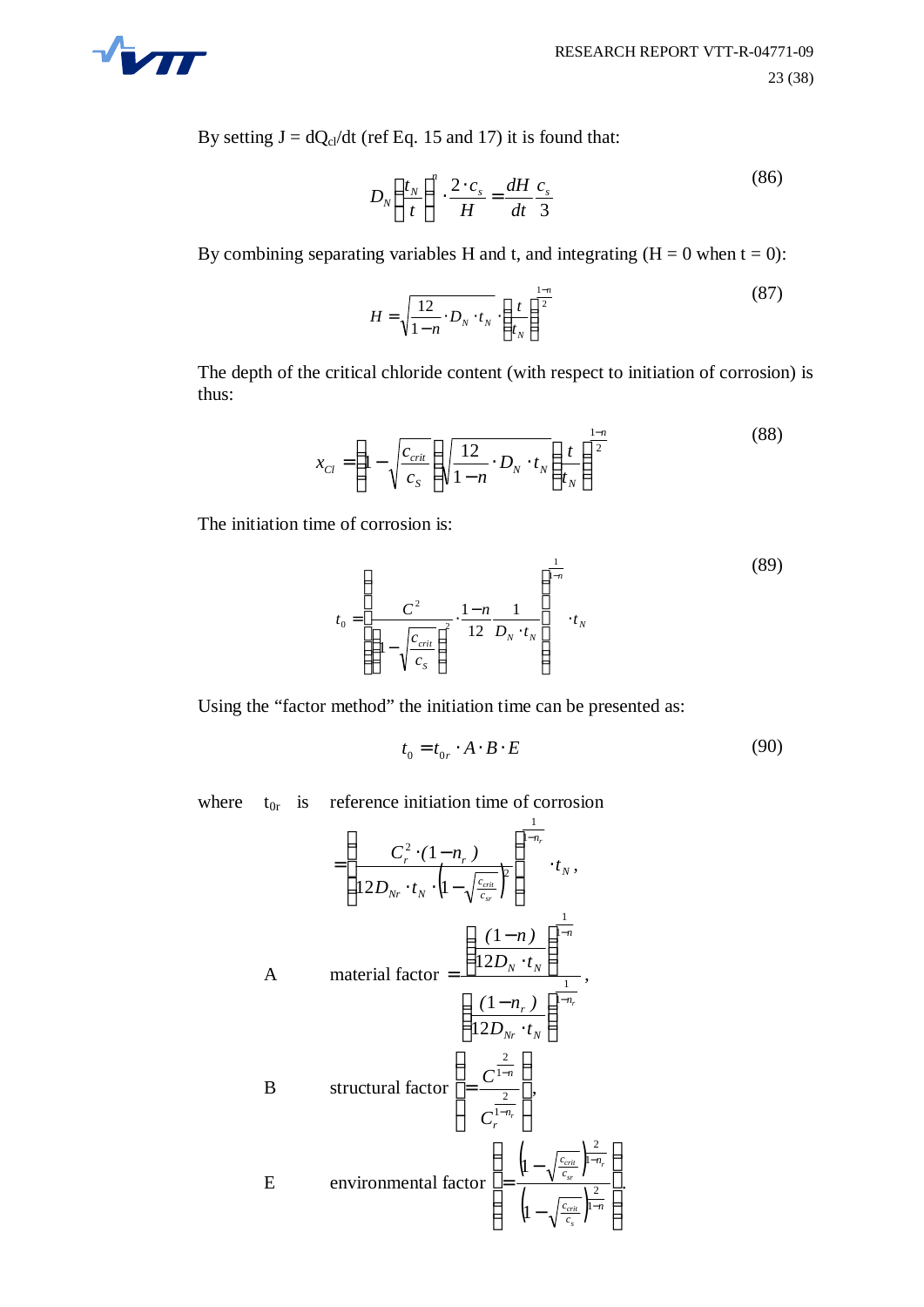

By setting  $J = dQ_{cl}/dt$  (ref Eq. 15 and 17) it is found that:

$$
D_N \left(\frac{t_N}{t}\right)^n \cdot \frac{2 \cdot c_s}{H} = \frac{dH}{dt} \frac{c_s}{3}
$$
 (86)

By combining separating variables H and t, and integrating  $(H = 0$  when  $t = 0$ ):

$$
H = \sqrt{\frac{12}{1 - n} \cdot D_N \cdot t_N} \cdot \left(\frac{t}{t_N}\right)^{\frac{1 - n}{2}}
$$
 (87)

The depth of the critical chloride content (with respect to initiation of corrosion) is thus:

$$
x_{Cl} = \left(1 - \sqrt{\frac{c_{crit}}{c_S}}\right) \sqrt{\frac{12}{1 - n} \cdot D_N \cdot t_N} \left(\frac{t}{t_N}\right)^{\frac{1 - n}{2}}
$$
(88)

The initiation time of corrosion is:

$$
t_0 = \left(\frac{C^2}{\left(1 - \sqrt{\frac{c_{\text{crit}}}{c_s}}\right)^2} \cdot \frac{1 - n}{12} \frac{1}{D_N \cdot t_N}\right)^{\frac{1}{1 - n}} \cdot t_N
$$
 (89)

Using the "factor method" the initiation time can be presented as:

$$
t_0 = t_{0r} \cdot A \cdot B \cdot E \tag{90}
$$

where  $t_{0r}$  is reference initiation time of corrosion

$$
= \left(\frac{C_r^2 \cdot (1 - n_r)}{12D_{Nr} \cdot t_N \cdot \left(1 - \sqrt{\frac{c_{crit}}{c_{sr}}}\right)^2}\right)^{\frac{1}{1 - n_r}} \cdot t_N,
$$
\nA material factor 
$$
= \frac{\left(\frac{(1 - n)}{12D_N \cdot t_N}\right)^{\frac{1}{1 - n}}}{\left(12D_{Nr} \cdot t_N\right)^{\frac{1}{1 - n_r}}},
$$
\nB structural factor 
$$
= \frac{C^{\frac{2}{1 - n_r}}}{C_r^{\frac{2}{1 - n_r}}},
$$
\nE environmental factor 
$$
\left(\frac{1 - \sqrt{\frac{c_{crit}}{c_{sr}}}}{1 - \sqrt{\frac{c_{crit}}{c_{sr}}}}\right)^{\frac{2}{1 - n_r}}.
$$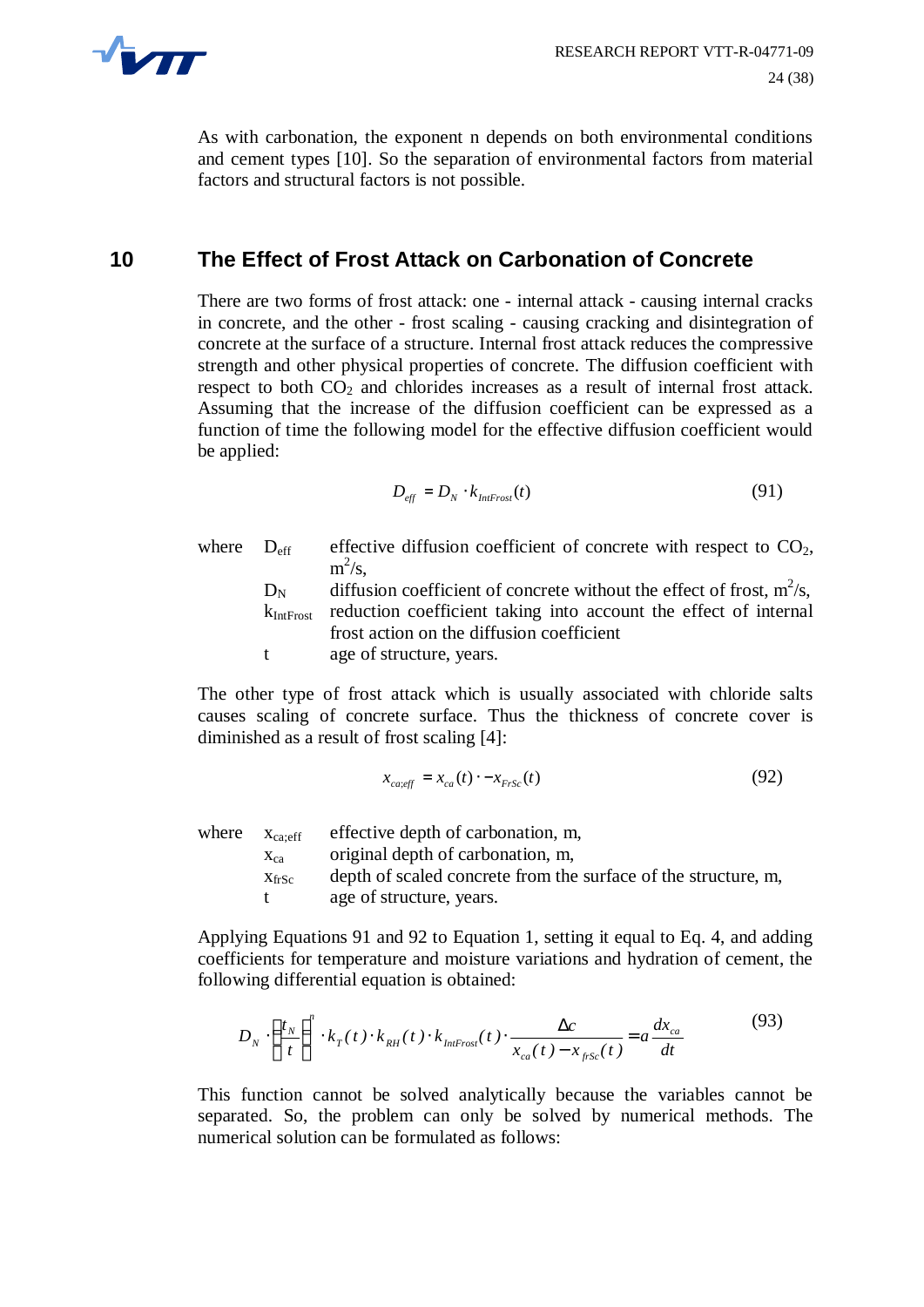

As with carbonation, the exponent n depends on both environmental conditions and cement types [10]. So the separation of environmental factors from material factors and structural factors is not possible.

# **10 The Effect of Frost Attack on Carbonation of Concrete**

There are two forms of frost attack: one - internal attack - causing internal cracks in concrete, and the other - frost scaling - causing cracking and disintegration of concrete at the surface of a structure. Internal frost attack reduces the compressive strength and other physical properties of concrete. The diffusion coefficient with respect to both  $CO<sub>2</sub>$  and chlorides increases as a result of internal frost attack. Assuming that the increase of the diffusion coefficient can be expressed as a function of time the following model for the effective diffusion coefficient would be applied:

$$
D_{\text{eff}} = D_N \cdot k_{\text{Inffrost}}(t) \tag{91}
$$

where  $D_{\text{eff}}$  effective diffusion coefficient of concrete with respect to  $CO<sub>2</sub>$ ,  $m^2/s$ ,  $D_N$  diffusion coefficient of concrete without the effect of frost,  $m^2/s$ ,

 $k_{\text{Int Frost}}$  reduction coefficient taking into account the effect of internal frost action on the diffusion coefficient

t age of structure, years.

The other type of frost attack which is usually associated with chloride salts causes scaling of concrete surface. Thus the thickness of concrete cover is diminished as a result of frost scaling [4]:

$$
x_{\text{caveff}} = x_{\text{ca}}(t) \cdot -x_{\text{FrSc}}(t) \tag{92}
$$

where  $X_{\text{car-eff}}$  effective depth of carbonation, m,  $x_{ca}$  original depth of carbonation, m,  $x_{\text{frSc}}$  depth of scaled concrete from the surface of the structure, m, t age of structure, years.

Applying Equations 91 and 92 to Equation 1, setting it equal to Eq. 4, and adding coefficients for temperature and moisture variations and hydration of cement, the following differential equation is obtained:

$$
D_N \cdot \left(\frac{t_N}{t}\right)^n \cdot k_T(t) \cdot k_{RH}(t) \cdot k_{\text{IntFrost}}(t) \cdot \frac{\Delta c}{x_{ca}(t) - x_{\text{frSc}}(t)} = a \frac{dx_{ca}}{dt} \tag{93}
$$

This function cannot be solved analytically because the variables cannot be separated. So, the problem can only be solved by numerical methods. The numerical solution can be formulated as follows: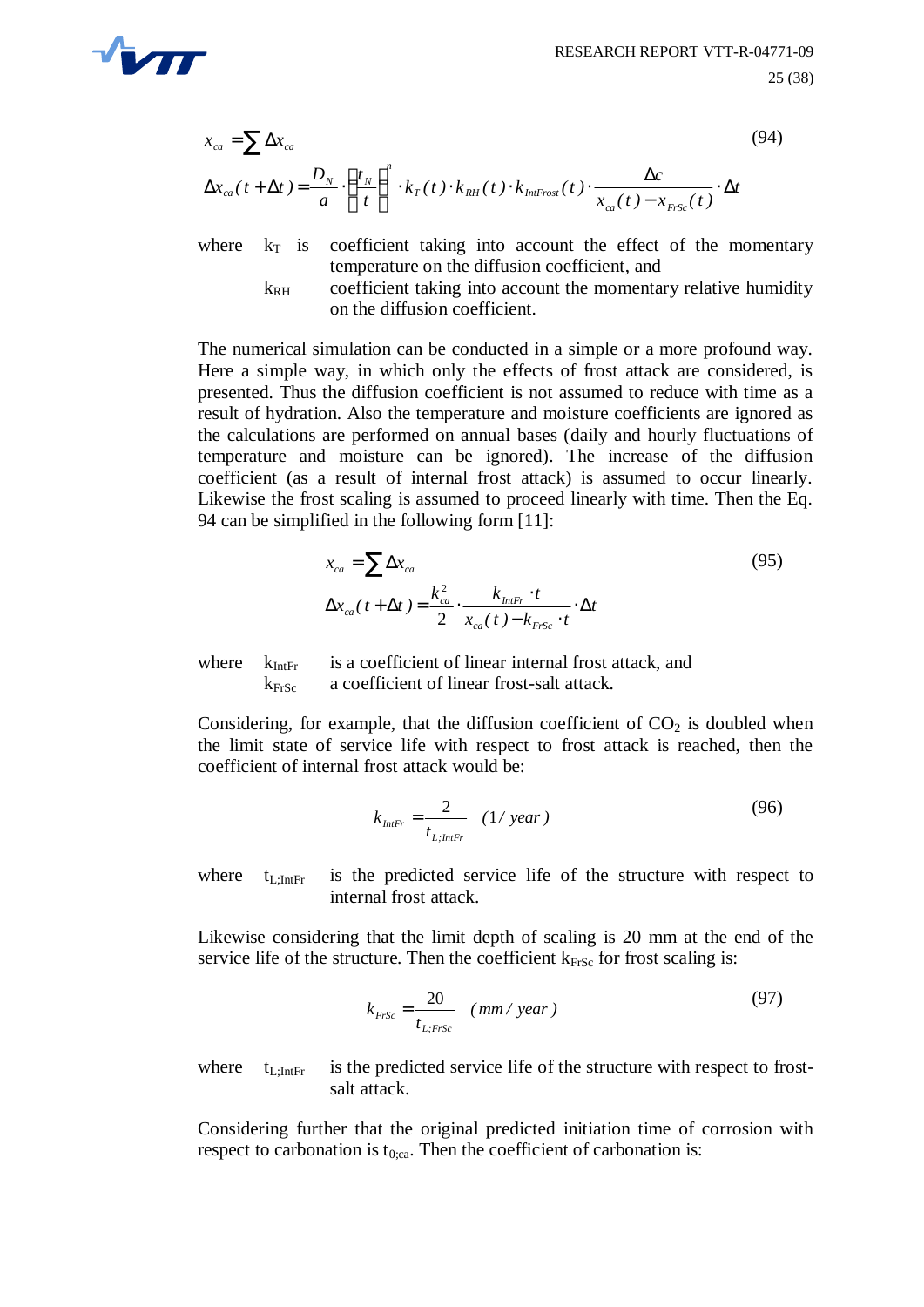

$$
x_{ca} = \sum \Delta x_{ca}
$$
\n
$$
\Delta x_{ca}(t + \Delta t) = \frac{D_N}{a} \cdot \left(\frac{t_N}{t}\right)^n \cdot k_T(t) \cdot k_{RH}(t) \cdot k_{Infrost}(t) \cdot \frac{\Delta c}{x_{ca}(t) - x_{FrSc}(t)} \cdot \Delta t
$$
\n(94)

where  $k_T$  is coefficient taking into account the effect of the momentary temperature on the diffusion coefficient, and

> $k_{RH}$  coefficient taking into account the momentary relative humidity on the diffusion coefficient.

The numerical simulation can be conducted in a simple or a more profound way. Here a simple way, in which only the effects of frost attack are considered, is presented. Thus the diffusion coefficient is not assumed to reduce with time as a result of hydration. Also the temperature and moisture coefficients are ignored as the calculations are performed on annual bases (daily and hourly fluctuations of temperature and moisture can be ignored). The increase of the diffusion coefficient (as a result of internal frost attack) is assumed to occur linearly. Likewise the frost scaling is assumed to proceed linearly with time. Then the Eq. 94 can be simplified in the following form [11]:

$$
x_{ca} = \sum \Delta x_{ca}
$$
  
\n
$$
\Delta x_{ca}(t + \Delta t) = \frac{k_{ca}^2}{2} \cdot \frac{k_{IntFr} \cdot t}{x_{ca}(t) - k_{FrSc} \cdot t} \cdot \Delta t
$$
\n(95)

where  $k_{\text{Inf}}$  is a coefficient of linear internal frost attack, and  $k_{FrSc}$  a coefficient of linear frost-salt attack.

Considering, for example, that the diffusion coefficient of  $CO<sub>2</sub>$  is doubled when the limit state of service life with respect to frost attack is reached, then the coefficient of internal frost attack would be:

$$
k_{\text{Intr}} = \frac{2}{t_{\text{L};\text{Intr}}}
$$
 (1/ year) (96)

where  $t_{\text{Lipf}}$  is the predicted service life of the structure with respect to internal frost attack.

Likewise considering that the limit depth of scaling is 20 mm at the end of the service life of the structure. Then the coefficient  $k_{FfSc}$  for frost scaling is:

$$
k_{Frsc} = \frac{20}{t_{L, Frsc}} \quad (mm / year)
$$
\n(97)

where  $t_{\text{L:IntFr}}$  is the predicted service life of the structure with respect to frostsalt attack.

Considering further that the original predicted initiation time of corrosion with respect to carbonation is  $t_{0;ca}$ . Then the coefficient of carbonation is: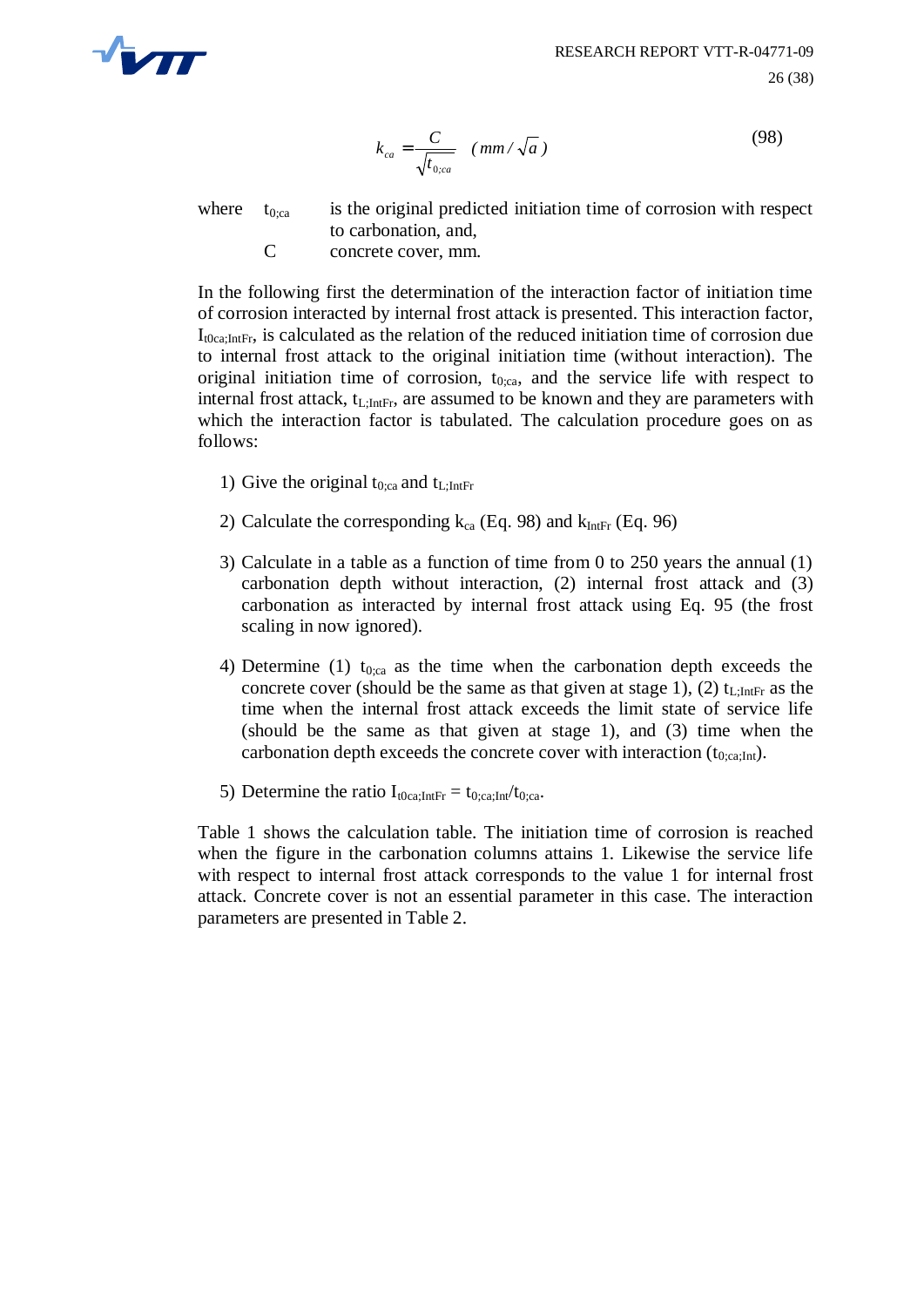

$$
k_{ca} = \frac{C}{\sqrt{t_{0,ca}}} \quad (mm/\sqrt{a})
$$
\n(98)

where  $t_{0;ca}$  is the original predicted initiation time of corrosion with respect to carbonation, and,

C concrete cover, mm.

In the following first the determination of the interaction factor of initiation time of corrosion interacted by internal frost attack is presented. This interaction factor,  $I_{t0ca}$ ; IntEr, is calculated as the relation of the reduced initiation time of corrosion due to internal frost attack to the original initiation time (without interaction). The original initiation time of corrosion,  $t_{0;ca}$ , and the service life with respect to internal frost attack,  $t_{\text{L}}$ I<sub>ntFr</sub>, are assumed to be known and they are parameters with which the interaction factor is tabulated. The calculation procedure goes on as follows:

- 1) Give the original  $t_{0:ca}$  and  $t_{L:IntFr}$
- 2) Calculate the corresponding  $k_{ca}$  (Eq. 98) and  $k_{IntFr}$  (Eq. 96)
- 3) Calculate in a table as a function of time from 0 to 250 years the annual (1) carbonation depth without interaction, (2) internal frost attack and (3) carbonation as interacted by internal frost attack using Eq. 95 (the frost scaling in now ignored).
- 4) Determine (1) t<sub>0;ca</sub> as the time when the carbonation depth exceeds the concrete cover (should be the same as that given at stage 1), (2)  $t_{\text{L-intFr}}$  as the time when the internal frost attack exceeds the limit state of service life (should be the same as that given at stage 1), and (3) time when the carbonation depth exceeds the concrete cover with interaction  $(t_{0:ca:Int})$ .
- 5) Determine the ratio  $I_{t0ca;IntFr} = t_{0;ca;Int}/t_{0;ca}$ .

Table 1 shows the calculation table. The initiation time of corrosion is reached when the figure in the carbonation columns attains 1. Likewise the service life with respect to internal frost attack corresponds to the value 1 for internal frost attack. Concrete cover is not an essential parameter in this case. The interaction parameters are presented in Table 2.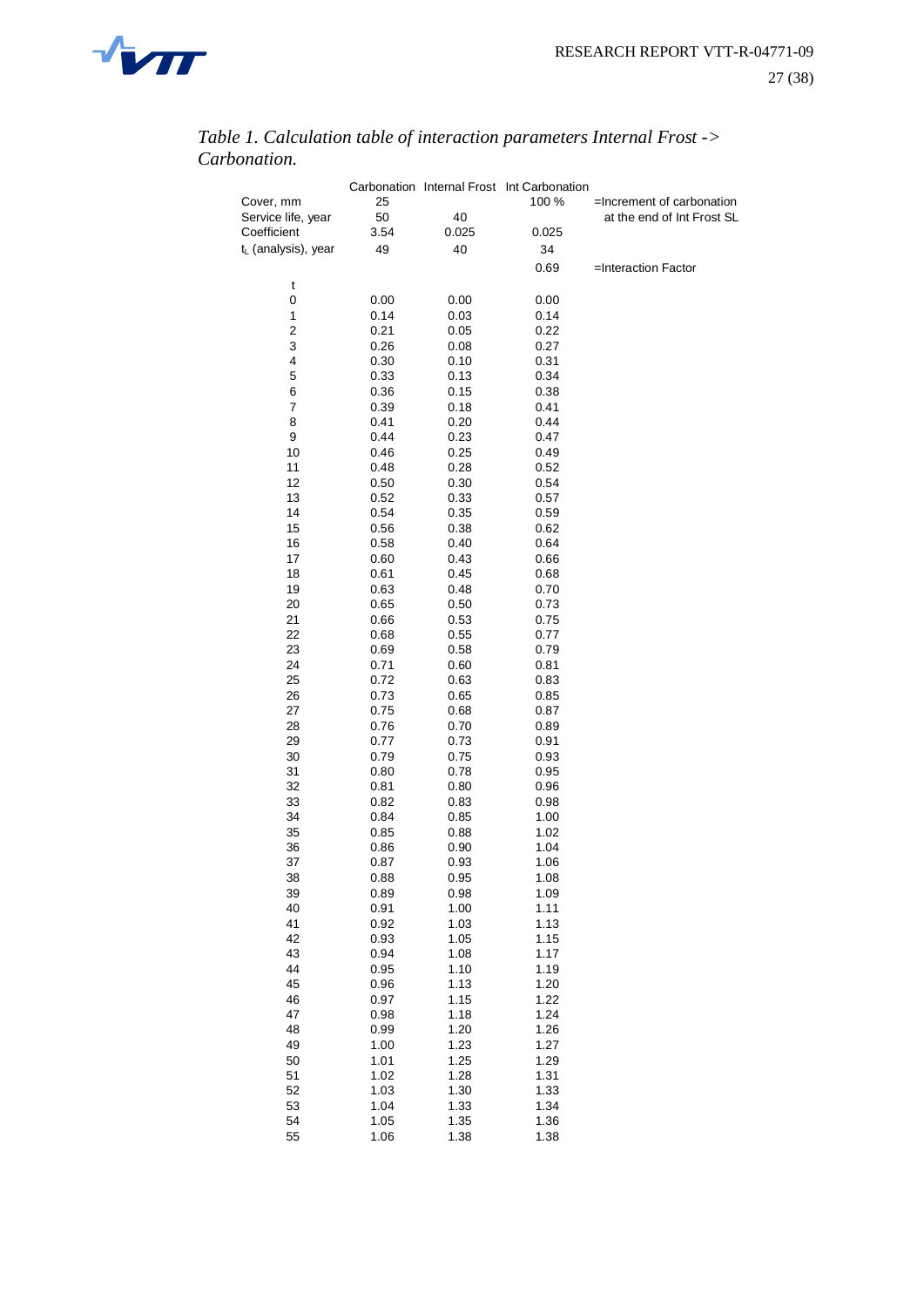

|                                 |              |              | Carbonation Internal Frost Int Carbonation |                            |
|---------------------------------|--------------|--------------|--------------------------------------------|----------------------------|
| Cover, mm                       | 25           |              | 100 %                                      | =Increment of carbonation  |
| Service life, year              | 50           | 40           |                                            | at the end of Int Frost SL |
| Coefficient                     | 3.54         | 0.025        | 0.025                                      |                            |
| t <sub>L</sub> (analysis), year | 49           | 40           | 34                                         |                            |
|                                 |              |              | 0.69                                       | =Interaction Factor        |
| t                               |              |              |                                            |                            |
| 0                               | 0.00         | 0.00         | 0.00                                       |                            |
| 1                               | 0.14         | 0.03         | 0.14                                       |                            |
| 2                               | 0.21         | 0.05         | 0.22                                       |                            |
| 3                               | 0.26         | 0.08         | 0.27                                       |                            |
| 4                               | 0.30         | 0.10         | 0.31                                       |                            |
| 5                               | 0.33         | 0.13         | 0.34                                       |                            |
| 6                               | 0.36         | 0.15         | 0.38                                       |                            |
| 7                               | 0.39         | 0.18         | 0.41                                       |                            |
| 8                               | 0.41         | 0.20         | 0.44                                       |                            |
| 9                               | 0.44         | 0.23         | 0.47                                       |                            |
| 10                              | 0.46         | 0.25         | 0.49                                       |                            |
| 11                              | 0.48         | 0.28         | 0.52                                       |                            |
| 12                              | 0.50         | 0.30         | 0.54                                       |                            |
| 13                              | 0.52         | 0.33         | 0.57                                       |                            |
| 14                              | 0.54         | 0.35         | 0.59                                       |                            |
| 15                              | 0.56         | 0.38         | 0.62                                       |                            |
| 16                              | 0.58         | 0.40         | 0.64                                       |                            |
| 17                              | 0.60         | 0.43         | 0.66                                       |                            |
| 18                              | 0.61         | 0.45         | 0.68                                       |                            |
| 19                              | 0.63         | 0.48         | 0.70                                       |                            |
| 20                              | 0.65         | 0.50         | 0.73                                       |                            |
| 21                              | 0.66         | 0.53         | 0.75                                       |                            |
| 22<br>23                        | 0.68         | 0.55         | 0.77                                       |                            |
|                                 | 0.69         | 0.58         | 0.79                                       |                            |
| 24<br>25                        | 0.71<br>0.72 | 0.60<br>0.63 | 0.81<br>0.83                               |                            |
| 26                              | 0.73         | 0.65         | 0.85                                       |                            |
| 27                              | 0.75         | 0.68         | 0.87                                       |                            |
| 28                              | 0.76         | 0.70         | 0.89                                       |                            |
| 29                              | 0.77         | 0.73         | 0.91                                       |                            |
| 30                              | 0.79         | 0.75         | 0.93                                       |                            |
| 31                              | 0.80         | 0.78         | 0.95                                       |                            |
| 32                              | 0.81         | 0.80         | 0.96                                       |                            |
| 33                              | 0.82         | 0.83         | 0.98                                       |                            |
| 34                              | 0.84         | 0.85         | 1.00                                       |                            |
| 35                              | 0.85         | 0.88         | 1.02                                       |                            |
| 36                              | 0.86         | 0.90         | 1.04                                       |                            |
| 37                              | 0.87         | 0.93         | 1.06                                       |                            |
| 38                              | 0.88         | 0.95         | 1.08                                       |                            |
| 39                              | 0.89         | 0.98         | 1.09                                       |                            |
| 40                              | 0.91         | 1.00         | 1.11                                       |                            |
| 41                              | 0.92         | 1.03         | 1.13                                       |                            |
| 42                              | 0.93         | 1.05         | 1.15                                       |                            |
| 43                              | 0.94         | 1.08         | 1.17                                       |                            |
| 44                              | 0.95         | 1.10         | 1.19                                       |                            |
| 45                              | 0.96         | 1.13         | 1.20                                       |                            |
| 46                              | 0.97         | 1.15         | 1.22                                       |                            |
| 47                              | 0.98         | 1.18         | 1.24                                       |                            |
| 48                              | 0.99         | 1.20         | 1.26                                       |                            |
| 49                              | 1.00         | 1.23         | 1.27                                       |                            |
| 50<br>51                        | 1.01<br>1.02 | 1.25<br>1.28 | 1.29<br>1.31                               |                            |
| 52                              | 1.03         | 1.30         | 1.33                                       |                            |
| 53                              | 1.04         | 1.33         | 1.34                                       |                            |
| 54                              | 1.05         | 1.35         | 1.36                                       |                            |
| 55                              | 1.06         | 1.38         | 1.38                                       |                            |
|                                 |              |              |                                            |                            |

#### *Table 1. Calculation table of interaction parameters Internal Frost -> Carbonation.*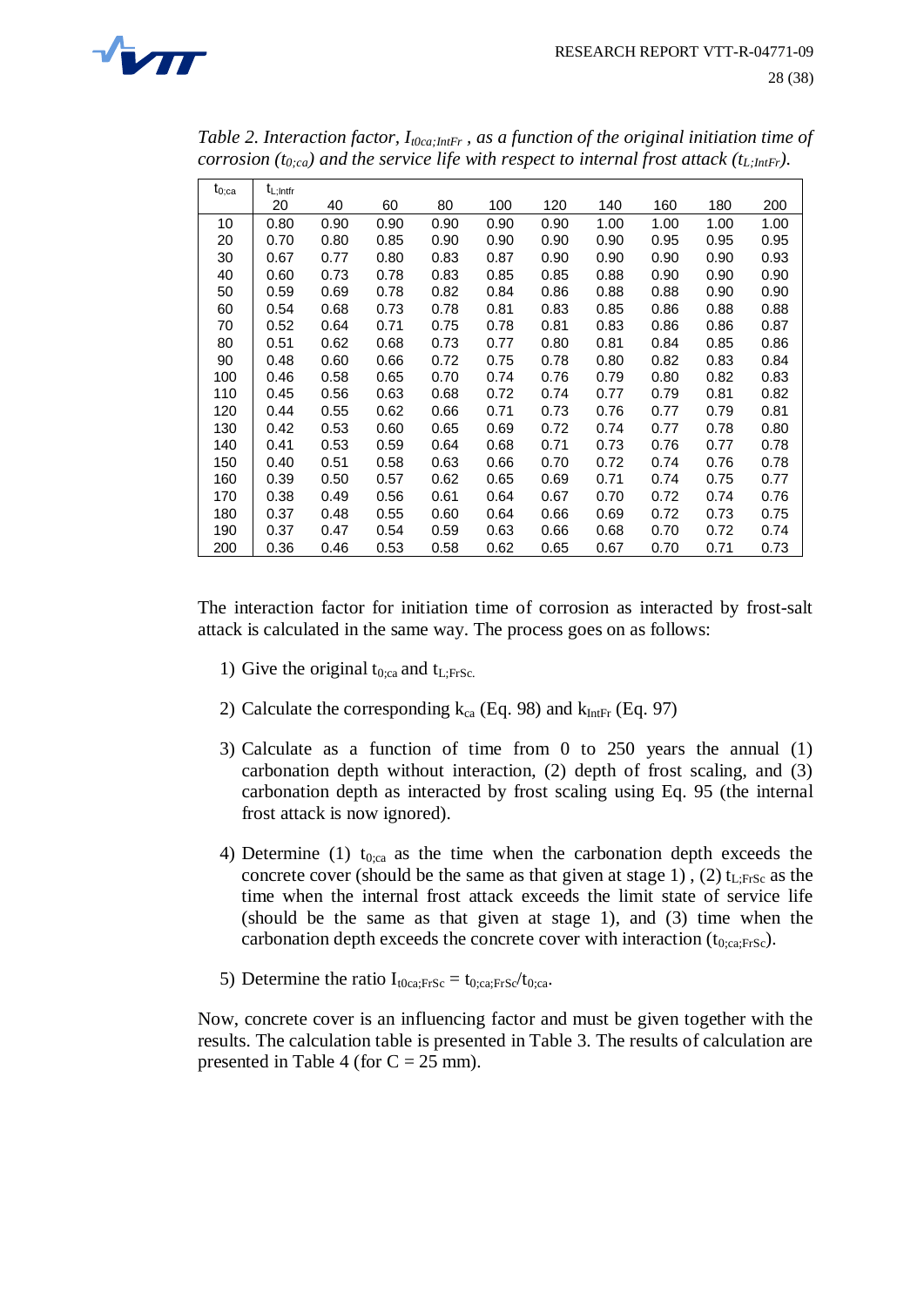

|            | $\cdots$      |      |      | $\ddot{\phantom{0}}$ |      |      |      |      |      | $\sqrt{2}$ , $\frac{1}{1}$ |
|------------|---------------|------|------|----------------------|------|------|------|------|------|----------------------------|
| $t_{0;ca}$ | $t_{L;Intfr}$ |      |      |                      |      |      |      |      |      |                            |
|            | 20            | 40   | 60   | 80                   | 100  | 120  | 140  | 160  | 180  | 200                        |
| 10         | 0.80          | 0.90 | 0.90 | 0.90                 | 0.90 | 0.90 | 1.00 | 1.00 | 1.00 | 1.00                       |
| 20         | 0.70          | 0.80 | 0.85 | 0.90                 | 0.90 | 0.90 | 0.90 | 0.95 | 0.95 | 0.95                       |
| 30         | 0.67          | 0.77 | 0.80 | 0.83                 | 0.87 | 0.90 | 0.90 | 0.90 | 0.90 | 0.93                       |
| 40         | 0.60          | 0.73 | 0.78 | 0.83                 | 0.85 | 0.85 | 0.88 | 0.90 | 0.90 | 0.90                       |
| 50         | 0.59          | 0.69 | 0.78 | 0.82                 | 0.84 | 0.86 | 0.88 | 0.88 | 0.90 | 0.90                       |
| 60         | 0.54          | 0.68 | 0.73 | 0.78                 | 0.81 | 0.83 | 0.85 | 0.86 | 0.88 | 0.88                       |
| 70         | 0.52          | 0.64 | 0.71 | 0.75                 | 0.78 | 0.81 | 0.83 | 0.86 | 0.86 | 0.87                       |
| 80         | 0.51          | 0.62 | 0.68 | 0.73                 | 0.77 | 0.80 | 0.81 | 0.84 | 0.85 | 0.86                       |
| 90         | 0.48          | 0.60 | 0.66 | 0.72                 | 0.75 | 0.78 | 0.80 | 0.82 | 0.83 | 0.84                       |
| 100        | 0.46          | 0.58 | 0.65 | 0.70                 | 0.74 | 0.76 | 0.79 | 0.80 | 0.82 | 0.83                       |
| 110        | 0.45          | 0.56 | 0.63 | 0.68                 | 0.72 | 0.74 | 0.77 | 0.79 | 0.81 | 0.82                       |
| 120        | 0.44          | 0.55 | 0.62 | 0.66                 | 0.71 | 0.73 | 0.76 | 0.77 | 0.79 | 0.81                       |
| 130        | 0.42          | 0.53 | 0.60 | 0.65                 | 0.69 | 0.72 | 0.74 | 0.77 | 0.78 | 0.80                       |
| 140        | 0.41          | 0.53 | 0.59 | 0.64                 | 0.68 | 0.71 | 0.73 | 0.76 | 0.77 | 0.78                       |
| 150        | 0.40          | 0.51 | 0.58 | 0.63                 | 0.66 | 0.70 | 0.72 | 0.74 | 0.76 | 0.78                       |
| 160        | 0.39          | 0.50 | 0.57 | 0.62                 | 0.65 | 0.69 | 0.71 | 0.74 | 0.75 | 0.77                       |
| 170        | 0.38          | 0.49 | 0.56 | 0.61                 | 0.64 | 0.67 | 0.70 | 0.72 | 0.74 | 0.76                       |
| 180        | 0.37          | 0.48 | 0.55 | 0.60                 | 0.64 | 0.66 | 0.69 | 0.72 | 0.73 | 0.75                       |
| 190        | 0.37          | 0.47 | 0.54 | 0.59                 | 0.63 | 0.66 | 0.68 | 0.70 | 0.72 | 0.74                       |
| 200        | 0.36          | 0.46 | 0.53 | 0.58                 | 0.62 | 0.65 | 0.67 | 0.70 | 0.71 | 0.73                       |

*Table 2. Interaction factor, It0ca;IntFr , as a function of the original initiation time of corrosion (t0;ca) and the service life with respect to internal frost attack (tL;IntFr).*

The interaction factor for initiation time of corrosion as interacted by frost-salt attack is calculated in the same way. The process goes on as follows:

- 1) Give the original  $t_{0;ca}$  and  $t_{L;FrSc}$ .
- 2) Calculate the corresponding  $k_{ca}$  (Eq. 98) and  $k_{IntFr}$  (Eq. 97)
- 3) Calculate as a function of time from 0 to 250 years the annual (1) carbonation depth without interaction, (2) depth of frost scaling, and (3) carbonation depth as interacted by frost scaling using Eq. 95 (the internal frost attack is now ignored).
- 4) Determine (1)  $t_{0;ca}$  as the time when the carbonation depth exceeds the concrete cover (should be the same as that given at stage 1), (2)  $t_{\text{L} \text{FrSc}}$  as the time when the internal frost attack exceeds the limit state of service life (should be the same as that given at stage 1), and (3) time when the carbonation depth exceeds the concrete cover with interaction  $(t_{0;ca;FrSc})$ .
- 5) Determine the ratio  $I_{t0ca:FrSc} = t_{0:ca:FrSc}/t_{0:ca}$ .

Now, concrete cover is an influencing factor and must be given together with the results. The calculation table is presented in Table 3. The results of calculation are presented in Table 4 (for  $C = 25$  mm).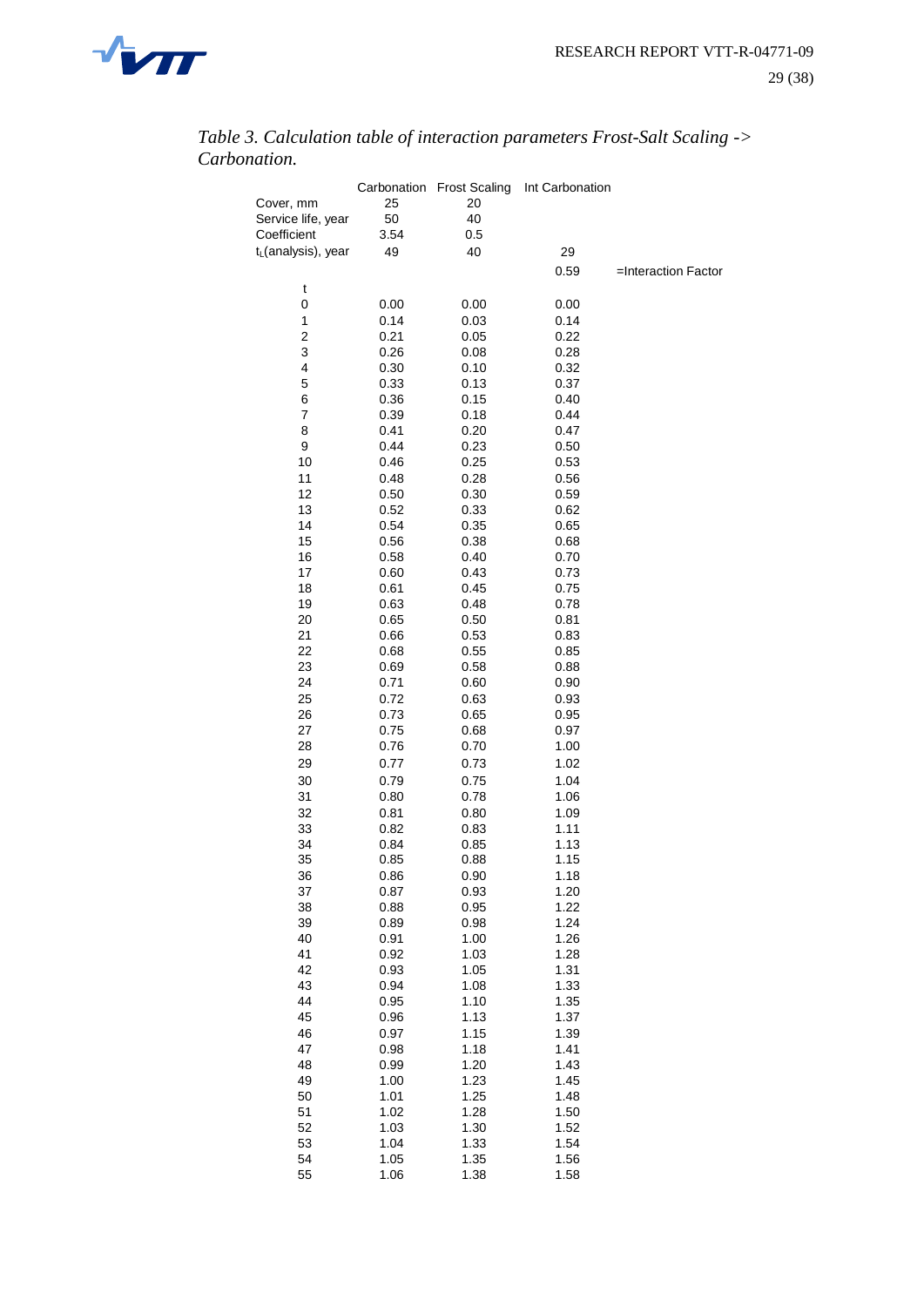

|                                   |              | Carbonation Frost Scaling | Int Carbonation |                     |
|-----------------------------------|--------------|---------------------------|-----------------|---------------------|
| Cover, mm                         | 25           | 20<br>40                  |                 |                     |
| Service life, year<br>Coefficient | 50           |                           |                 |                     |
| t <sub>L</sub> (analysis), year   | 3.54<br>49   | 0.5<br>40                 | 29              |                     |
|                                   |              |                           |                 |                     |
|                                   |              |                           | 0.59            | =Interaction Factor |
| t                                 |              |                           |                 |                     |
| 0                                 | 0.00         | 0.00                      | 0.00            |                     |
| $\mathbf{1}$                      | 0.14         | 0.03                      | 0.14            |                     |
| 2                                 | 0.21         | 0.05                      | 0.22            |                     |
| 3                                 | 0.26         | 0.08                      | 0.28            |                     |
| 4                                 | 0.30         | 0.10                      | 0.32            |                     |
| 5<br>6                            | 0.33         | 0.13                      | 0.37<br>0.40    |                     |
| 7                                 | 0.36<br>0.39 | 0.15<br>0.18              | 0.44            |                     |
| 8                                 | 0.41         | 0.20                      | 0.47            |                     |
| 9                                 | 0.44         | 0.23                      | 0.50            |                     |
| 10                                | 0.46         | 0.25                      | 0.53            |                     |
| 11                                | 0.48         | 0.28                      | 0.56            |                     |
| 12                                | 0.50         | 0.30                      | 0.59            |                     |
| 13                                | 0.52         | 0.33                      | 0.62            |                     |
| 14                                | 0.54         | 0.35                      | 0.65            |                     |
| 15                                | 0.56         | 0.38                      | 0.68            |                     |
| 16                                | 0.58         | 0.40                      | 0.70            |                     |
| 17                                | 0.60         | 0.43                      | 0.73            |                     |
| 18                                | 0.61         | 0.45                      | 0.75            |                     |
| 19                                | 0.63         | 0.48                      | 0.78            |                     |
| 20                                | 0.65         | 0.50                      | 0.81            |                     |
| 21                                | 0.66         | 0.53                      | 0.83            |                     |
| 22                                | 0.68         | 0.55                      | 0.85            |                     |
| 23                                | 0.69         | 0.58                      | 0.88            |                     |
| 24                                | 0.71         | 0.60                      | 0.90            |                     |
| 25                                | 0.72         | 0.63                      | 0.93            |                     |
| 26                                | 0.73         | 0.65                      | 0.95            |                     |
| 27                                | 0.75         | 0.68                      | 0.97            |                     |
| 28                                | 0.76         | 0.70                      | 1.00            |                     |
| 29                                | 0.77         | 0.73                      | 1.02            |                     |
| 30                                | 0.79         | 0.75                      | 1.04            |                     |
| 31                                | 0.80         | 0.78                      | 1.06            |                     |
| 32                                | 0.81         | 0.80                      | 1.09            |                     |
| 33                                | 0.82         | 0.83                      | 1.11            |                     |
| 34                                | 0.84         | 0.85                      | 1.13            |                     |
| 35                                | 0.85         | 0.88                      | 1.15            |                     |
| 36                                | 0.86         | 0.90                      | 1.18            |                     |
| 37                                | 0.87         | 0.93                      | 1.20            |                     |
| 38                                | 0.88         | 0.95                      | 1.22            |                     |
| 39                                | 0.89         | 0.98                      | 1.24            |                     |
| 40                                | 0.91         | 1.00                      | 1.26            |                     |
| 41<br>42                          | 0.92         | 1.03                      | 1.28<br>1.31    |                     |
| 43                                | 0.93<br>0.94 | 1.05<br>1.08              | 1.33            |                     |
| 44                                | 0.95         | 1.10                      | 1.35            |                     |
| 45                                | 0.96         | 1.13                      | 1.37            |                     |
| 46                                | 0.97         | 1.15                      | 1.39            |                     |
| 47                                | 0.98         | 1.18                      | 1.41            |                     |
| 48                                | 0.99         | 1.20                      | 1.43            |                     |
| 49                                | 1.00         | 1.23                      | 1.45            |                     |
| 50                                | 1.01         | 1.25                      | 1.48            |                     |
| 51                                | 1.02         | 1.28                      | 1.50            |                     |
| 52                                | 1.03         | 1.30                      | 1.52            |                     |
| 53                                | 1.04         | 1.33                      | 1.54            |                     |
| 54                                | 1.05         | 1.35                      | 1.56            |                     |
| 55                                | 1.06         | 1.38                      | 1.58            |                     |

*Table 3. Calculation table of interaction parameters Frost-Salt Scaling -> Carbonation.*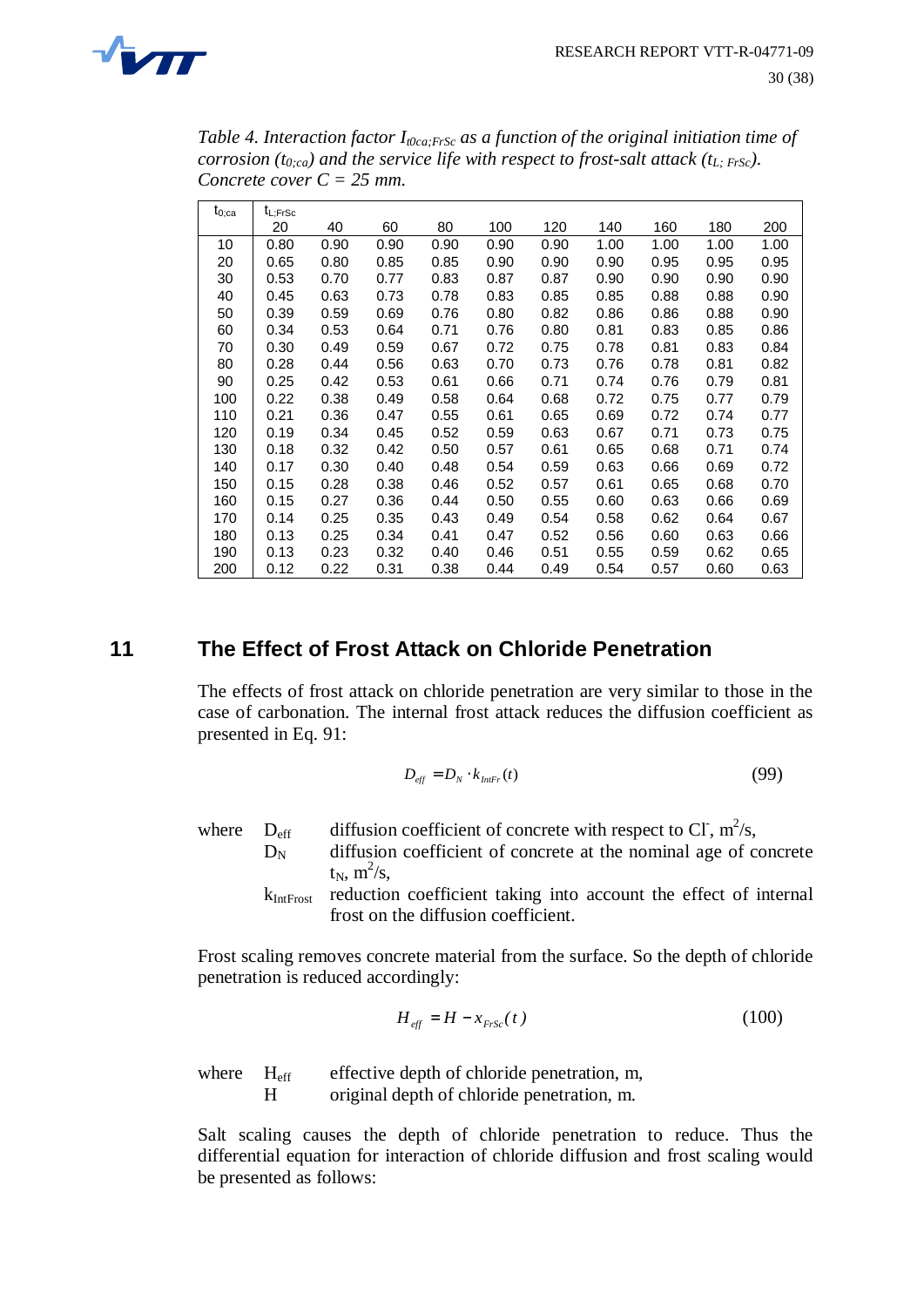

*Table 4. Interaction factor It0ca;FrSc as a function of the original initiation time of corrosion (t0;ca) and the service life with respect to frost-salt attack (tL; FrSc). Concrete cover C = 25 mm.*

| ${\rm t_{0;ca}}$ | $t_{L;FrSc}$ |      |      |      |      |      |      |      |      |      |
|------------------|--------------|------|------|------|------|------|------|------|------|------|
|                  | 20           | 40   | 60   | 80   | 100  | 120  | 140  | 160  | 180  | 200  |
| 10               | 0.80         | 0.90 | 0.90 | 0.90 | 0.90 | 0.90 | 1.00 | 1.00 | 1.00 | 1.00 |
| 20               | 0.65         | 0.80 | 0.85 | 0.85 | 0.90 | 0.90 | 0.90 | 0.95 | 0.95 | 0.95 |
| 30               | 0.53         | 0.70 | 0.77 | 0.83 | 0.87 | 0.87 | 0.90 | 0.90 | 0.90 | 0.90 |
| 40               | 0.45         | 0.63 | 0.73 | 0.78 | 0.83 | 0.85 | 0.85 | 0.88 | 0.88 | 0.90 |
| 50               | 0.39         | 0.59 | 0.69 | 0.76 | 0.80 | 0.82 | 0.86 | 0.86 | 0.88 | 0.90 |
| 60               | 0.34         | 0.53 | 0.64 | 0.71 | 0.76 | 0.80 | 0.81 | 0.83 | 0.85 | 0.86 |
| 70               | 0.30         | 0.49 | 0.59 | 0.67 | 0.72 | 0.75 | 0.78 | 0.81 | 0.83 | 0.84 |
| 80               | 0.28         | 0.44 | 0.56 | 0.63 | 0.70 | 0.73 | 0.76 | 0.78 | 0.81 | 0.82 |
| 90               | 0.25         | 0.42 | 0.53 | 0.61 | 0.66 | 0.71 | 0.74 | 0.76 | 0.79 | 0.81 |
| 100              | 0.22         | 0.38 | 0.49 | 0.58 | 0.64 | 0.68 | 0.72 | 0.75 | 0.77 | 0.79 |
| 110              | 0.21         | 0.36 | 0.47 | 0.55 | 0.61 | 0.65 | 0.69 | 0.72 | 0.74 | 0.77 |
| 120              | 0.19         | 0.34 | 0.45 | 0.52 | 0.59 | 0.63 | 0.67 | 0.71 | 0.73 | 0.75 |
| 130              | 0.18         | 0.32 | 0.42 | 0.50 | 0.57 | 0.61 | 0.65 | 0.68 | 0.71 | 0.74 |
| 140              | 0.17         | 0.30 | 0.40 | 0.48 | 0.54 | 0.59 | 0.63 | 0.66 | 0.69 | 0.72 |
| 150              | 0.15         | 0.28 | 0.38 | 0.46 | 0.52 | 0.57 | 0.61 | 0.65 | 0.68 | 0.70 |
| 160              | 0.15         | 0.27 | 0.36 | 0.44 | 0.50 | 0.55 | 0.60 | 0.63 | 0.66 | 0.69 |
| 170              | 0.14         | 0.25 | 0.35 | 0.43 | 0.49 | 0.54 | 0.58 | 0.62 | 0.64 | 0.67 |
| 180              | 0.13         | 0.25 | 0.34 | 0.41 | 0.47 | 0.52 | 0.56 | 0.60 | 0.63 | 0.66 |
| 190              | 0.13         | 0.23 | 0.32 | 0.40 | 0.46 | 0.51 | 0.55 | 0.59 | 0.62 | 0.65 |
| 200              | 0.12         | 0.22 | 0.31 | 0.38 | 0.44 | 0.49 | 0.54 | 0.57 | 0.60 | 0.63 |

# **11 The Effect of Frost Attack on Chloride Penetration**

The effects of frost attack on chloride penetration are very similar to those in the case of carbonation. The internal frost attack reduces the diffusion coefficient as presented in Eq. 91:

$$
D_{\text{eff}} = D_N \cdot k_{\text{Infr}}(t) \tag{99}
$$

where  $D_{\text{eff}}$  diffusion coefficient of concrete with respect to Cl, m<sup>2</sup>/s,  $D_N$  diffusion coefficient of concrete at the nominal age of concrete  $t_N$ ,  $m^2/s$ ,  $k_{\text{Int.} \text{Frost}}$  reduction coefficient taking into account the effect of internal frost on the diffusion coefficient.

Frost scaling removes concrete material from the surface. So the depth of chloride penetration is reduced accordingly:

$$
H_{\text{eff}} = H - x_{\text{FrSc}}(t) \tag{100}
$$

where H<sub>eff</sub> effective depth of chloride penetration, m, H original depth of chloride penetration, m.

Salt scaling causes the depth of chloride penetration to reduce. Thus the differential equation for interaction of chloride diffusion and frost scaling would be presented as follows: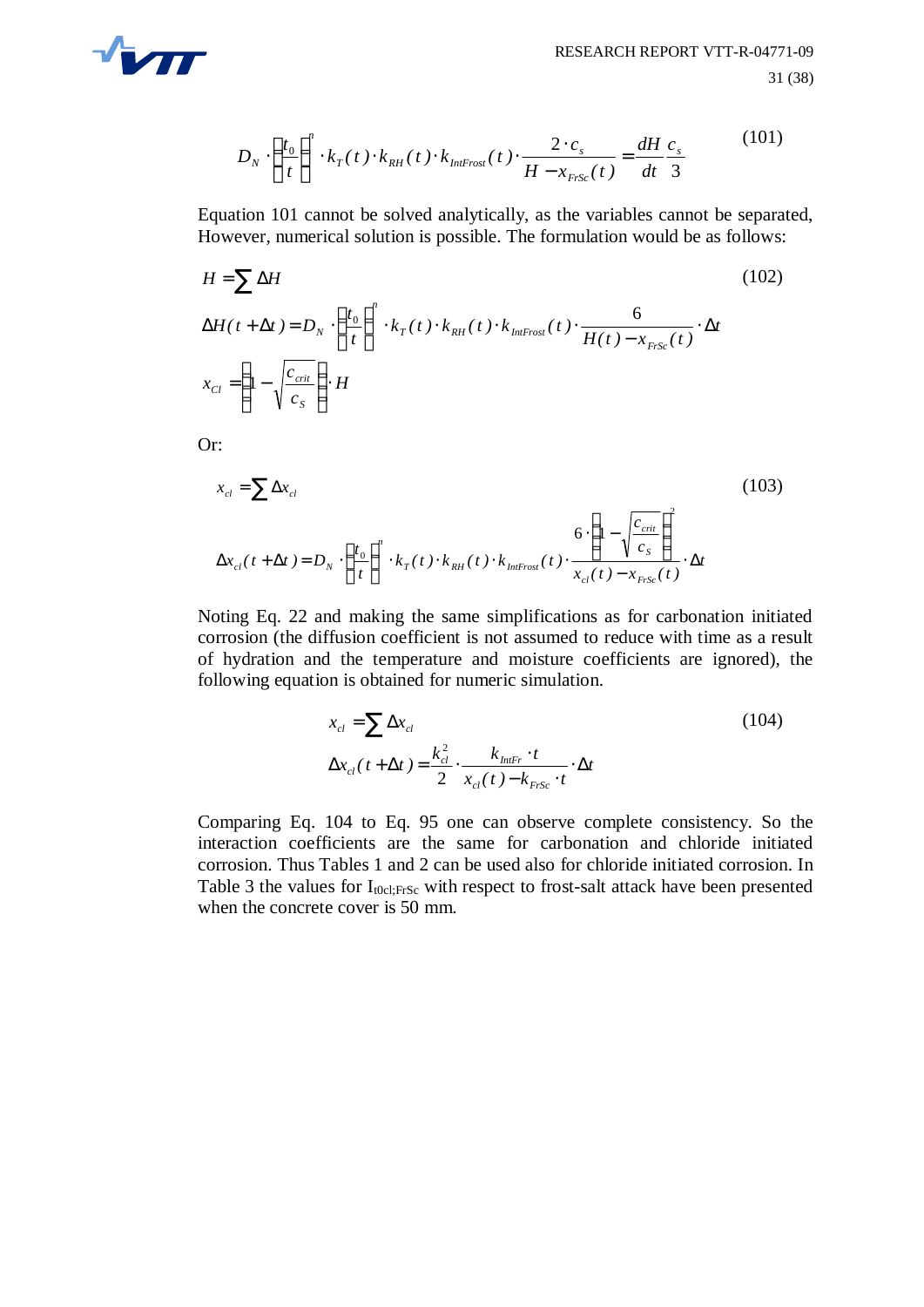

$$
D_N \cdot \left(\frac{t_0}{t}\right)^n \cdot k_T(t) \cdot k_{RH}(t) \cdot k_{\text{Inf}-\text{rost}}(t) \cdot \frac{2 \cdot c_s}{H - x_{\text{FrSc}}(t)} = \frac{dH}{dt} \frac{c_s}{3}
$$
(101)

Equation 101 cannot be solved analytically, as the variables cannot be separated, However, numerical solution is possible. The formulation would be as follows:

$$
H = \sum \Delta H
$$
\n
$$
\Delta H(t + \Delta t) = D_N \cdot \left(\frac{t_0}{t}\right)^n \cdot k_T(t) \cdot k_{RH}(t) \cdot k_{IntFros}(t) \cdot \frac{6}{H(t) - x_{FrSc}(t)} \cdot \Delta t
$$
\n
$$
x_{Cl} = \left(1 - \sqrt{\frac{c_{crit}}{c_S}}\right) \cdot H
$$
\n(102)

Or:

$$
x_{cl} = \sum \Delta x_{cl}
$$
\n
$$
\Delta x_{cl}(t + \Delta t) = D_N \cdot \left(\frac{t_0}{t}\right)^n \cdot k_T(t) \cdot k_{RH}(t) \cdot k_{Infmost}(t) \cdot \frac{6 \cdot \left(1 - \sqrt{\frac{c_{crit}}{c_S}}\right)^2}{x_{cl}(t) - x_{FrSc}(t)} \cdot \Delta t
$$
\n(103)

Noting Eq. 22 and making the same simplifications as for carbonation initiated corrosion (the diffusion coefficient is not assumed to reduce with time as a result of hydration and the temperature and moisture coefficients are ignored), the following equation is obtained for numeric simulation.

$$
x_{cl} = \sum \Delta x_{cl}
$$
  
\n
$$
\Delta x_{cl}(t + \Delta t) = \frac{k_{cl}^2}{2} \cdot \frac{k_{InFr} \cdot t}{x_{cl}(t) - k_{FrSc} \cdot t} \cdot \Delta t
$$
\n(104)

Comparing Eq. 104 to Eq. 95 one can observe complete consistency. So the interaction coefficients are the same for carbonation and chloride initiated corrosion. Thus Tables 1 and 2 can be used also for chloride initiated corrosion. In Table 3 the values for  $I_{\text{t0cl,FrSc}}$  with respect to frost-salt attack have been presented when the concrete cover is 50 mm.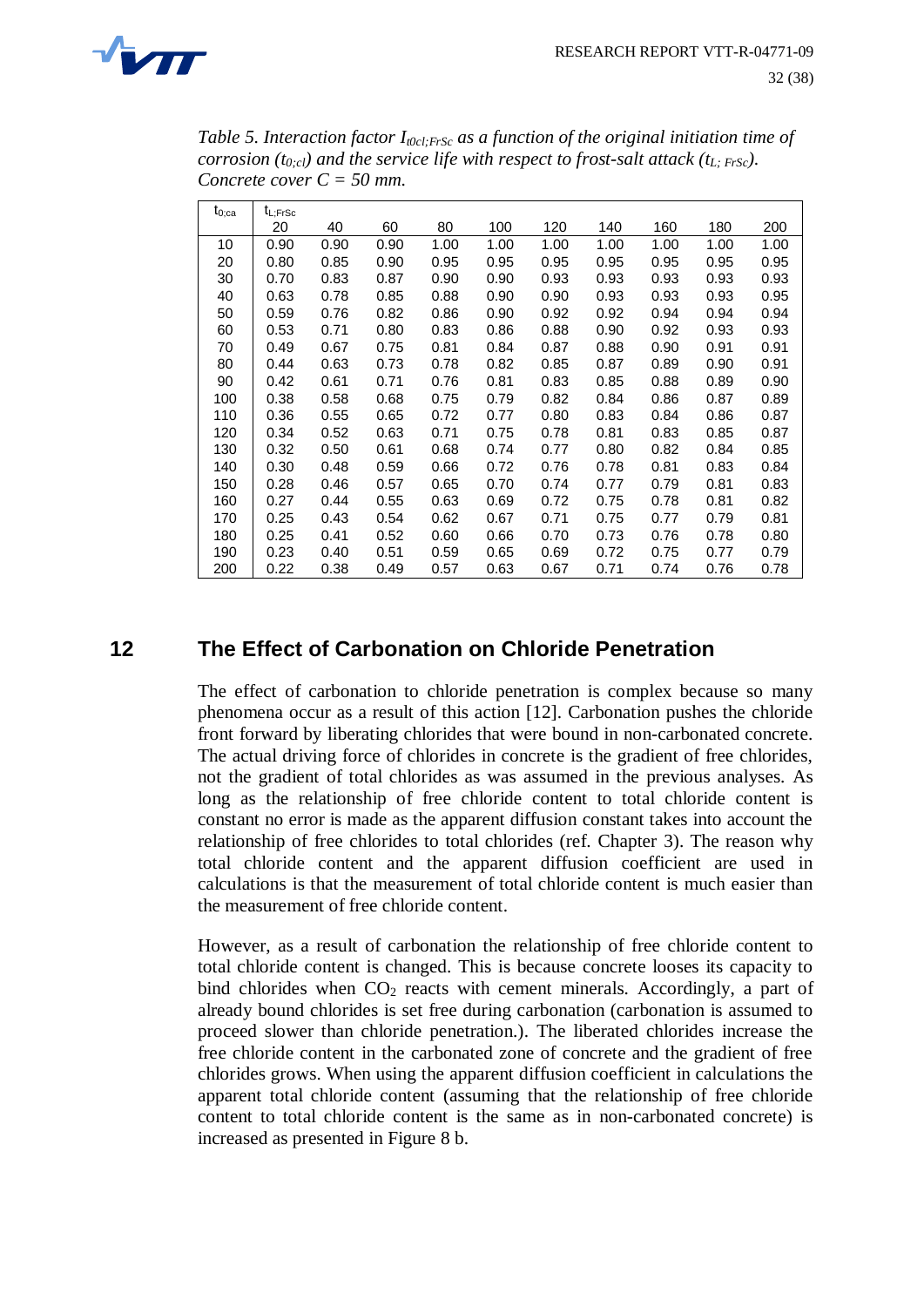

*Table 5. Interaction factor I<sub><i>t0cl;FrSc*</sub> *as a function of the original initiation time of corrosion (t0;cl) and the service life with respect to frost-salt attack (tL; FrSc). Concrete cover C = 50 mm.*

| $\mathfrak{t}_{0;\text{ca}}$ | $t_{L;FrSc}$ |      |      |      |      |      |      |      |      |      |
|------------------------------|--------------|------|------|------|------|------|------|------|------|------|
|                              | 20           | 40   | 60   | 80   | 100  | 120  | 140  | 160  | 180  | 200  |
| 10                           | 0.90         | 0.90 | 0.90 | 1.00 | 1.00 | 1.00 | 1.00 | 1.00 | 1.00 | 1.00 |
| 20                           | 0.80         | 0.85 | 0.90 | 0.95 | 0.95 | 0.95 | 0.95 | 0.95 | 0.95 | 0.95 |
| 30                           | 0.70         | 0.83 | 0.87 | 0.90 | 0.90 | 0.93 | 0.93 | 0.93 | 0.93 | 0.93 |
| 40                           | 0.63         | 0.78 | 0.85 | 0.88 | 0.90 | 0.90 | 0.93 | 0.93 | 0.93 | 0.95 |
| 50                           | 0.59         | 0.76 | 0.82 | 0.86 | 0.90 | 0.92 | 0.92 | 0.94 | 0.94 | 0.94 |
| 60                           | 0.53         | 0.71 | 0.80 | 0.83 | 0.86 | 0.88 | 0.90 | 0.92 | 0.93 | 0.93 |
| 70                           | 0.49         | 0.67 | 0.75 | 0.81 | 0.84 | 0.87 | 0.88 | 0.90 | 0.91 | 0.91 |
| 80                           | 0.44         | 0.63 | 0.73 | 0.78 | 0.82 | 0.85 | 0.87 | 0.89 | 0.90 | 0.91 |
| 90                           | 0.42         | 0.61 | 0.71 | 0.76 | 0.81 | 0.83 | 0.85 | 0.88 | 0.89 | 0.90 |
| 100                          | 0.38         | 0.58 | 0.68 | 0.75 | 0.79 | 0.82 | 0.84 | 0.86 | 0.87 | 0.89 |
| 110                          | 0.36         | 0.55 | 0.65 | 0.72 | 0.77 | 0.80 | 0.83 | 0.84 | 0.86 | 0.87 |
| 120                          | 0.34         | 0.52 | 0.63 | 0.71 | 0.75 | 0.78 | 0.81 | 0.83 | 0.85 | 0.87 |
| 130                          | 0.32         | 0.50 | 0.61 | 0.68 | 0.74 | 0.77 | 0.80 | 0.82 | 0.84 | 0.85 |
| 140                          | 0.30         | 0.48 | 0.59 | 0.66 | 0.72 | 0.76 | 0.78 | 0.81 | 0.83 | 0.84 |
| 150                          | 0.28         | 0.46 | 0.57 | 0.65 | 0.70 | 0.74 | 0.77 | 0.79 | 0.81 | 0.83 |
| 160                          | 0.27         | 0.44 | 0.55 | 0.63 | 0.69 | 0.72 | 0.75 | 0.78 | 0.81 | 0.82 |
| 170                          | 0.25         | 0.43 | 0.54 | 0.62 | 0.67 | 0.71 | 0.75 | 0.77 | 0.79 | 0.81 |
| 180                          | 0.25         | 0.41 | 0.52 | 0.60 | 0.66 | 0.70 | 0.73 | 0.76 | 0.78 | 0.80 |
| 190                          | 0.23         | 0.40 | 0.51 | 0.59 | 0.65 | 0.69 | 0.72 | 0.75 | 0.77 | 0.79 |
| 200                          | 0.22         | 0.38 | 0.49 | 0.57 | 0.63 | 0.67 | 0.71 | 0.74 | 0.76 | 0.78 |

# **12 The Effect of Carbonation on Chloride Penetration**

The effect of carbonation to chloride penetration is complex because so many phenomena occur as a result of this action [12]. Carbonation pushes the chloride front forward by liberating chlorides that were bound in non-carbonated concrete. The actual driving force of chlorides in concrete is the gradient of free chlorides, not the gradient of total chlorides as was assumed in the previous analyses. As long as the relationship of free chloride content to total chloride content is constant no error is made as the apparent diffusion constant takes into account the relationship of free chlorides to total chlorides (ref. Chapter 3). The reason why total chloride content and the apparent diffusion coefficient are used in calculations is that the measurement of total chloride content is much easier than the measurement of free chloride content.

However, as a result of carbonation the relationship of free chloride content to total chloride content is changed. This is because concrete looses its capacity to bind chlorides when  $CO<sub>2</sub>$  reacts with cement minerals. Accordingly, a part of already bound chlorides is set free during carbonation (carbonation is assumed to proceed slower than chloride penetration.). The liberated chlorides increase the free chloride content in the carbonated zone of concrete and the gradient of free chlorides grows. When using the apparent diffusion coefficient in calculations the apparent total chloride content (assuming that the relationship of free chloride content to total chloride content is the same as in non-carbonated concrete) is increased as presented in Figure 8 b.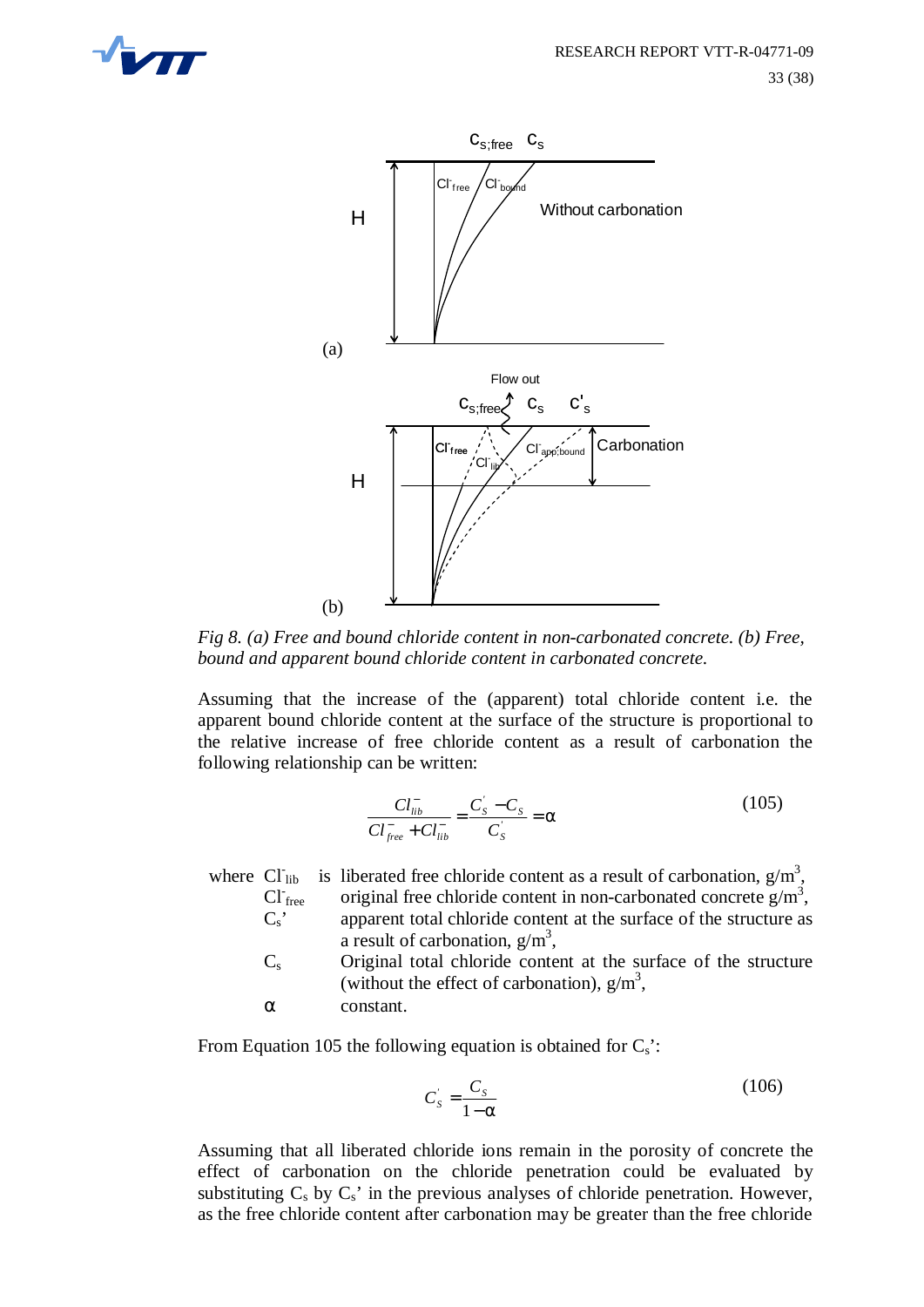



*Fig 8. (a) Free and bound chloride content in non-carbonated concrete. (b) Free, bound and apparent bound chloride content in carbonated concrete.*

Assuming that the increase of the (apparent) total chloride content i.e. the apparent bound chloride content at the surface of the structure is proportional to the relative increase of free chloride content as a result of carbonation the following relationship can be written:

$$
\frac{Cl_{lib}^{-}}{Cl_{free}^{-} + Cl_{lib}^{-}} = \frac{C_{S}^{'} - C_{S}}{C_{S}^{'} } = \alpha
$$
\n(105)

where  $CI<sub>lib</sub>$ lib is liberated free chloride content as a result of carbonation,  $g/m^3$ ,  $CI<sub>free</sub>$ free original free chloride content in non-carbonated concrete  $g/m^3$ ,  $C_s$  apparent total chloride content at the surface of the structure as a result of carbonation,  $g/m^3$ ,

Cs Original total chloride content at the surface of the structure (without the effect of carbonation),  $g/m<sup>3</sup>$ ,

α constant.

From Equation 105 the following equation is obtained for  $C_s$ :

$$
C'_{s} = \frac{C_{s}}{1 - \alpha} \tag{106}
$$

Assuming that all liberated chloride ions remain in the porosity of concrete the effect of carbonation on the chloride penetration could be evaluated by substituting  $C_s$  by  $C_s$ ' in the previous analyses of chloride penetration. However, as the free chloride content after carbonation may be greater than the free chloride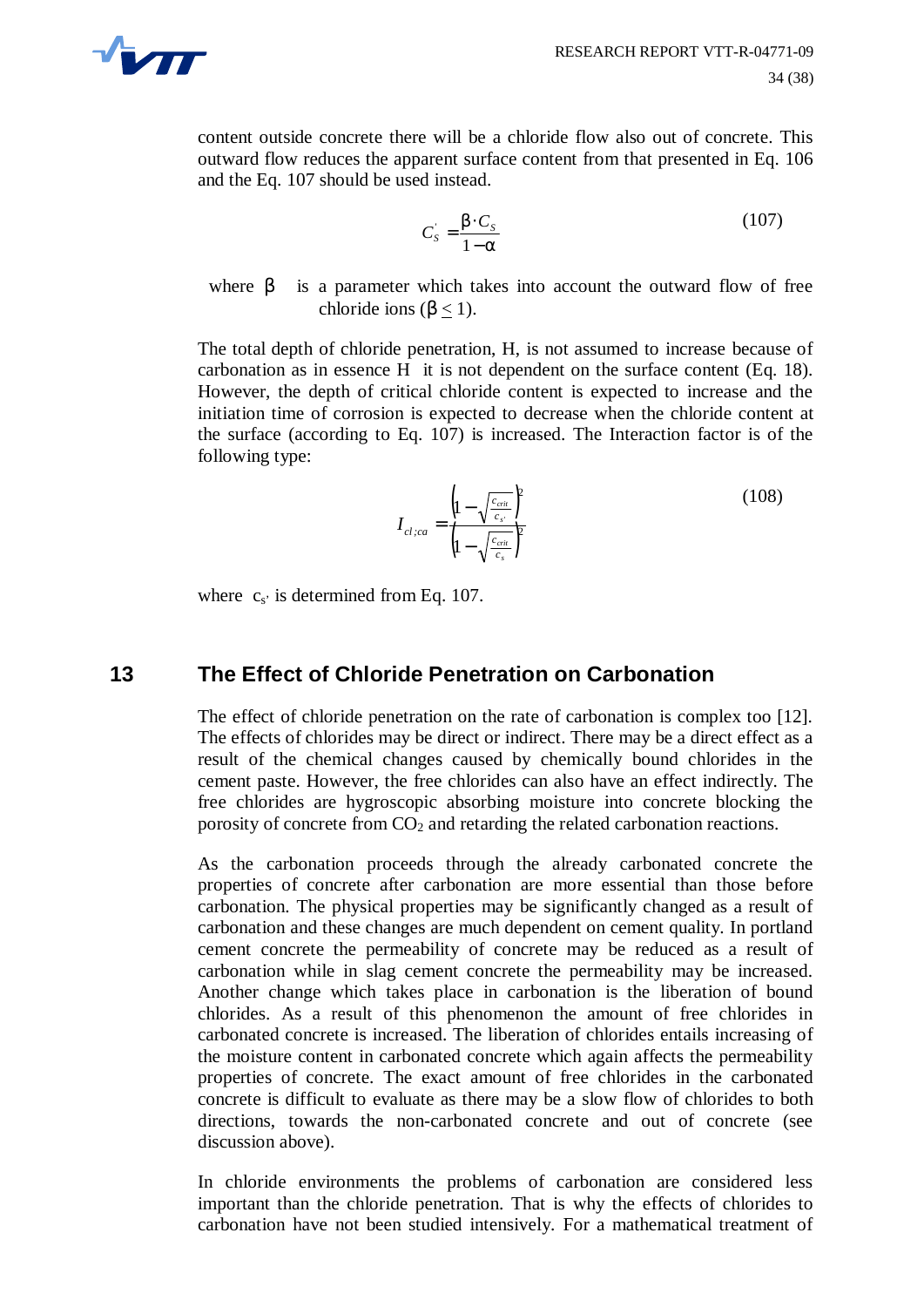

content outside concrete there will be a chloride flow also out of concrete. This outward flow reduces the apparent surface content from that presented in Eq. 106 and the Eq. 107 should be used instead.

$$
C'_{s} = \frac{\beta \cdot C_{s}}{1 - \alpha} \tag{107}
$$

where  $\beta$  is a parameter which takes into account the outward flow of free chloride ions ( $\beta$  < 1).

The total depth of chloride penetration, H, is not assumed to increase because of carbonation as in essence H it is not dependent on the surface content (Eq. 18). However, the depth of critical chloride content is expected to increase and the initiation time of corrosion is expected to decrease when the chloride content at the surface (according to Eq. 107) is increased. The Interaction factor is of the following type:

$$
I_{cl,ca} = \frac{\left(1 - \sqrt{\frac{c_{crit}}{c_{s'}}}\right)^2}{\left(1 - \sqrt{\frac{c_{crit}}{c_s}}\right)^2}
$$
(108)

where  $c_s$  is determined from Eq. 107.

# **13 The Effect of Chloride Penetration on Carbonation**

The effect of chloride penetration on the rate of carbonation is complex too [12]. The effects of chlorides may be direct or indirect. There may be a direct effect as a result of the chemical changes caused by chemically bound chlorides in the cement paste. However, the free chlorides can also have an effect indirectly. The free chlorides are hygroscopic absorbing moisture into concrete blocking the porosity of concrete from  $CO<sub>2</sub>$  and retarding the related carbonation reactions.

As the carbonation proceeds through the already carbonated concrete the properties of concrete after carbonation are more essential than those before carbonation. The physical properties may be significantly changed as a result of carbonation and these changes are much dependent on cement quality. In portland cement concrete the permeability of concrete may be reduced as a result of carbonation while in slag cement concrete the permeability may be increased. Another change which takes place in carbonation is the liberation of bound chlorides. As a result of this phenomenon the amount of free chlorides in carbonated concrete is increased. The liberation of chlorides entails increasing of the moisture content in carbonated concrete which again affects the permeability properties of concrete. The exact amount of free chlorides in the carbonated concrete is difficult to evaluate as there may be a slow flow of chlorides to both directions, towards the non-carbonated concrete and out of concrete (see discussion above).

In chloride environments the problems of carbonation are considered less important than the chloride penetration. That is why the effects of chlorides to carbonation have not been studied intensively. For a mathematical treatment of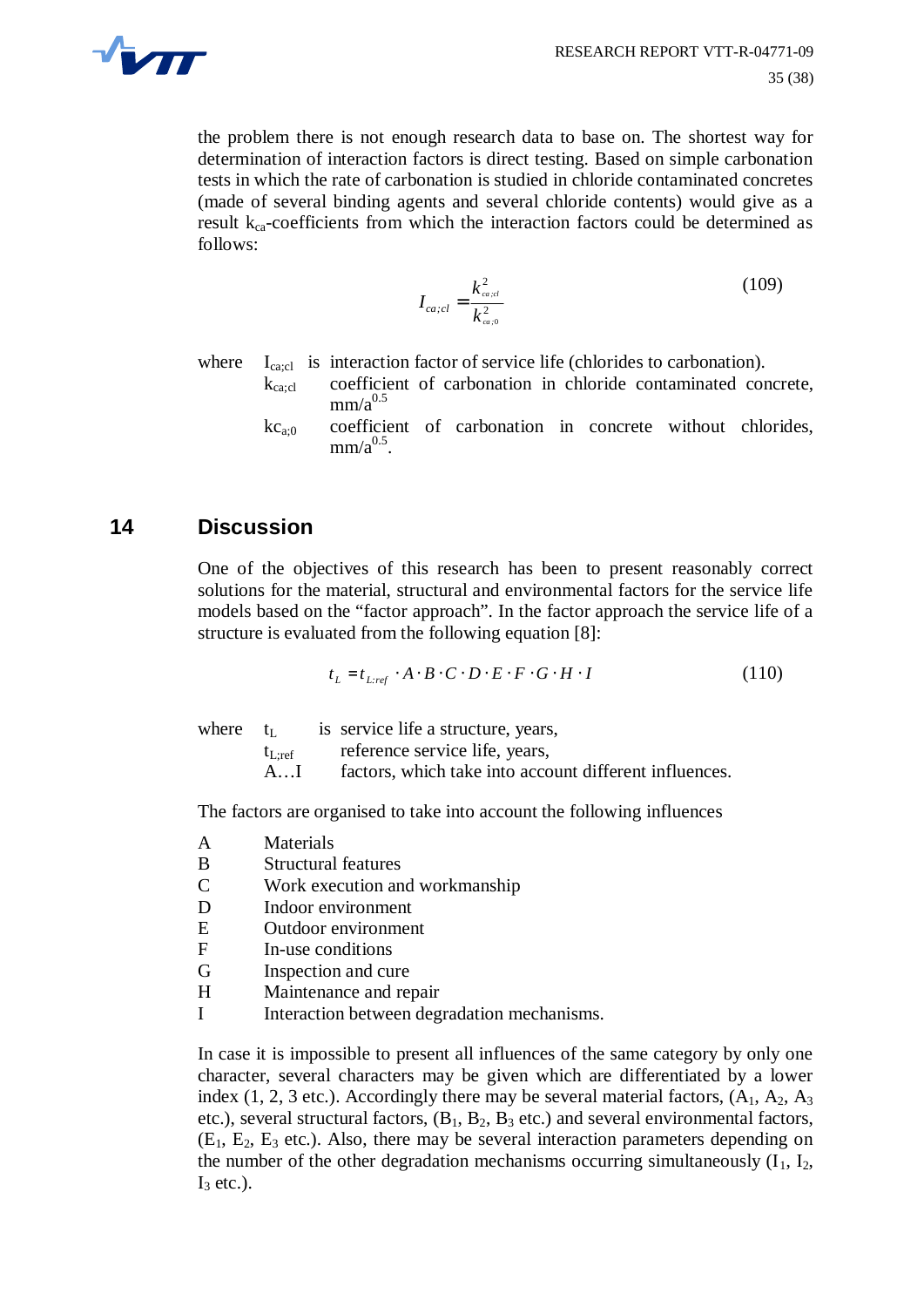

the problem there is not enough research data to base on. The shortest way for determination of interaction factors is direct testing. Based on simple carbonation tests in which the rate of carbonation is studied in chloride contaminated concretes (made of several binding agents and several chloride contents) would give as a result  $k_{ca}$ -coefficients from which the interaction factors could be determined as follows:

$$
I_{ca;cl} = \frac{k_{ca;cl}^2}{k_{ca;0}^2} \tag{109}
$$

where  $I_{\text{ca,cl}}$  is interaction factor of service life (chlorides to carbonation).

- kca;cl coefficient of carbonation in chloride contaminated concrete,  $mm/a<sup>0.5</sup>$
- $kc_{a0}$  coefficient of carbonation in concrete without chlorides,  $mm/a<sup>0.5</sup>$ .

### **14 Discussion**

One of the objectives of this research has been to present reasonably correct solutions for the material, structural and environmental factors for the service life models based on the "factor approach". In the factor approach the service life of a structure is evaluated from the following equation [8]:

$$
t_L = t_{L:ref} \cdot A \cdot B \cdot C \cdot D \cdot E \cdot F \cdot G \cdot H \cdot I \tag{110}
$$

where  $t_L$  is service life a structure, years,  $t_{\text{Lref}}$  reference service life, years, A...I factors, which take into account different influences.

The factors are organised to take into account the following influences

- A Materials
- B Structural features
- C Work execution and workmanship
- D Indoor environment
- E Outdoor environment
- F In-use conditions
- G Inspection and cure
- H Maintenance and repair
- I Interaction between degradation mechanisms.

In case it is impossible to present all influences of the same category by only one character, several characters may be given which are differentiated by a lower index (1, 2, 3 etc.). Accordingly there may be several material factors,  $(A_1, A_2, A_3)$ etc.), several structural factors,  $(B_1, B_2, B_3$  etc.) and several environmental factors,  $(E_1, E_2, E_3$  etc.). Also, there may be several interaction parameters depending on the number of the other degradation mechanisms occurring simultaneously  $(I_1, I_2,$  $I_3$  etc.).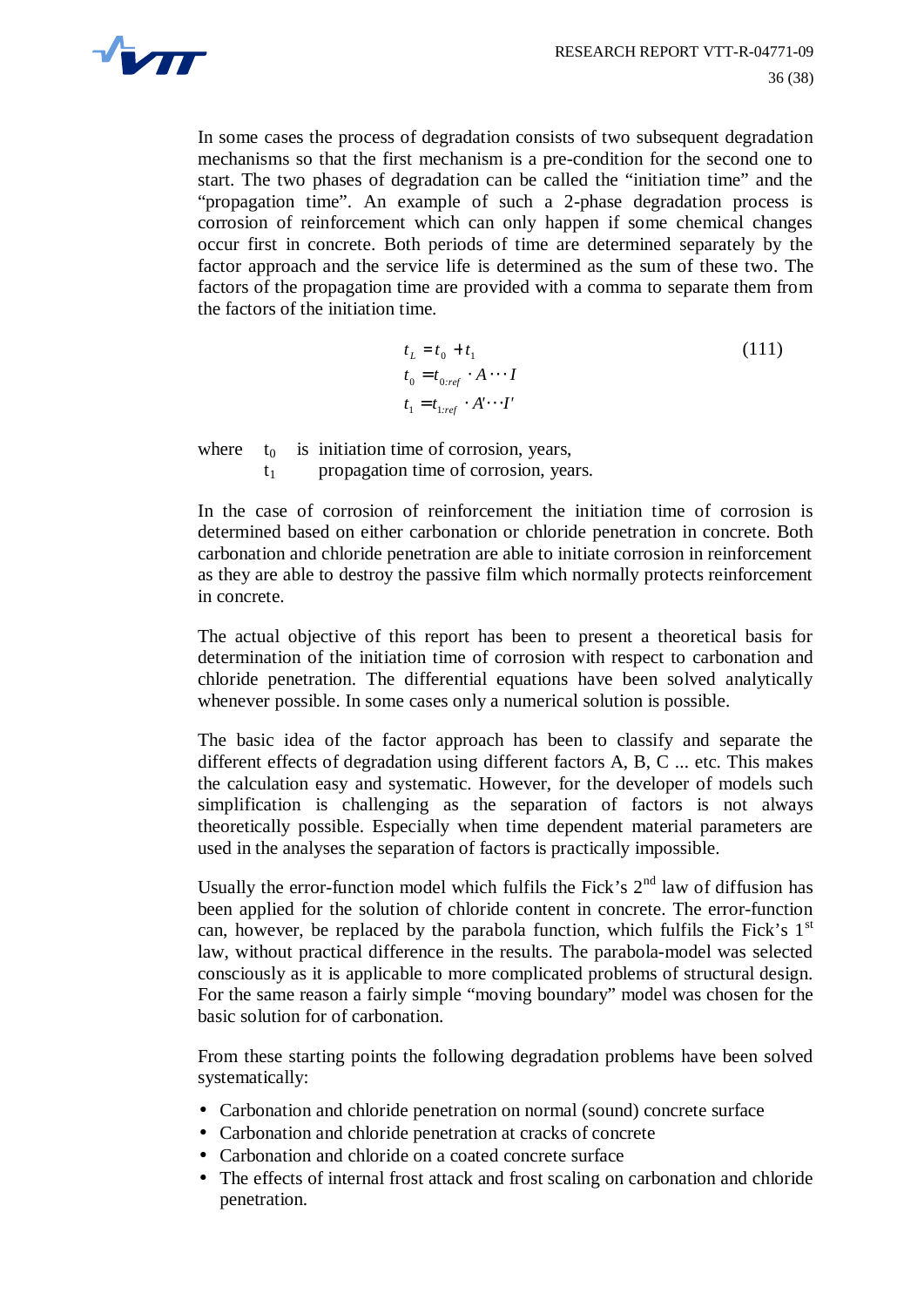

In some cases the process of degradation consists of two subsequent degradation mechanisms so that the first mechanism is a pre-condition for the second one to start. The two phases of degradation can be called the "initiation time" and the "propagation time". An example of such a 2-phase degradation process is corrosion of reinforcement which can only happen if some chemical changes occur first in concrete. Both periods of time are determined separately by the factor approach and the service life is determined as the sum of these two. The factors of the propagation time are provided with a comma to separate them from the factors of the initiation time.

$$
t_L = t_0 + t_1
$$
  
\n
$$
t_0 = t_{0,ref} \cdot A \cdots I
$$
  
\n
$$
t_1 = t_{1,ref} \cdot A' \cdots I'
$$
  
\n(111)

where  $t_0$  is initiation time of corrosion, years,  $t_1$  propagation time of corrosion, years.

In the case of corrosion of reinforcement the initiation time of corrosion is determined based on either carbonation or chloride penetration in concrete. Both carbonation and chloride penetration are able to initiate corrosion in reinforcement as they are able to destroy the passive film which normally protects reinforcement in concrete.

The actual objective of this report has been to present a theoretical basis for determination of the initiation time of corrosion with respect to carbonation and chloride penetration. The differential equations have been solved analytically whenever possible. In some cases only a numerical solution is possible.

The basic idea of the factor approach has been to classify and separate the different effects of degradation using different factors A, B, C ... etc. This makes the calculation easy and systematic. However, for the developer of models such simplification is challenging as the separation of factors is not always theoretically possible. Especially when time dependent material parameters are used in the analyses the separation of factors is practically impossible.

Usually the error-function model which fulfils the Fick's 2<sup>nd</sup> law of diffusion has been applied for the solution of chloride content in concrete. The error-function can, however, be replaced by the parabola function, which fulfils the Fick's  $1<sup>st</sup>$ law, without practical difference in the results. The parabola-model was selected consciously as it is applicable to more complicated problems of structural design. For the same reason a fairly simple "moving boundary" model was chosen for the basic solution for of carbonation.

From these starting points the following degradation problems have been solved systematically:

- Carbonation and chloride penetration on normal (sound) concrete surface
- Carbonation and chloride penetration at cracks of concrete
- Carbonation and chloride on a coated concrete surface
- The effects of internal frost attack and frost scaling on carbonation and chloride penetration.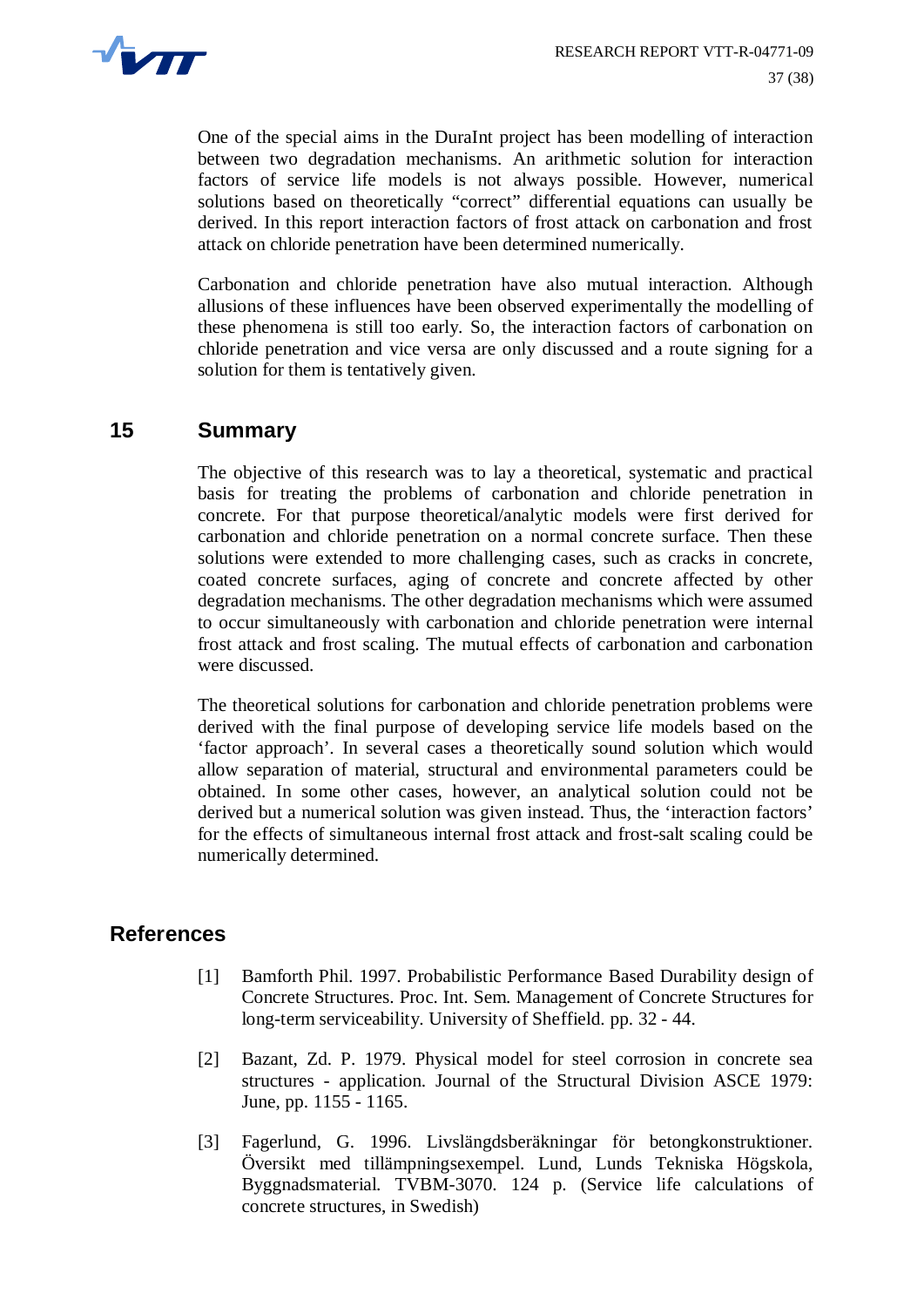

One of the special aims in the DuraInt project has been modelling of interaction between two degradation mechanisms. An arithmetic solution for interaction factors of service life models is not always possible. However, numerical solutions based on theoretically "correct" differential equations can usually be derived. In this report interaction factors of frost attack on carbonation and frost attack on chloride penetration have been determined numerically.

Carbonation and chloride penetration have also mutual interaction. Although allusions of these influences have been observed experimentally the modelling of these phenomena is still too early. So, the interaction factors of carbonation on chloride penetration and vice versa are only discussed and a route signing for a solution for them is tentatively given.

### **15 Summary**

The objective of this research was to lay a theoretical, systematic and practical basis for treating the problems of carbonation and chloride penetration in concrete. For that purpose theoretical/analytic models were first derived for carbonation and chloride penetration on a normal concrete surface. Then these solutions were extended to more challenging cases, such as cracks in concrete, coated concrete surfaces, aging of concrete and concrete affected by other degradation mechanisms. The other degradation mechanisms which were assumed to occur simultaneously with carbonation and chloride penetration were internal frost attack and frost scaling. The mutual effects of carbonation and carbonation were discussed.

The theoretical solutions for carbonation and chloride penetration problems were derived with the final purpose of developing service life models based on the 'factor approach'. In several cases a theoretically sound solution which would allow separation of material, structural and environmental parameters could be obtained. In some other cases, however, an analytical solution could not be derived but a numerical solution was given instead. Thus, the 'interaction factors' for the effects of simultaneous internal frost attack and frost-salt scaling could be numerically determined.

#### **References**

- [1] Bamforth Phil. 1997. Probabilistic Performance Based Durability design of Concrete Structures. Proc. Int. Sem. Management of Concrete Structures for long-term serviceability. University of Sheffield. pp. 32 - 44.
- [2] Bazant, Zd. P. 1979. Physical model for steel corrosion in concrete sea structures - application. Journal of the Structural Division ASCE 1979: June, pp. 1155 - 1165.
- [3] Fagerlund, G. 1996. Livslängdsberäkningar för betongkonstruktioner. Översikt med tillämpningsexempel. Lund, Lunds Tekniska Högskola, Byggnadsmaterial. TVBM-3070. 124 p. (Service life calculations of concrete structures, in Swedish)